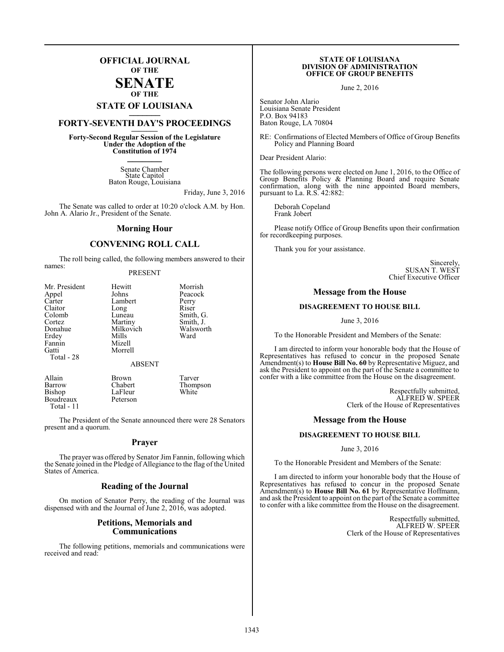## **OFFICIAL JOURNAL OF THE**

#### **SENATE OF THE**

# **STATE OF LOUISIANA \_\_\_\_\_\_\_**

# **FORTY-SEVENTH DAY'S PROCEEDINGS \_\_\_\_\_\_\_**

**Forty-Second Regular Session of the Legislature Under the Adoption of the Constitution of 1974 \_\_\_\_\_\_\_**

> Senate Chamber State Capitol Baton Rouge, Louisiana

> > Friday, June 3, 2016

The Senate was called to order at 10:20 o'clock A.M. by Hon. John A. Alario Jr., President of the Senate.

#### **Morning Hour**

### **CONVENING ROLL CALL**

The roll being called, the following members answered to their names:

#### PRESENT

| Mr. President | Hewitt        | Morrish   |
|---------------|---------------|-----------|
| Appel         | Johns         | Peacock   |
| Carter        | Lambert       | Perry     |
| Claitor       | Long          | Riser     |
| Colomb        | Luneau        | Smith, G. |
| Cortez        | Martiny       | Smith, J. |
| Donahue       | Milkovich     | Walsworth |
| Erdey         | Mills         | Ward      |
| Fannin        | Mizell        |           |
| Gatti         | Morrell       |           |
| Total - 28    |               |           |
|               | <b>ABSENT</b> |           |
|               |               |           |

Allain Brown Tarver<br>
Barrow Chabert Thomp Barrow Chabert Thompson LaFleur<br>Peterson **Boudreaux** Total - 11

The President of the Senate announced there were 28 Senators present and a quorum.

#### **Prayer**

The prayer was offered by Senator Jim Fannin, following which the Senate joined in the Pledge of Allegiance to the flag of the United States of America.

#### **Reading of the Journal**

On motion of Senator Perry, the reading of the Journal was dispensed with and the Journal of June 2, 2016, was adopted.

#### **Petitions, Memorials and Communications**

The following petitions, memorials and communications were received and read:

#### **STATE OF LOUISIANA DIVISION OF ADMINISTRATION OFFICE OF GROUP BENEFITS**

June 2, 2016

Senator John Alario Louisiana Senate President P.O. Box 94183 Baton Rouge, LA 70804

RE: Confirmations of Elected Members of Office of Group Benefits Policy and Planning Board

Dear President Alario:

The following persons were elected on June 1, 2016, to the Office of Group Benefits Policy & Planning Board and require Senate confirmation, along with the nine appointed Board members, pursuant to La. R.S. 42:882:

Deborah Copeland Frank Jobert

Please notify Office of Group Benefits upon their confirmation for recordkeeping purposes.

Thank you for your assistance.

Sincerely, SUSAN T. WEST Chief Executive Officer

#### **Message from the House**

#### **DISAGREEMENT TO HOUSE BILL**

June 3, 2016

To the Honorable President and Members of the Senate:

I am directed to inform your honorable body that the House of Representatives has refused to concur in the proposed Senate Amendment(s) to **House Bill No. 60** by Representative Miguez, and ask the President to appoint on the part of the Senate a committee to confer with a like committee from the House on the disagreement.

> Respectfully submitted, ALFRED W. SPEER Clerk of the House of Representatives

#### **Message from the House**

#### **DISAGREEMENT TO HOUSE BILL**

June 3, 2016

To the Honorable President and Members of the Senate:

I am directed to inform your honorable body that the House of Representatives has refused to concur in the proposed Senate Amendment(s) to **House Bill No. 61** by Representative Hoffmann, and ask the President to appoint on the part of the Senate a committee to confer with a like committee from the House on the disagreement.

> Respectfully submitted, ALFRED W. SPEER Clerk of the House of Representatives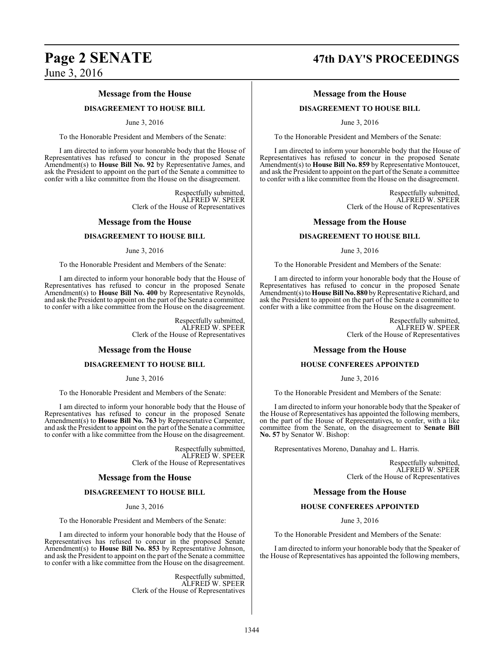#### **Message from the House**

#### **DISAGREEMENT TO HOUSE BILL**

#### June 3, 2016

To the Honorable President and Members of the Senate:

I am directed to inform your honorable body that the House of Representatives has refused to concur in the proposed Senate Amendment(s) to **House Bill No. 92** by Representative James, and ask the President to appoint on the part of the Senate a committee to confer with a like committee from the House on the disagreement.

> Respectfully submitted, ALFRED W. SPEER Clerk of the House of Representatives

#### **Message from the House**

#### **DISAGREEMENT TO HOUSE BILL**

#### June 3, 2016

To the Honorable President and Members of the Senate:

I am directed to inform your honorable body that the House of Representatives has refused to concur in the proposed Senate Amendment(s) to **House Bill No. 400** by Representative Reynolds, and ask the President to appoint on the part of the Senate a committee to confer with a like committee from the House on the disagreement.

> Respectfully submitted, ALFRED W. SPEER Clerk of the House of Representatives

#### **Message from the House**

#### **DISAGREEMENT TO HOUSE BILL**

June 3, 2016

To the Honorable President and Members of the Senate:

I am directed to inform your honorable body that the House of Representatives has refused to concur in the proposed Senate Amendment(s) to **House Bill No. 763** by Representative Carpenter, and ask the President to appoint on the part of the Senate a committee to confer with a like committee from the House on the disagreement.

> Respectfully submitted, ALFRED W. SPEER Clerk of the House of Representatives

#### **Message from the House**

#### **DISAGREEMENT TO HOUSE BILL**

June 3, 2016

To the Honorable President and Members of the Senate:

I am directed to inform your honorable body that the House of Representatives has refused to concur in the proposed Senate Amendment(s) to **House Bill No. 853** by Representative Johnson, and ask the President to appoint on the part of the Senate a committee to confer with a like committee from the House on the disagreement.

> Respectfully submitted, ALFRED W. SPEER Clerk of the House of Representatives

# **Page 2 SENATE 47th DAY'S PROCEEDINGS**

### **Message from the House**

#### **DISAGREEMENT TO HOUSE BILL**

June 3, 2016

To the Honorable President and Members of the Senate:

I am directed to inform your honorable body that the House of Representatives has refused to concur in the proposed Senate Amendment(s) to **House Bill No. 859** by Representative Montoucet, and ask the President to appoint on the part ofthe Senate a committee to confer with a like committee from the House on the disagreement.

> Respectfully submitted, ALFRED W. SPEER Clerk of the House of Representatives

#### **Message from the House**

#### **DISAGREEMENT TO HOUSE BILL**

June 3, 2016

To the Honorable President and Members of the Senate:

I am directed to inform your honorable body that the House of Representatives has refused to concur in the proposed Senate Amendment(s) to**House Bill No. 880** byRepresentative Richard, and ask the President to appoint on the part of the Senate a committee to confer with a like committee from the House on the disagreement.

> Respectfully submitted, ALFRED W. SPEER Clerk of the House of Representatives

#### **Message from the House**

#### **HOUSE CONFEREES APPOINTED**

#### June 3, 2016

To the Honorable President and Members of the Senate:

I am directed to inform your honorable body that the Speaker of the House of Representatives has appointed the following members, on the part of the House of Representatives, to confer, with a like committee from the Senate, on the disagreement to **Senate Bill No. 57** by Senator W. Bishop:

Representatives Moreno, Danahay and L. Harris.

Respectfully submitted, ALFRED W. SPEER Clerk of the House of Representatives

#### **Message from the House**

#### **HOUSE CONFEREES APPOINTED**

June 3, 2016

To the Honorable President and Members of the Senate:

I am directed to inform your honorable body that the Speaker of the House of Representatives has appointed the following members,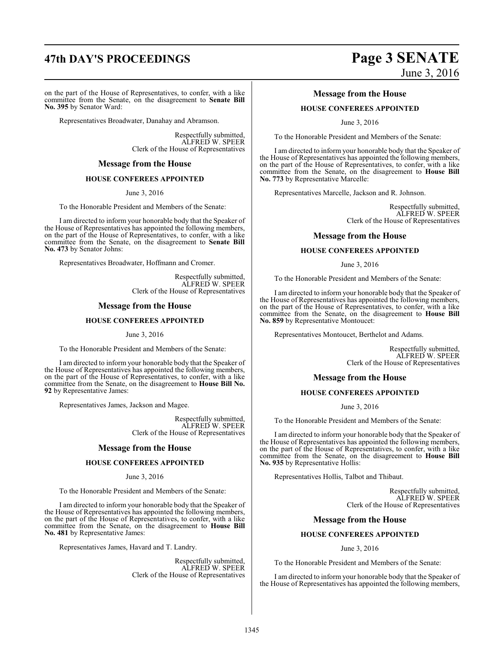# **47th DAY'S PROCEEDINGS Page 3 SENATE**

on the part of the House of Representatives, to confer, with a like committee from the Senate, on the disagreement to **Senate Bill No. 395** by Senator Ward:

Representatives Broadwater, Danahay and Abramson.

Respectfully submitted, ALFRED W. SPEER Clerk of the House of Representatives

#### **Message from the House**

#### **HOUSE CONFEREES APPOINTED**

June 3, 2016

To the Honorable President and Members of the Senate:

I am directed to inform your honorable body that the Speaker of the House of Representatives has appointed the following members, on the part of the House of Representatives, to confer, with a like committee from the Senate, on the disagreement to **Senate Bill No. 473** by Senator Johns:

Representatives Broadwater, Hoffmann and Cromer.

Respectfully submitted, ALFRED W. SPEER Clerk of the House of Representatives

#### **Message from the House**

#### **HOUSE CONFEREES APPOINTED**

June 3, 2016

To the Honorable President and Members of the Senate:

I am directed to inform your honorable body that the Speaker of the House of Representatives has appointed the following members, on the part of the House of Representatives, to confer, with a like committee from the Senate, on the disagreement to **House Bill No. 92** by Representative James:

Representatives James, Jackson and Magee.

Respectfully submitted, ALFRED W. SPEER Clerk of the House of Representatives

#### **Message from the House**

#### **HOUSE CONFEREES APPOINTED**

June 3, 2016

To the Honorable President and Members of the Senate:

I am directed to inform your honorable body that the Speaker of the House of Representatives has appointed the following members, on the part of the House of Representatives, to confer, with a like committee from the Senate, on the disagreement to **House Bill No. 481** by Representative James:

Representatives James, Havard and T. Landry.

Respectfully submitted, ALFRED W. SPEER Clerk of the House of Representatives

# June 3, 2016

#### **Message from the House**

#### **HOUSE CONFEREES APPOINTED**

June 3, 2016

To the Honorable President and Members of the Senate:

I am directed to inform your honorable body that the Speaker of the House of Representatives has appointed the following members, on the part of the House of Representatives, to confer, with a like committee from the Senate, on the disagreement to **House Bill No. 773** by Representative Marcelle:

Representatives Marcelle, Jackson and R. Johnson.

Respectfully submitted, ALFRED W. SPEER Clerk of the House of Representatives

#### **Message from the House**

#### **HOUSE CONFEREES APPOINTED**

June 3, 2016

To the Honorable President and Members of the Senate:

I am directed to inform your honorable body that the Speaker of the House of Representatives has appointed the following members, on the part of the House of Representatives, to confer, with a like committee from the Senate, on the disagreement to **House Bill No. 859** by Representative Montoucet:

Representatives Montoucet, Berthelot and Adams.

Respectfully submitted, ALFRED W. SPEER Clerk of the House of Representatives

#### **Message from the House**

#### **HOUSE CONFEREES APPOINTED**

June 3, 2016

To the Honorable President and Members of the Senate:

I am directed to inform your honorable body that the Speaker of the House of Representatives has appointed the following members, on the part of the House of Representatives, to confer, with a like committee from the Senate, on the disagreement to **House Bill No. 935** by Representative Hollis:

Representatives Hollis, Talbot and Thibaut.

Respectfully submitted, ALFRED W. SPEER Clerk of the House of Representatives

#### **Message from the House**

### **HOUSE CONFEREES APPOINTED**

June 3, 2016

To the Honorable President and Members of the Senate:

I am directed to inform your honorable body that the Speaker of the House of Representatives has appointed the following members,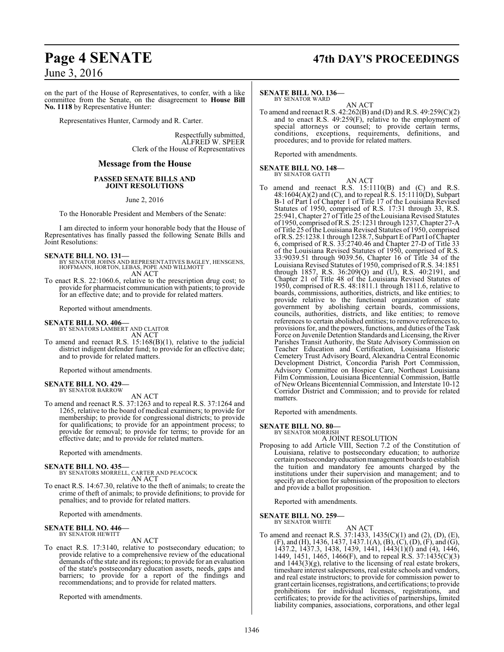# **Page 4 SENATE 47th DAY'S PROCEEDINGS**

## June 3, 2016

on the part of the House of Representatives, to confer, with a like committee from the Senate, on the disagreement to **House Bill No. 1118** by Representative Hunter:

Representatives Hunter, Carmody and R. Carter.

Respectfully submitted, ALFRED W. SPEER Clerk of the House of Representatives

#### **Message from the House**

#### **PASSED SENATE BILLS AND JOINT RESOLUTIONS**

June 2, 2016

To the Honorable President and Members of the Senate:

I am directed to inform your honorable body that the House of Representatives has finally passed the following Senate Bills and Joint Resolutions:

#### **SENATE BILL NO. 131—**

BY SENATOR JOHNS AND REPRESENTATIVES BAGLEY, HENSGENS, HOFFMANN, HORTON, LEBAS, POPE AND WILLMOTT AN ACT

To enact R.S. 22:1060.6, relative to the prescription drug cost; to provide for pharmacist communication with patients; to provide for an effective date; and to provide for related matters.

Reported without amendments.

# **SENATE BILL NO. 406—** BY SENATORS LAMBERT AND CLAITOR

AN ACT

To amend and reenact R.S. 15:168(B)(1), relative to the judicial district indigent defender fund; to provide for an effective date; and to provide for related matters.

Reported without amendments.

#### **SENATE BILL NO. 429—** BY SENATOR BARROW

AN ACT

To amend and reenact R.S. 37:1263 and to repeal R.S. 37:1264 and 1265, relative to the board of medical examiners; to provide for membership; to provide for congressional districts; to provide for qualifications; to provide for an appointment process; to provide for removal; to provide for terms; to provide for an effective date; and to provide for related matters.

Reported with amendments.

#### **SENATE BILL NO. 435—**

- BY SENATORS MORRELL, CARTER AND PEACOCK AN ACT
- To enact R.S. 14:67.30, relative to the theft of animals; to create the crime of theft of animals; to provide definitions; to provide for penalties; and to provide for related matters.

Reported with amendments.

#### **SENATE BILL NO. 446—** BY SENATOR HEWITT

AN ACT

To enact R.S. 17:3140, relative to postsecondary education; to provide relative to a comprehensive review of the educational demands of the state and its regions; to provide for an evaluation of the state's postsecondary education assets, needs, gaps and barriers; to provide for a report of the findings and recommendations; and to provide for related matters.

Reported with amendments.

#### **SENATE BILL NO. 136—**

BY SENATOR WARD AN ACT

To amend and reenact R.S. 42:262(B) and (D) and R.S. 49:259(C)(2) and to enact R.S. 49:259(F), relative to the employment of special attorneys or counsel; to provide certain terms, conditions, exceptions, requirements, definitions, and procedures; and to provide for related matters.

Reported with amendments.

#### **SENATE BILL NO. 148—**

- BY SENATOR GATTI
- AN ACT To amend and reenact R.S. 15:1110(B) and (C) and R.S. 48:1604(A)(2) and (C), and to repeal R.S. 15:1110(D), Subpart B-1 of Part I of Chapter 1 of Title 17 of the Louisiana Revised Statutes of 1950, comprised of R.S. 17:31 through 33, R.S. 25:941, Chapter 27 of Title 25 of the Louisiana Revised Statutes of1950, comprised ofR.S. 25:1231 through 1237, Chapter 27-A ofTitle 25 ofthe Louisiana Revised Statutes of 1950, comprised ofR.S. 25:1238.1 through 1238.7, Subpart E of Part I ofChapter 6, comprised of R.S. 33:2740.46 and Chapter 27-D of Title 33 of the Louisiana Revised Statutes of 1950, comprised of R.S. 33:9039.51 through 9039.56, Chapter 16 of Title 34 of the Louisiana Revised Statutes of 1950, comprised of R.S. 34:1851 through 1857, R.S. 36:209(Q) and (U), R.S. 40:2191, and Chapter 21 of Title 48 of the Louisiana Revised Statutes of 1950, comprised of R.S. 48:1811.1 through 1811.6, relative to boards, commissions, authorities, districts, and like entities; to provide relative to the functional organization of state government by abolishing certain boards, commissions, councils, authorities, districts, and like entities; to remove references to certain abolished entities; to remove references to, provisions for, and the powers, functions, and duties of the Task Force on Juvenile Detention Standards and Licensing, the River Parishes Transit Authority, the State Advisory Commission on Teacher Education and Certification, Louisiana Historic Cemetery Trust Advisory Board, Alexandria Central Economic Development District, Concordia Parish Port Commission, Advisory Committee on Hospice Care, Northeast Louisiana Film Commission, Louisiana Bicentennial Commission, Battle of New Orleans Bicentennial Commission, and Interstate 10-12 Corridor District and Commission; and to provide for related matters.

Reported with amendments.

#### **SENATE BILL NO. 80—** BY SENATOR MORRISH

#### A JOINT RESOLUTION

Proposing to add Article VIII, Section 7.2 of the Constitution of Louisiana, relative to postsecondary education; to authorize certain postsecondaryeducationmanagement boards to establish the tuition and mandatory fee amounts charged by the institutions under their supervision and management; and to specify an election for submission of the proposition to electors and provide a ballot proposition.

Reported with amendments.

**SENATE BILL NO. 259—** BY SENATOR WHITE

AN ACT

To amend and reenact R.S. 37:1433, 1435(C)(1) and (2), (D), (E), (F), and (H), 1436, 1437, 1437.1(A), (B), (C), (D), (F), and (G), 1437.2, 1437.3, 1438, 1439, 1441, 1443(1)(f) and (4), 1446, 1449, 1451, 1465, 1466(F), and to repeal R.S. 37:1435(C)(3) and  $1443(3)(g)$ , relative to the licensing of real estate brokers, timeshare interest salespersons, real estate schools and vendors, and real estate instructors; to provide for commission power to grant certain licenses, registrations, and certifications; to provide prohibitions for individual licenses, registrations, and certificates; to provide for the activities of partnerships, limited liability companies, associations, corporations, and other legal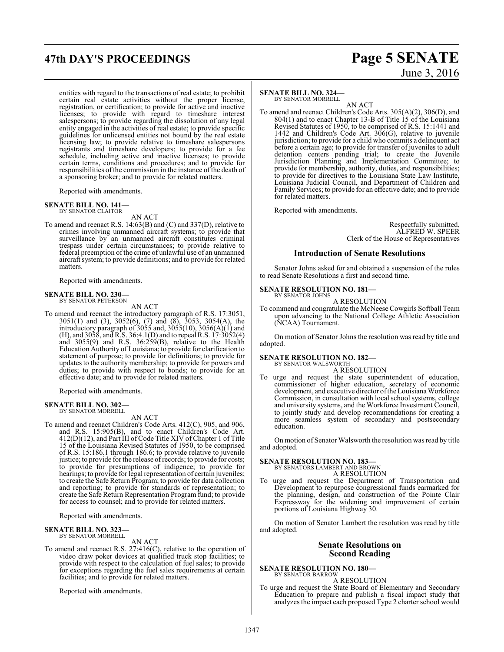# **47th DAY'S PROCEEDINGS Page 5 SENATE**

entities with regard to the transactions of real estate; to prohibit certain real estate activities without the proper license, registration, or certification; to provide for active and inactive licenses; to provide with regard to timeshare interest salespersons; to provide regarding the dissolution of any legal entity engaged in the activities of real estate; to provide specific guidelines for unlicensed entities not bound by the real estate licensing law; to provide relative to timeshare salespersons registrants and timeshare developers; to provide for a fee schedule, including active and inactive licenses; to provide certain terms, conditions and procedures; and to provide for responsibilities of the commission in the instance of the death of a sponsoring broker; and to provide for related matters.

Reported with amendments.

# **SENATE BILL NO. 141—** BY SENATOR CLAITOR

AN ACT

To amend and reenact R.S. 14:63(B) and (C) and 337(D), relative to crimes involving unmanned aircraft systems; to provide that surveillance by an unmanned aircraft constitutes criminal trespass under certain circumstances; to provide relative to federal preemption of the crime of unlawful use of an unmanned aircraft system; to provide definitions; and to provide for related matters.

Reported with amendments.

# **SENATE BILL NO. 230—** BY SENATOR PETERSON

AN ACT

To amend and reenact the introductory paragraph of R.S. 17:3051, 3051(1) and (3), 3052(6), (7) and (8), 3053, 3054(A), the introductory paragraph of 3055 and, 3055(10), 3056(A)(1) and (H), and 3058, and R.S. 36:4.1(D) and to repeal R.S. 17:3052(4) and 3055(9) and R.S. 36:259(B), relative to the Health Education Authority of Louisiana; to provide for clarification to statement of purpose; to provide for definitions; to provide for updates to the authority membership; to provide for powers and duties; to provide with respect to bonds; to provide for an effective date; and to provide for related matters.

Reported with amendments.

# **SENATE BILL NO. 302—** BY SENATOR MORRELL

# AN ACT

To amend and reenact Children's Code Arts. 412(C), 905, and 906, and R.S. 15:905(B), and to enact Children's Code Art. 412(D)(12), and Part III of Code Title XIV of Chapter 1 of Title 15 of the Louisiana Revised Statutes of 1950, to be comprised of R.S. 15:186.1 through 186.6; to provide relative to juvenile justice; to provide for the release ofrecords; to provide for costs; to provide for presumptions of indigence; to provide for hearings; to provide for legal representation of certain juveniles; to create the Safe Return Program; to provide for data collection and reporting; to provide for standards of representation; to create the Safe Return Representation Program fund; to provide for access to counsel; and to provide for related matters.

Reported with amendments.

#### **SENATE BILL NO. 323** BY SENATOR MORRELL

#### AN ACT

To amend and reenact R.S. 27:416(C), relative to the operation of video draw poker devices at qualified truck stop facilities; to provide with respect to the calculation of fuel sales; to provide for exceptions regarding the fuel sales requirements at certain facilities; and to provide for related matters.

Reported with amendments.

# June 3, 2016

#### **SENATE BILL NO. 324—**

BY SENATOR MORRELL

AN ACT To amend and reenact Children's Code Arts. 305(A)(2), 306(D), and 804(1) and to enact Chapter 13-B of Title 15 of the Louisiana Revised Statutes of 1950, to be comprised of R.S. 15:1441 and 1442 and Children's Code Art. 306(G), relative to juvenile jurisdiction; to provide for a child who commits a delinquent act before a certain age; to provide for transfer of juveniles to adult detention centers pending trial; to create the Juvenile Jurisdiction Planning and Implementation Committee; to provide for membership, authority, duties, and responsibilities; to provide for directives to the Louisiana State Law Institute, Louisiana Judicial Council, and Department of Children and Family Services; to provide for an effective date; and to provide for related matters.

Reported with amendments.

Respectfully submitted, ALFRED W. SPEER Clerk of the House of Representatives

#### **Introduction of Senate Resolutions**

Senator Johns asked for and obtained a suspension of the rules to read Senate Resolutions a first and second time.

# **SENATE RESOLUTION NO. 181—** BY SENATOR JOHNS

A RESOLUTION

To commend and congratulate the McNeese Cowgirls Softball Team upon advancing to the National College Athletic Association (NCAA) Tournament.

On motion of Senator Johns the resolution was read by title and adopted.

#### **SENATE RESOLUTION NO. 182—**

BY SENATOR WALSWORTH A RESOLUTION

To urge and request the state superintendent of education, commissioner of higher education, secretary of economic development, and executive director ofthe Louisiana Workforce Commission, in consultation with local school systems, college and university systems, and the Workforce Investment Council, to jointly study and develop recommendations for creating a more seamless system of secondary and postsecondary education.

On motion of Senator Walsworth the resolution was read by title and adopted.

# **SENATE RESOLUTION NO. 183—** BY SENATORS LAMBERT AND BROWN

A RESOLUTION

To urge and request the Department of Transportation and Development to repurpose congressional funds earmarked for the planning, design, and construction of the Pointe Clair Expressway for the widening and improvement of certain portions of Louisiana Highway 30.

On motion of Senator Lambert the resolution was read by title and adopted.

#### **Senate Resolutions on Second Reading**

**SENATE RESOLUTION NO. 180—** BY SENATOR BARROW

A RESOLUTION

To urge and request the State Board of Elementary and Secondary Education to prepare and publish a fiscal impact study that analyzes the impact each proposed Type 2 charter school would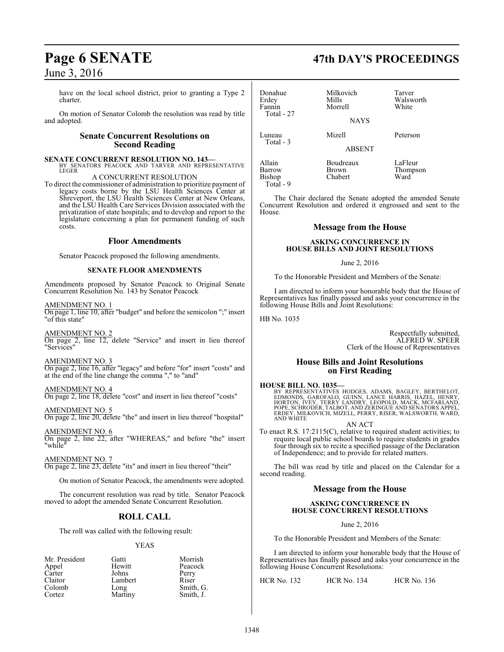have on the local school district, prior to granting a Type 2 charter.

On motion of Senator Colomb the resolution was read by title and adopted.

### **Senate Concurrent Resolutions on Second Reading**

**SENATE CONCURRENT RESOLUTION NO. 143—** BY SENATORS PEACOCK AND TARVER AND REPRESENTATIVE **LEGER** 

#### A CONCURRENT RESOLUTION

To direct the commissioner of administration to prioritize payment of legacy costs borne by the LSU Health Sciences Center at Shreveport, the LSU Health Sciences Center at New Orleans, and the LSU Health Care Services Division associated with the privatization of state hospitals; and to develop and report to the legislature concerning a plan for permanent funding of such costs.

#### **Floor Amendments**

Senator Peacock proposed the following amendments.

#### **SENATE FLOOR AMENDMENTS**

Amendments proposed by Senator Peacock to Original Senate Concurrent Resolution No. 143 by Senator Peacock

AMENDMENT NO. 1

On page 1, line 10, after "budget" and before the semicolon ";" insert "of this state"

#### AMENDMENT NO. 2

On page 2, line 12, delete "Service" and insert in lieu thereof "Services"

AMENDMENT NO. 3 On page 2, line 16, after "legacy" and before "for" insert "costs" and at the end of the line change the comma "," to "and"

#### AMENDMENT NO. 4

On page 2, line 18, delete "cost" and insert in lieu thereof "costs"

AMENDMENT NO. 5 On page 2, line 20, delete "the" and insert in lieu thereof "hospital"

AMENDMENT NO. 6 On page 2, line 22, after "WHEREAS," and before "the" insert "while"

#### AMENDMENT NO. 7

On page 2, line 23, delete "its" and insert in lieu thereof "their"

On motion of Senator Peacock, the amendments were adopted.

The concurrent resolution was read by title. Senator Peacock moved to adopt the amended Senate Concurrent Resolution.

## **ROLL CALL**

The roll was called with the following result:

#### YEAS

| Mr. President | Gatti   | Morrish   |
|---------------|---------|-----------|
| Appel         | Hewitt  | Peacock   |
| Carter        | Johns   | Perry     |
| Claitor       | Lambert | Riser     |
| Colomb        | Long    | Smith, G. |
| Cortez        | Martiny | Smith, J. |
|               |         |           |

Donahue Milkovich Tarver Erdey Mills Walsworth Morrell Total - 27 NAYS Luneau Mizell Peterson Total - 3 ABSENT Allain Boudreaux LaFleur<br>Barrow Brown Thomps Brown Thompson<br>Chabert Ward Bishop

The Chair declared the Senate adopted the amended Senate Concurrent Resolution and ordered it engrossed and sent to the

# **Message from the House**

#### **ASKING CONCURRENCE IN HOUSE BILLS AND JOINT RESOLUTIONS**

#### June 2, 2016

To the Honorable President and Members of the Senate:

I am directed to inform your honorable body that the House of Representatives has finally passed and asks your concurrence in the following House Bills and Joint Resolutions:

HB No. 1035

Total - 9

House.

Respectfully submitted, ALFRED W. SPEER Clerk of the House of Representatives

#### **House Bills and Joint Resolutions on First Reading**

#### **HOUSE BILL NO. 1035—**

BY REPRESENTATIVES HODGES, ADAMS, BAGLEY, BERTHELOT,<br>EDMONDS, GAROFALO, GUINN, LANCE HARRIS, HAZEL, HENRY,<br>HORTON, İVEY, TERRY LANDRY, LEOPOLD, MACK, MCFARLAND,<br>POPE, SCHRODER, TALBOT, AND ZERINGUE AND SENATORS APPEL,<br>ERDE AND WHITE

AN ACT

To enact R.S. 17:2115(C), relative to required student activities; to require local public school boards to require students in grades four through six to recite a specified passage of the Declaration of Independence; and to provide for related matters.

The bill was read by title and placed on the Calendar for a second reading.

#### **Message from the House**

#### **ASKING CONCURRENCE IN HOUSE CONCURRENT RESOLUTIONS**

June 2, 2016

To the Honorable President and Members of the Senate:

I am directed to inform your honorable body that the House of Representatives has finally passed and asks your concurrence in the following House Concurrent Resolutions:

HCR No. 132 HCR No. 134 HCR No. 136

# **Page 6 SENATE 47th DAY'S PROCEEDINGS**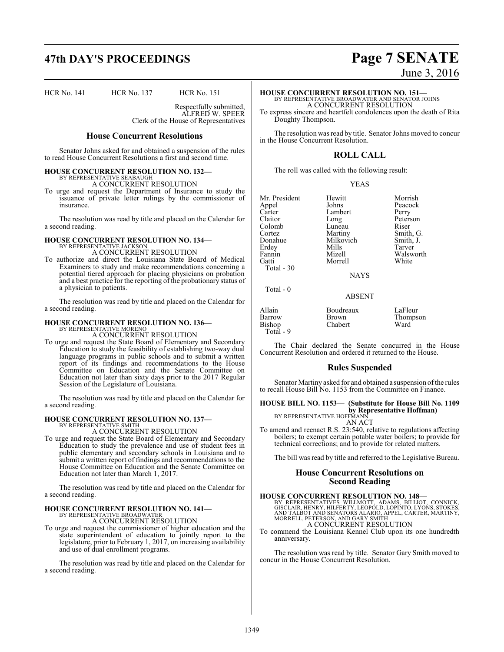# **47th DAY'S PROCEEDINGS Page 7 SENATE**

HCR No. 141 HCR No. 137 HCR No. 151

Respectfully submitted, ALFRED W. SPEER

Clerk of the House of Representatives

#### **House Concurrent Resolutions**

Senator Johns asked for and obtained a suspension of the rules to read House Concurrent Resolutions a first and second time.

#### **HOUSE CONCURRENT RESOLUTION NO. 132—** BY REPRESENTATIVE SEABAUGH

A CONCURRENT RESOLUTION

To urge and request the Department of Insurance to study the issuance of private letter rulings by the commissioner of insurance.

The resolution was read by title and placed on the Calendar for a second reading.

# **HOUSE CONCURRENT RESOLUTION NO. 134—** BY REPRESENTATIVE JACKSON

A CONCURRENT RESOLUTION

To authorize and direct the Louisiana State Board of Medical Examiners to study and make recommendations concerning a potential tiered approach for placing physicians on probation and a best practice for the reporting of the probationary status of a physician to patients.

The resolution was read by title and placed on the Calendar for a second reading.

# **HOUSE CONCURRENT RESOLUTION NO. 136—** BY REPRESENTATIVE MORENO

A CONCURRENT RESOLUTION

To urge and request the State Board of Elementary and Secondary Education to study the feasibility of establishing two-way dual language programs in public schools and to submit a written report of its findings and recommendations to the House Committee on Education and the Senate Committee on Education not later than sixty days prior to the 2017 Regular Session of the Legislature of Louisiana.

The resolution was read by title and placed on the Calendar for a second reading.

#### **HOUSE CONCURRENT RESOLUTION NO. 137—**

BY REPRESENTATIVE SMITH A CONCURRENT RESOLUTION

To urge and request the State Board of Elementary and Secondary Education to study the prevalence and use of student fees in public elementary and secondary schools in Louisiana and to submit a written report of findings and recommendations to the House Committee on Education and the Senate Committee on Education not later than March 1, 2017.

The resolution was read by title and placed on the Calendar for a second reading.

#### **HOUSE CONCURRENT RESOLUTION NO. 141—** BY REPRESENTATIVE BROADWATER

A CONCURRENT RESOLUTION

To urge and request the commissioner of higher education and the state superintendent of education to jointly report to the legislature, prior to February 1, 2017, on increasing availability and use of dual enrollment programs.

The resolution was read by title and placed on the Calendar for a second reading.

June 3, 2016

**HOUSE CONCURRENT RESOLUTION NO. 151—**

BY REPRESENTATIVE BROADWATER AND SENATOR JOHNS A CONCURRENT RESOLUTION To express sincere and heartfelt condolences upon the death of Rita

Doughty Thompson.

The resolution was read by title. Senator Johns moved to concur in the House Concurrent Resolution.

## **ROLL CALL**

The roll was called with the following result:

YEAS

Mr. President Hewitt Morrish<br>
Annel Johns Peacock Appel Johns Peacock<br>Carter Lambert Perry Carter Lambert<br>Claitor Long Colomb Luneau<br>
Cortez Martiny Cortez Martiny Smith, G. Donahue Milkovich<br>
Erdey Mills Erdey Mills Tarver Fannin Mizell Walsworth<br>Gatti Morrell White Morrell Total - 30

Long Peterson<br>Luneau Riser

NAYS

ABSENT

## Total - 0

Allain Boudreaux LaFleur Brown Thompson<br>Chabert Ward Bishop Total - 9

The Chair declared the Senate concurred in the House Concurrent Resolution and ordered it returned to the House.

#### **Rules Suspended**

Senator Martiny asked for and obtained a suspension of the rules to recall House Bill No. 1153 from the Committee on Finance.

**HOUSE BILL NO. 1153— (Substitute for House Bill No. 1109 by Representative Hoffman)** BY REPRESENTATIVE HOFFMANN AN ACT

To amend and reenact R.S. 23:540, relative to regulations affecting boilers; to exempt certain potable water boilers; to provide for technical corrections; and to provide for related matters.

The bill was read by title and referred to the Legislative Bureau.

#### **House Concurrent Resolutions on Second Reading**

**HOUSE CONCURRENT RESOLUTION NO. 148**<br>BY REPRESENTATIVES WILLMOTT, ADAMS, BILLIOT, CONNICK, GISCLAIR, HENRY, HILFERTY, LEOPÓLD, LOPINTO, LYONS, STOKES,<br>AND TALBOT AND SENATORS ALARIO, APPEL, CARTER, MARTINY,<br>MORRELL, PETER A CONCURRENT RESOLUTION

To commend the Louisiana Kennel Club upon its one hundredth

anniversary.

The resolution was read by title. Senator Gary Smith moved to concur in the House Concurrent Resolution.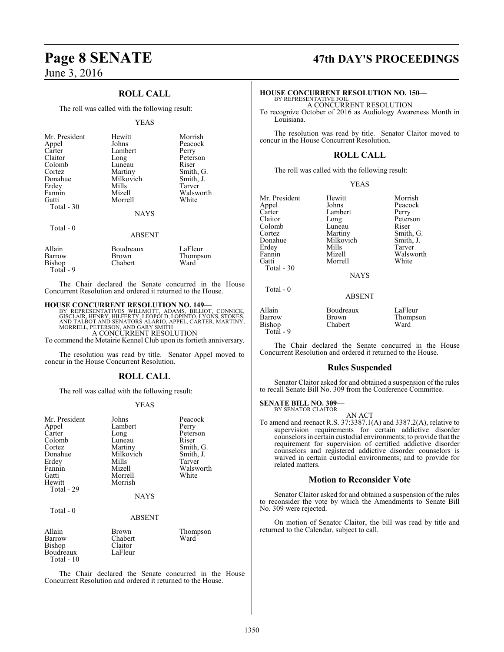## **ROLL CALL**

The roll was called with the following result:

#### YEAS

| Mr. President | Hewitt        | Morrish   |
|---------------|---------------|-----------|
| Appel         | Johns         | Peacock   |
| Carter        | Lambert       | Perry     |
| Claitor       | Long          | Peterson  |
| Colomb        | Luneau        | Riser     |
| Cortez        | Martiny       | Smith, G. |
| Donahue       | Milkovich     | Smith, J. |
| Erdey         | Mills         | Tarver    |
| Fannin        | Mizell        | Walsworth |
| Gatti         | Morrell       | White     |
| Total - 30    |               |           |
|               | <b>NAYS</b>   |           |
| Total $-0$    |               |           |
|               | <b>ABSENT</b> |           |
| Allain        | Boudreaux     | LaFleur   |
| Barrow        | Brown         | Thompson  |

Bishop Chabert Ward Total - 9 The Chair declared the Senate concurred in the House

Concurrent Resolution and ordered it returned to the House.

**HOUSE CONCURRENT RESOLUTION NO. 149—**<br>BY REPRESENTATIVES WILLMOTT, ADAMS, BILLIOT, CONNICK, GISCLAIR, HENRY, HILFERTY, LEOPOLD, LOPINTO, LYONS, STOKES, AND TALBOT AND SENATORS ALARIO, APPEL, CARTER, MARTINY, MORRELL, PETE

To commend the Metairie Kennel Club upon its fortieth anniversary.

The resolution was read by title. Senator Appel moved to concur in the House Concurrent Resolution.

## **ROLL CALL**

The roll was called with the following result:

#### YEAS

| Mr. President | Johns         | Peacock   |
|---------------|---------------|-----------|
| Appel         | Lambert       | Perry     |
| Carter        | Long          | Peterson  |
| Colomb        | Luneau        | Riser     |
| Cortez        | Martiny       | Smith, G. |
| Donahue       | Milkovich     |           |
|               |               | Smith, J. |
| Erdey         | Mills         | Tarver    |
| Fannin        | Mizell        | Walsworth |
| Gatti         | Morrell       | White     |
| Hewitt        | Morrish       |           |
| Total - 29    |               |           |
|               | <b>NAYS</b>   |           |
| Total - 0     |               |           |
|               | <b>ABSENT</b> |           |
| Allain        | Brown         | Thompson  |
| Barrow        | Chabert       | Ward      |

Bishop Claitor<br>Boudreaux LaFleur

Boudreaux Total - 10

The Chair declared the Senate concurred in the House Concurrent Resolution and ordered it returned to the House.

# **Page 8 SENATE 47th DAY'S PROCEEDINGS**

#### **HOUSE CONCURRENT RESOLUTION NO. 150—**

BY REPRESENTATIVE FOIL A CONCURRENT RESOLUTION

To recognize October of 2016 as Audiology Awareness Month in Louisiana.

The resolution was read by title. Senator Claitor moved to concur in the House Concurrent Resolution.

### **ROLL CALL**

The roll was called with the following result:

|--|--|

| Mr. President | Hewitt      | Morrish   |
|---------------|-------------|-----------|
| Appel         | Johns       | Peacock   |
| Carter        | Lambert     | Perry     |
| Claitor       | Long        | Peterson  |
| Colomb        | Luneau      | Riser     |
| Cortez        | Martiny     | Smith, G. |
| Donahue       | Milkovich   | Smith, J. |
| Erdey         | Mills       | Tarver    |
| Fannin        | Mizell      | Walsworth |
| Gatti         | Morrell     | White     |
| Total $-30$   |             |           |
|               | <b>NAYS</b> |           |
| Total - 0     |             |           |
|               |             |           |

ABSENT

| Allain    | Boudreaux    | LaFleur  |
|-----------|--------------|----------|
| Barrow    | <b>Brown</b> | Thompson |
| Bishop    | Chabert      | Ward     |
| Total - 9 |              |          |

The Chair declared the Senate concurred in the House Concurrent Resolution and ordered it returned to the House.

#### **Rules Suspended**

Senator Claitor asked for and obtained a suspension of the rules to recall Senate Bill No. 309 from the Conference Committee.

#### **SENATE BILL NO. 309—** BY SENATOR CLAITOR

AN ACT To amend and reenact R.S. 37:3387.1(A) and 3387.2(A), relative to supervision requirements for certain addictive disorder counselors in certain custodial environments; to provide that the requirement for supervision of certified addictive disorder counselors and registered addictive disorder counselors is waived in certain custodial environments; and to provide for related matters.

### **Motion to Reconsider Vote**

Senator Claitor asked for and obtained a suspension of the rules to reconsider the vote by which the Amendments to Senate Bill No. 309 were rejected.

On motion of Senator Claitor, the bill was read by title and returned to the Calendar, subject to call.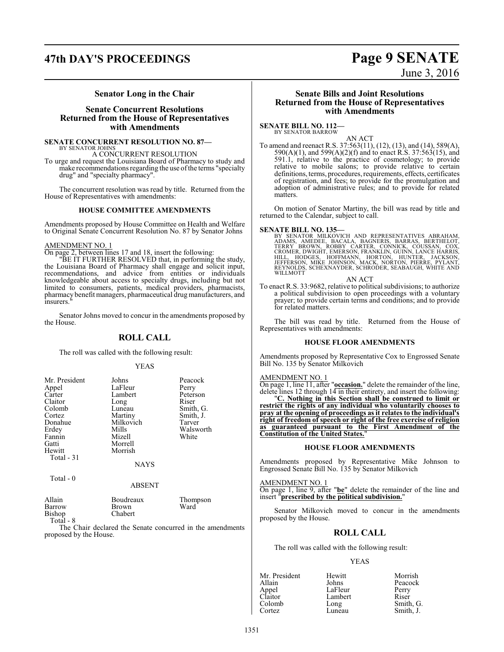# **47th DAY'S PROCEEDINGS Page 9 SENATE**

June 3, 2016

#### **Senator Long in the Chair**

### **Senate Concurrent Resolutions Returned from the House of Representatives with Amendments**

**SENATE CONCURRENT RESOLUTION NO. 87—** BY SENATOR JOHNS

A CONCURRENT RESOLUTION

To urge and request the Louisiana Board of Pharmacy to study and make recommendations regarding the use ofthe terms "specialty drug" and "specialty pharmacy".

The concurrent resolution was read by title. Returned from the House of Representatives with amendments:

#### **HOUSE COMMITTEE AMENDMENTS**

Amendments proposed by House Committee on Health and Welfare to Original Senate Concurrent Resolution No. 87 by Senator Johns

#### AMENDMENT NO. 1

On page 2, between lines 17 and 18, insert the following:

"BE IT FURTHER RESOLVED that, in performing the study, the Louisiana Board of Pharmacy shall engage and solicit input, recommendations, and advice from entities or individuals knowledgeable about access to specialty drugs, including but not limited to consumers, patients, medical providers, pharmacists, pharmacy benefit managers, pharmaceutical drug manufacturers, and insurers.

Senator Johns moved to concur in the amendments proposed by the House.

### **ROLL CALL**

The roll was called with the following result:

YEAS

| Mr. President | Johns       | Peacock   |
|---------------|-------------|-----------|
| Appel         | LaFleur     | Perry     |
| Carter        | Lambert     | Peterson  |
| Claitor       | Long        | Riser     |
| Colomb        | Luneau      | Smith, G. |
| Cortez        | Martiny     | Smith, J. |
| Donahue       | Milkovich   | Tarver    |
| Erdey         | Mills       | Walsworth |
| Fannin        | Mizell      | White     |
| Gatti         | Morrell     |           |
| Hewitt        | Morrish     |           |
| Total - 31    |             |           |
|               | <b>NAYS</b> |           |
| Total $-0$    |             |           |
|               | ABSENT      |           |
|               |             |           |

| Allain    | Boudreaux | Thompson |
|-----------|-----------|----------|
| Barrow    | Brown.    | Ward     |
| Bishop    | Chabert   |          |
| Total - 8 |           |          |

The Chair declared the Senate concurred in the amendments proposed by the House.

#### **Senate Bills and Joint Resolutions Returned from the House of Representatives with Amendments**

**SENATE BILL NO. 112—** BY SENATOR BARROW

AN ACT

To amend and reenact R.S. 37:563(11), (12), (13), and (14), 589(A), 590(A)(1), and 599(A)(2)(f) and to enact R.S. 37:563(15), and 591.1, relative to the practice of cosmetology; to provide relative to mobile salons; to provide relative to certain definitions, terms, procedures, requirements, effects, certificates of registration, and fees; to provide for the promulgation and adoption of administrative rules; and to provide for related matters.

On motion of Senator Martiny, the bill was read by title and returned to the Calendar, subject to call.

**SENATE BILL NO. 135—**<br>BY SENATOR MILKOVICH AND REPRESENTATIVES ABRAHAM,<br>ADAMS, AMEDEE, BACALA, BAGNERIS, BARRAS, BERTHELOT,<br>TERRY BROWN, ROBBY CARTER, CONNICK, COUSSAN, COX,<br>CROMER, DWIGHT, EMERSON, FRANKLIN, GUINN, LANCE WILLMOTT

AN ACT

To enact R.S. 33:9682, relative to political subdivisions; to authorize a political subdivision to open proceedings with a voluntary prayer; to provide certain terms and conditions; and to provide for related matters.

The bill was read by title. Returned from the House of Representatives with amendments:

#### **HOUSE FLOOR AMENDMENTS**

Amendments proposed by Representative Cox to Engrossed Senate Bill No. 135 by Senator Milkovich

#### AMENDMENT NO. 1

On page 1, line 11, after "**occasion.**" delete the remainder of the line, delete lines 12 through 14 in their entirety, and insert the following:

"**C. Nothing in this Section shall be construed to limit or restrict the rights of any individual who voluntarily chooses to pray at the opening of proceedings as it relates to the individual's right of freedom of speech or right of the free exercise of religion as guaranteed pursuant to the First Amendment of the Constitution of the United States.**"

#### **HOUSE FLOOR AMENDMENTS**

Amendments proposed by Representative Mike Johnson to Engrossed Senate Bill No. 135 by Senator Milkovich

#### AMENDMENT NO. 1

On page 1, line 9, after "**be**" delete the remainder of the line and insert "**prescribed by the political subdivision.**"

Senator Milkovich moved to concur in the amendments proposed by the House.

#### **ROLL CALL**

The roll was called with the following result:

#### YEAS

| Mr. President | Hewitt  | Morrish   |
|---------------|---------|-----------|
| Allain        | Johns   | Peacock   |
| Appel         | LaFleur | Perry     |
| Claitor       | Lambert | Riser     |
| Colomb        | Long    | Smith, G. |
| Cortez        | Luneau  | Smith, J. |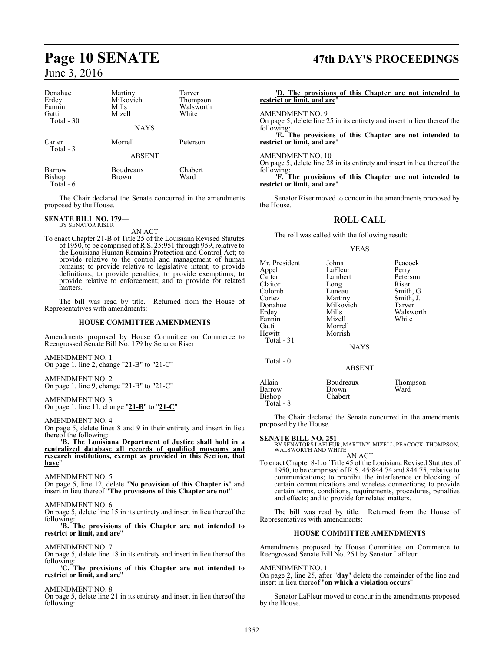| Donahue<br>Erdey<br>Fannin<br>Gatti<br>Total - 30 | Martiny<br>Milkovich<br>Mills<br>Mizell | Tarver<br>Thompson<br>Walsworth<br>White |
|---------------------------------------------------|-----------------------------------------|------------------------------------------|
|                                                   | <b>NAYS</b>                             |                                          |
| Carter<br>Total - 3                               | Morrell                                 | Peterson                                 |
|                                                   | <b>ABSENT</b>                           |                                          |
| Barrow<br>Bishop<br>Total - 6                     | Boudreaux<br>Brown                      | Chabert<br>Ward                          |

The Chair declared the Senate concurred in the amendments proposed by the House.

#### **SENATE BILL NO. 179—** BY SENATOR RISER

AN ACT

To enact Chapter 21-B of Title 25 of the Louisiana Revised Statutes of 1950, to be comprised of R.S. 25:951 through 959, relative to the Louisiana Human Remains Protection and Control Act; to provide relative to the control and management of human remains; to provide relative to legislative intent; to provide definitions; to provide penalties; to provide exemptions; to provide relative to enforcement; and to provide for related matters.

The bill was read by title. Returned from the House of Representatives with amendments:

#### **HOUSE COMMITTEE AMENDMENTS**

Amendments proposed by House Committee on Commerce to Reengrossed Senate Bill No. 179 by Senator Riser

AMENDMENT NO. 1 On page 1, line 2, change "21-B" to "21-C"

AMENDMENT NO. 2 On page 1, line 9, change "21-B" to "21-C"

AMENDMENT NO. 3 On page 1, line 11, change "**21-B**" to "**21-C**"

AMENDMENT NO. 4

On page 5, delete lines 8 and 9 in their entirety and insert in lieu thereof the following:

"**B. The Louisiana Department of Justice shall hold in a centralized database all records of qualified museums and research institutions, exempt as provided in this Section, that have**"

AMENDMENT NO. 5

On page 5, line 12, delete "**No provision of this Chapter is**" and insert in lieu thereof "**The provisions of this Chapter are not**"

#### AMENDMENT NO. 6

On page 5, delete line 15 in its entirety and insert in lieu thereof the following:

#### "**B. The provisions of this Chapter are not intended to restrict or limit, and are**"

#### AMENDMENT NO. 7

On page 5, delete line 18 in its entirety and insert in lieu thereof the following:

#### "**C. The provisions of this Chapter are not intended to restrict or limit, and are**"

#### AMENDMENT NO. 8

On page 5, delete line 21 in its entirety and insert in lieu thereof the following:

# **Page 10 SENATE 47th DAY'S PROCEEDINGS**

#### "**D. The provisions of this Chapter are not intended to restrict or limit, and are**"

### AMENDMENT NO. 9

On page 5, delete line 25 in its entirety and insert in lieu thereof the following:

"**E. The provisions of this Chapter are not intended to restrict or limit, and are**"

#### AMENDMENT NO. 10

On page 5, delete line 28 in its entirety and insert in lieu thereof the following:

"**F. The provisions of this Chapter are not intended to restrict or limit, and are**"

Senator Riser moved to concur in the amendments proposed by the House.

### **ROLL CALL**

The roll was called with the following result:

#### YEAS

| Mr. President<br>Appel<br>Carter<br>Claitor<br>Colomb<br>Cortez<br>Donahue<br>Erdev<br>Fannin<br>Gatti<br>Hewitt<br>Total - 31 | Johns<br>LaFleur<br>Lambert<br>Long<br>Luneau<br>Martiny<br>Milkovich<br>Mills<br>Mizell<br>Morrell<br>Morrish | Peacock<br>Perry<br>Peterson<br>Riser<br>Smith, G.<br>Smith, J.<br>Tarver<br>Walsworth<br>White |
|--------------------------------------------------------------------------------------------------------------------------------|----------------------------------------------------------------------------------------------------------------|-------------------------------------------------------------------------------------------------|
|                                                                                                                                | <b>NAYS</b>                                                                                                    |                                                                                                 |
| Total $-0$                                                                                                                     | <b>ABSENT</b>                                                                                                  |                                                                                                 |
| Allain<br>Barrow<br>Bishop                                                                                                     | Boudreaux<br>Brown<br>Chabert                                                                                  | Thompson<br>Ward                                                                                |

The Chair declared the Senate concurred in the amendments proposed by the House.

Total - 8

**SENATE BILL NO. 251—**<br>BY SENATORS LAFLEUR, MARTINY, MIZELL, PEACOCK, THOMPSON, WALSWORTH AND WHITE AN ACT

To enact Chapter 8-L of Title 45 of the Louisiana Revised Statutes of 1950, to be comprised of R.S. 45:844.74 and 844.75, relative to communications; to prohibit the interference or blocking of certain communications and wireless connections; to provide certain terms, conditions, requirements, procedures, penalties and effects; and to provide for related matters.

The bill was read by title. Returned from the House of Representatives with amendments:

#### **HOUSE COMMITTEE AMENDMENTS**

Amendments proposed by House Committee on Commerce to Reengrossed Senate Bill No. 251 by Senator LaFleur

#### AMENDMENT NO. 1

On page 2, line 25, after "**day**" delete the remainder of the line and insert in lieu thereof "**on which a violation occurs**"

Senator LaFleur moved to concur in the amendments proposed by the House.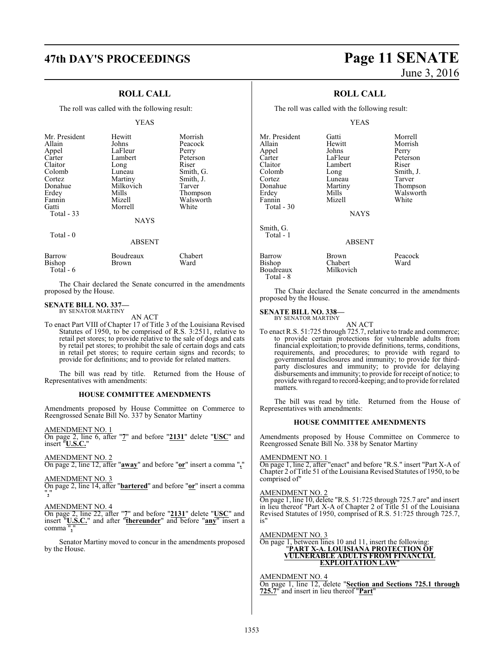## **ROLL CALL**

The roll was called with the following result:

#### YEAS

| Mr. President<br>Allain | Hewitt<br>Johns           | Morrish<br>Peacock |
|-------------------------|---------------------------|--------------------|
| Appel                   | LaFleur                   | Perry              |
| Carter                  | Lambert                   | Peterson           |
| Claitor                 | Long                      | Riser              |
| Colomb                  | Luneau                    | Smith, G.          |
| Cortez                  | Martiny                   | Smith, J.          |
| Donahue                 | Milkovich                 | Tarver             |
| Erdey                   | Mills                     | Thompson           |
| Fannin                  | Mizell                    | Walsworth          |
| Gatti                   | Morrell                   | White              |
| Total - 33              |                           |                    |
|                         | <b>NAYS</b>               |                    |
| Total $-0$              |                           |                    |
|                         | <b>ABSENT</b>             |                    |
| $\mathbf{D}$            | $\mathbf{D} = \mathbf{1}$ | $\sim$ 1 $\sim$    |

| Barrow    | Boudreaux    | Chabert |
|-----------|--------------|---------|
| Bishop    | <b>Brown</b> | Ward    |
| Total - 6 |              |         |

The Chair declared the Senate concurred in the amendments proposed by the House.

#### **SENATE BILL NO. 337—** BY SENATOR MARTINY

AN ACT

To enact Part VIII of Chapter 17 of Title 3 of the Louisiana Revised Statutes of 1950, to be comprised of R.S. 3:2511, relative to retail pet stores; to provide relative to the sale of dogs and cats by retail pet stores; to prohibit the sale of certain dogs and cats in retail pet stores; to require certain signs and records; to provide for definitions; and to provide for related matters.

The bill was read by title. Returned from the House of Representatives with amendments:

#### **HOUSE COMMITTEE AMENDMENTS**

Amendments proposed by House Committee on Commerce to Reengrossed Senate Bill No. 337 by Senator Martiny

#### AMENDMENT NO. 1

On page 2, line 6, after "**7**" and before "**2131**" delete "**USC**" and insert "**U.S.C.**"

#### AMENDMENT NO. 2

On page 2, line 12, after "**away**" and before "**or**" insert a comma "**,**"

#### AMENDMENT NO. 3

On page 2, line 14, after "**bartered**" and before "**or**" insert a comma "**,**"

#### AMENDMENT NO. 4

On page 2, line 22, after "**7**" and before "**2131**" delete "**USC**" and insert "**U.S.C.**" and after "**thereunder**" and before "**any**" insert a comma "**,**"

Senator Martiny moved to concur in the amendments proposed by the House.

# **47th DAY'S PROCEEDINGS Page 11 SENATE** June 3, 2016

## **ROLL CALL**

The roll was called with the following result:

#### YEAS

Mr. President Gatti Gatti Morrell<br>Allain Hewitt Morrish Appel Johns<br>Carter LaFleur Carter LaFleur Peterson Claitor Lambert<br>Colomb Long Colomb Long Smith, J.<br>
Cortez Luneau Tarver Cortez Luneau<br>Donahue Martiny Donahue Martiny Thompson<br>
Erdey Mills Walsworth Fannin Total - 30

Smith, G. Total - 1 Hewitt Morrish<br>Johns Perry Mills Walsworth<br>
Mizell White

**NAYS** 

#### ABSENT

| Barrow    | <b>Brown</b> | Peacock |
|-----------|--------------|---------|
| Bishop    | Chabert      | Ward    |
| Boudreaux | Milkovich    |         |
| Total - 8 |              |         |

The Chair declared the Senate concurred in the amendments proposed by the House.

#### **SENATE BILL NO. 338—**

BY SENATOR MARTINY

AN ACT To enact R.S. 51:725 through 725.7, relative to trade and commerce; to provide certain protections for vulnerable adults from financial exploitation; to provide definitions, terms, conditions, requirements, and procedures; to provide with regard to governmental disclosures and immunity; to provide for thirdparty disclosures and immunity; to provide for delaying disbursements and immunity; to provide for receipt of notice; to provide with regard to record-keeping; and to provide for related matters.

The bill was read by title. Returned from the House of Representatives with amendments:

#### **HOUSE COMMITTEE AMENDMENTS**

Amendments proposed by House Committee on Commerce to Reengrossed Senate Bill No. 338 by Senator Martiny

#### AMENDMENT NO. 1

On page 1, line 2, after "enact" and before "R.S." insert "Part X-A of Chapter 2 of Title 51 of the Louisiana Revised Statutes of 1950, to be comprised of"

#### AMENDMENT NO. 2

On page 1, line 10, delete "R.S. 51:725 through 725.7 are" and insert in lieu thereof "Part X-A of Chapter 2 of Title 51 of the Louisiana Revised Statutes of 1950, comprised of R.S. 51:725 through 725.7, is"

#### AMENDMENT NO. 3

#### On page 1, between lines 10 and 11, insert the following: "**PART X-A. LOUISIANA PROTECTION OF VULNERABLE ADULTS FROM FINANCIAL EXPLOITATION LAW**"

AMENDMENT NO. 4 On page 1, line 12, delete "**Section and Sections 725.1 through 725.7**" and insert in lieu thereof "**Part**"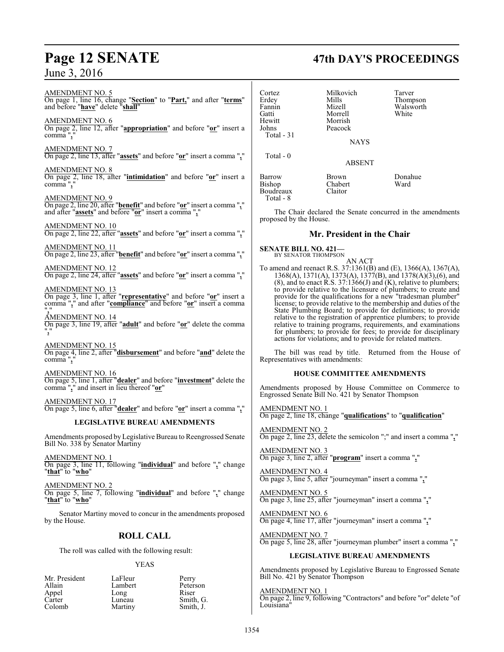# **Page 12 SENATE 47th DAY'S PROCEEDINGS**

AMENDMENT NO. 5 On page 1, line 16, change "**Section**" to "**Part,**" and after "**terms**" and before "**have**" delete "**shall**" AMENDMENT NO. 6 On page 2, line 12, after "**appropriation**" and before "**or**" insert a comma", AMENDMENT NO. 7 On page 2, line 13, after "**assets**" and before "**or**" insert a comma "**,**" AMENDMENT NO. 8 On page 2, line 18, after "**intimidation**" and before "**or**" insert a comma "**,**" AMENDMENT NO. 9 On page 2, line 20, after "**benefit**" and before "**or**" insert a comma "**,**" and after "**assets**" and before "**or**" insert a comma "**,**" AMENDMENT NO. 10 On page 2, line 22, after "**assets**" and before "**or**" insert a comma "**,**" AMENDMENT NO. 11 On page 2, line 23, after "**benefit**" and before "**or**" insert a comma "**,**" AMENDMENT NO. 12 On page 2, line 24, after "**assets**" and before "**or**" insert a comma "**,**" AMENDMENT NO. 13 On page 3, line 1, after "**representative**" and before "**or**" insert a comma "**,**" and after "**compliance**" and before "**or**" insert a comma "**,**" AMENDMENT NO. 14 On page 3, line 19, after "**adult**" and before "**or**" delete the comma "**,**" AMENDMENT NO. 15 On page 4, line 2, after "**disbursement**" and before "**and**" delete the comma "**,**" AMENDMENT NO. 16 On page 5, line 1, after "**dealer**" and before "**investment**" delete the comma "**,**" and insert in lieu thereof "**or**" AMENDMENT NO. 17 On page 5, line 6, after "**dealer**" and before "**or**" insert a comma "**,**" **LEGISLATIVE BUREAU AMENDMENTS** Amendments proposed by Legislative Bureau to Reengrossed Senate Bill No. 338 by Senator Martiny AMENDMENT NO. 1 On page 3, line 11, following "**individual**" and before "**,**" change "**that**" to "**who**" AMENDMENT NO. 2 On page 5, line 7, following "**individual**" and before "**,**" change "**that**" to "**who**" Cortez Milkovich Tarver Total - 8

Senator Martiny moved to concur in the amendments proposed by the House.

## **ROLL CALL**

The roll was called with the following result:

#### YEAS

| Mr. President | LaFleur | Perry     |
|---------------|---------|-----------|
| Allain        | Lambert | Peterson  |
| Appel         | Long    | Riser     |
| Carter        | Luneau  | Smith, G. |
| Colomb        | Martiny | Smith. J. |

| Erdey<br>Fannin<br>Gatti<br>Hewitt<br>Johns     | Mills<br>Mizell<br>Morrell<br>Morrish<br>Peacock | Thompson<br>Walsworth<br>White |
|-------------------------------------------------|--------------------------------------------------|--------------------------------|
| Total - 31                                      | <b>NAYS</b>                                      |                                |
| Total - 0                                       | <b>ABSENT</b>                                    |                                |
| Barrow<br>Bishop<br>Boudreaux<br>$T \times 1$ 0 | <b>Brown</b><br>Chabert<br>Claitor               | Donahue<br>Ward                |

The Chair declared the Senate concurred in the amendments proposed by the House.

### **Mr. President in the Chair**

**SENATE BILL NO. 421—**<br>BY SENATOR THOMPSON

AN ACT

To amend and reenact R.S. 37:1361(B) and (E), 1366(A), 1367(A), 1368(A), 1371(A), 1373(A), 1377(B), and 1378(A)(3),(6), and  $(8)$ , and to enact R.S. 37:1366(J) and  $(K)$ , relative to plumbers; to provide relative to the licensure of plumbers; to create and provide for the qualifications for a new "tradesman plumber" license; to provide relative to the membership and duties of the State Plumbing Board; to provide for definitions; to provide relative to the registration of apprentice plumbers; to provide relative to training programs, requirements, and examinations for plumbers; to provide for fees; to provide for disciplinary actions for violations; and to provide for related matters.

The bill was read by title. Returned from the House of Representatives with amendments:

#### **HOUSE COMMITTEE AMENDMENTS**

Amendments proposed by House Committee on Commerce to Engrossed Senate Bill No. 421 by Senator Thompson

AMENDMENT NO. 1 On page 2, line 18, change "**qualifications**" to "**qualification**"

AMENDMENT NO. 2 On page 2, line 23, delete the semicolon ";" and insert a comma "**,**"

AMENDMENT NO. 3 On page 3, line 2, after "**program**" insert a comma "**,**"

AMENDMENT NO. 4 On page 3, line 5, after "journeyman" insert a comma "**,**"

AMENDMENT NO. 5 On page 3, line 25, after "journeyman" insert a comma "**,**"

AMENDMENT NO. 6 On page 4, line 17, after "journeyman" insert a comma "**,**"

AMENDMENT NO. 7 On page 5, line 28, after "journeyman plumber" insert a comma "**,**"

### **LEGISLATIVE BUREAU AMENDMENTS**

Amendments proposed by Legislative Bureau to Engrossed Senate Bill No. 421 by Senator Thompson

#### AMENDMENT NO. 1

On page 2, line 9, following "Contractors" and before "or" delete "of Louisiana"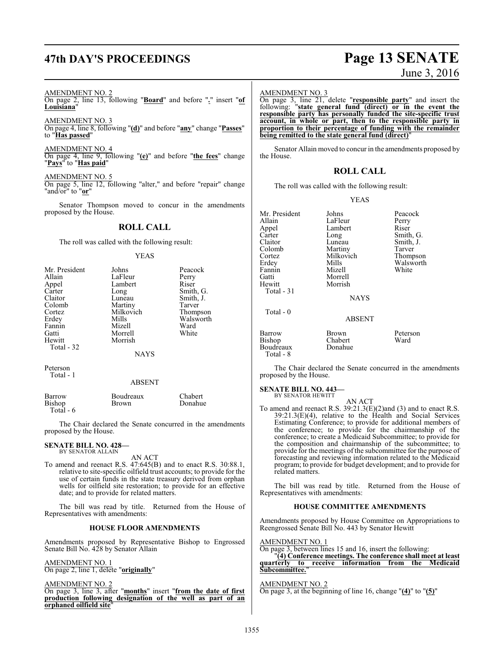# **47th DAY'S PROCEEDINGS Page 13 SENATE**

# June 3, 2016

#### AMENDMENT NO. 2

On page 2, line 13, following "**Board**" and before "**.**" insert "**of Louisiana**"

AMENDMENT NO. 3

On page 4, line 8, following "**(d)**" and before "**any**" change "**Passes**" to "**Has passed**"

AMENDMENT NO. 4 On page 4, line 9, following "**(e)**" and before "**the fees**" change

"**Pays**" to "**Has paid**"

#### AMENDMENT NO. 5

On page 5, line 12, following "alter," and before "repair" change "and/or" to "**or**"

Senator Thompson moved to concur in the amendments proposed by the House.

## **ROLL CALL**

The roll was called with the following result:

#### YEAS

| Mr. President<br>Allain<br>Appel<br>Carter<br>Claitor<br>Colomb<br>Cortez<br>Erdey<br>Fannin<br>Gatti<br>Hewitt<br>Total - 32 | Johns<br>LaFleur<br>Lambert<br>Long<br>Luneau<br>Martiny<br>Milkovich<br>Mills<br>Mizell<br>Morrell<br>Morrish<br><b>NAYS</b> | Peacock<br>Perry<br>Riser<br>Smith, G.<br>Smith, J.<br>Tarver<br>Thompson<br>Walsworth<br>Ward<br>White |
|-------------------------------------------------------------------------------------------------------------------------------|-------------------------------------------------------------------------------------------------------------------------------|---------------------------------------------------------------------------------------------------------|
|                                                                                                                               |                                                                                                                               |                                                                                                         |
| Peterson<br>Total - 1                                                                                                         |                                                                                                                               |                                                                                                         |

#### ABSENT

| Barrow     | Boudreaux    | <b>Chabert</b> |
|------------|--------------|----------------|
| Bishop     | <b>Brown</b> | Donahue        |
| Total $-6$ |              |                |

The Chair declared the Senate concurred in the amendments proposed by the House.

#### **SENATE BILL NO. 428—** BY SENATOR ALLAIN

AN ACT

To amend and reenact R.S. 47:645(B) and to enact R.S. 30:88.1, relative to site-specific oilfield trust accounts; to provide for the use of certain funds in the state treasury derived from orphan wells for oilfield site restoration; to provide for an effective date; and to provide for related matters.

The bill was read by title. Returned from the House of Representatives with amendments:

#### **HOUSE FLOOR AMENDMENTS**

Amendments proposed by Representative Bishop to Engrossed Senate Bill No. 428 by Senator Allain

AMENDMENT NO. 1

On page 2, line 1, delete "**originally**"

AMENDMENT NO. 2

On page 3, line 3, after "**months**" insert "**from the date of first production following designation of the well as part of an orphaned oilfield site**"

#### AMENDMENT NO. 3

On page 3, line 21, delete "**responsible party**" and insert the following: "**state general fund (direct) or in the event the responsible party has personally funded the site-specific trust account, in whole or part, then to the responsible party in proportion to their percentage of funding with the remainder being remitted to the state general fund (direct)**"

Senator Allain moved to concur in the amendments proposed by the House.

#### **ROLL CALL**

The roll was called with the following result:

#### YEAS

| Mr. President | Johns         | Peacock   |
|---------------|---------------|-----------|
| Allain        | LaFleur       | Perry     |
| Appel         | Lambert       | Riser     |
| Carter        | Long          | Smith, G. |
| Claitor       | Luneau        | Smith, J. |
| Colomb        | Martiny       | Tarver    |
| Cortez        | Milkovich     | Thompson  |
| Erdey         | Mills         | Walsworth |
| Fannin        | Mizell        | White     |
| Gatti         | Morrell       |           |
| Hewitt        | Morrish       |           |
| Total - 31    |               |           |
|               | <b>NAYS</b>   |           |
| Total - 0     |               |           |
|               | <b>ABSENT</b> |           |
| Barrow        | Brown         | Peterson  |
| Bishop        | Chabert       | Ward      |
| Boudreaux     | Donahue       |           |
| Total - 8     |               |           |

The Chair declared the Senate concurred in the amendments proposed by the House.

#### **SENATE BILL NO. 443—**

BY SENATOR HEWITT

AN ACT To amend and reenact R.S. 39:21.3(E)(2)and (3) and to enact R.S. 39:21.3(E)(4), relative to the Health and Social Services Estimating Conference; to provide for additional members of the conference; to provide for the chairmanship of the conference; to create a Medicaid Subcommittee; to provide for the composition and chairmanship of the subcommittee; to provide for the meetings of the subcommittee for the purpose of forecasting and reviewing information related to the Medicaid program; to provide for budget development; and to provide for related matters.

The bill was read by title. Returned from the House of Representatives with amendments:

#### **HOUSE COMMITTEE AMENDMENTS**

Amendments proposed by House Committee on Appropriations to Reengrossed Senate Bill No. 443 by Senator Hewitt

#### AMENDMENT NO. 1

On page 3, between lines 15 and 16, insert the following: "**(4) Conference meetings. The conference shall meet at least quarterly to receive information from the Medicaid** Subcommittee.

## AMENDMENT NO. 2

On page 3, at the beginning of line 16, change "**(4)**" to "**(5)**"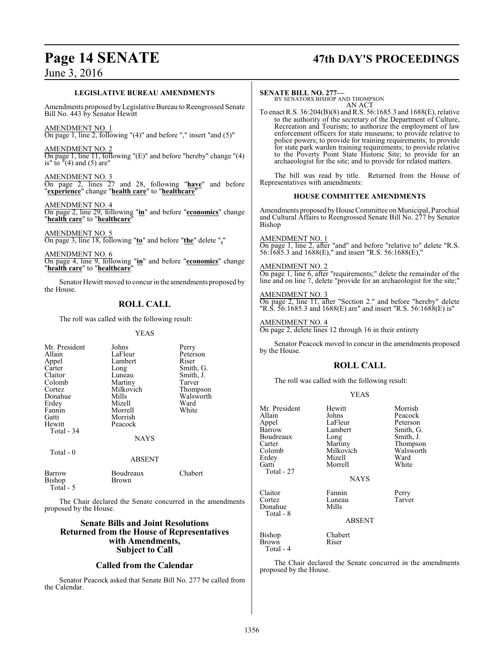# **Page 14 SENATE 47th DAY'S PROCEEDINGS**

#### **LEGISLATIVE BUREAU AMENDMENTS**

Amendments proposed by Legislative Bureau to Reengrossed Senate Bill No. 443 by Senator Hewitt

AMENDMENT NO. 1 On page 1, line 2, following "(4)" and before "," insert "and (5)"

AMENDMENT NO. 2 On page 1, line 11, following "(E)" and before "hereby" change "(4) is" to  $\sqrt{4}$  and (5) are"

AMENDMENT NO. 3 On page 2, lines 27 and 28, following "**have**" and before "**experience**" change "**health care**" to "**healthcare**"

AMENDMENT NO. 4 On page 2, line 29, following "**in**" and before "**economics**" change "**health care**" to "**healthcare**"

AMENDMENT NO. 5 On page 3, line 18, following "**to**" and before "**the**" delete "**,**"

AMENDMENT NO. 6 On page 4, line 9, following "**in**" and before "**economics**" change "**health care**" to "**healthcare**"

Senator Hewitt moved to concur in the amendments proposed by the House.

## **ROLL CALL**

The roll was called with the following result:

#### YEAS

| Mr. President<br>Allain<br>Appel<br>Carter<br>Claitor<br>Colomb<br>Cortez<br>Donahue<br>Erdey<br>Fannin<br>Gatti<br>Hewitt<br>Total - 34<br>Total - 0 | Johns<br>LaFleur<br>Lambert<br>Long<br>Luneau<br>Martiny<br>Milkovich<br>Mills<br>Mizell<br>Morrell<br>Morrish<br>Peacock<br><b>NAYS</b> | Perry<br>Peterson<br>Riser<br>Smith, G.<br>Smith, J.<br>Tarver<br>Thompson<br>Walsworth<br>Ward<br>White |
|-------------------------------------------------------------------------------------------------------------------------------------------------------|------------------------------------------------------------------------------------------------------------------------------------------|----------------------------------------------------------------------------------------------------------|
|                                                                                                                                                       | <b>ABSENT</b>                                                                                                                            |                                                                                                          |
| <b>Barrow</b><br>Bishop<br>Total - $5$                                                                                                                | Boudreaux<br>Brown                                                                                                                       | Chabert                                                                                                  |

The Chair declared the Senate concurred in the amendments proposed by the House.

### **Senate Bills and Joint Resolutions Returned from the House of Representatives with Amendments, Subject to Call**

## **Called from the Calendar**

Senator Peacock asked that Senate Bill No. 277 be called from the Calendar.

#### **SENATE BILL NO. 277—**

BY SENATORS BISHOP AND THOMPSON AN ACT

To enact R.S. 36:204(B)(8) and R.S. 56:1685.3 and 1688(E), relative to the authority of the secretary of the Department of Culture, Recreation and Tourism; to authorize the employment of law enforcement officers for state museums; to provide relative to police powers; to provide for training requirements; to provide for state park warden training requirements; to provide relative to the Poverty Point State Historic Site; to provide for an archaeologist for the site; and to provide for related matters.

The bill was read by title. Returned from the House of Representatives with amendments:

### **HOUSE COMMITTEE AMENDMENTS**

Amendments proposed byHouse Committee on Municipal, Parochial and Cultural Affairs to Reengrossed Senate Bill No. 277 by Senator Bishop

#### AMENDMENT NO. 1

On page 1, line 2, after "and" and before "relative to" delete "R.S. 56:1685.3 and 1688(E)," and insert "R.S. 56:1688(E),"

#### AMENDMENT NO. 2

On page 1, line 6, after "requirements;" delete the remainder of the line and on line 7, delete "provide for an archaeologist for the site;"

#### AMENDMENT NO. 3

On page 2, line 11, after "Section 2." and before "hereby" delete "R.S. 56:1685.3 and 1688(E) are" and insert "R.S. 56:1688(E) is"

AMENDMENT NO. 4 On page 2, delete lines 12 through 16 in their entirety

Senator Peacock moved to concur in the amendments proposed by the House.

## **ROLL CALL**

The roll was called with the following result:

#### YEAS

| Mr. President<br>Allain<br>Appel<br>Barrow<br>Boudreaux<br>Carter<br>Colomb<br>Erdey<br>Gatti<br>Total - 27 | Hewitt<br>Johns<br>LaFleur<br>Lambert<br>Long<br>Martiny<br>Milkovich<br>Mizell<br>Morrell<br><b>NAYS</b> | Morrish<br>Peacock<br>Peterson<br>Smith, G.<br>Smith, J.<br>Thompson<br>Walsworth<br>Ward<br>White |
|-------------------------------------------------------------------------------------------------------------|-----------------------------------------------------------------------------------------------------------|----------------------------------------------------------------------------------------------------|
| Claitor<br>Cortez<br>Donahue<br>Total - 8                                                                   | Fannin<br>Luneau<br>Mills<br><b>ABSENT</b>                                                                | Perry<br>Tarver                                                                                    |
| Bishop<br>Brown                                                                                             | Chabert<br>Riser                                                                                          |                                                                                                    |

Total - 4

The Chair declared the Senate concurred in the amendments proposed by the House.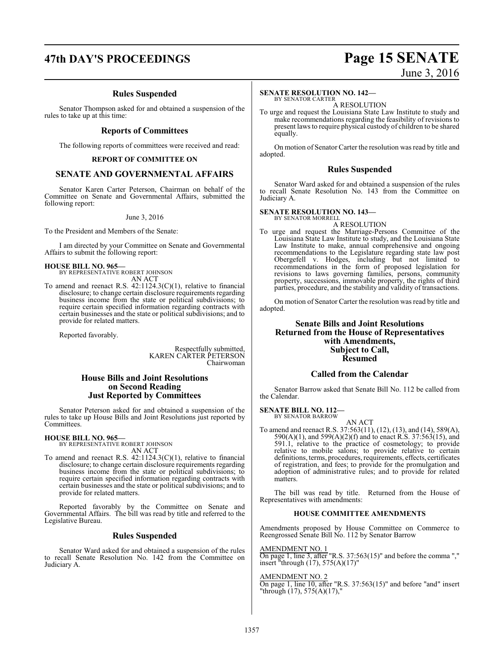# **47th DAY'S PROCEEDINGS Page 15 SENATE**

## **Rules Suspended**

Senator Thompson asked for and obtained a suspension of the rules to take up at this time:

#### **Reports of Committees**

The following reports of committees were received and read:

#### **REPORT OF COMMITTEE ON**

#### **SENATE AND GOVERNMENTAL AFFAIRS**

Senator Karen Carter Peterson, Chairman on behalf of the Committee on Senate and Governmental Affairs, submitted the following report:

June 3, 2016

To the President and Members of the Senate:

I am directed by your Committee on Senate and Governmental Affairs to submit the following report:

# **HOUSE BILL NO. 965—** BY REPRESENTATIVE ROBERT JOHNSON

AN ACT

To amend and reenact R.S. 42:1124.3(C)(1), relative to financial disclosure; to change certain disclosure requirements regarding business income from the state or political subdivisions; to require certain specified information regarding contracts with certain businesses and the state or political subdivisions; and to provide for related matters.

Reported favorably.

Respectfully submitted, KAREN CARTER PETERSON Chairwoman

#### **House Bills and Joint Resolutions on Second Reading Just Reported by Committees**

Senator Peterson asked for and obtained a suspension of the rules to take up House Bills and Joint Resolutions just reported by Committees.

**HOUSE BILL NO. 965—** BY REPRESENTATIVE ROBERT JOHNSON AN ACT

To amend and reenact R.S. 42:1124.3(C)(1), relative to financial disclosure; to change certain disclosure requirements regarding business income from the state or political subdivisions; to require certain specified information regarding contracts with certain businesses and the state or political subdivisions; and to provide for related matters.

Reported favorably by the Committee on Senate and Governmental Affairs. The bill was read by title and referred to the Legislative Bureau.

#### **Rules Suspended**

Senator Ward asked for and obtained a suspension of the rules to recall Senate Resolution No. 142 from the Committee on Judiciary A.

# June 3, 2016

#### **SENATE RESOLUTION NO. 142—**

BY SENATOR CARTER A RESOLUTION

To urge and request the Louisiana State Law Institute to study and make recommendations regarding the feasibility of revisions to present laws to require physical custody of children to be shared equally.

On motion of Senator Carter the resolution was read by title and adopted.

#### **Rules Suspended**

Senator Ward asked for and obtained a suspension of the rules to recall Senate Resolution No. 143 from the Committee on Judiciary A.

#### **SENATE RESOLUTION NO. 143—**

BY SENATOR MORRELL A RESOLUTION

To urge and request the Marriage-Persons Committee of the Louisiana State Law Institute to study, and the Louisiana State Law Institute to make, annual comprehensive and ongoing recommendations to the Legislature regarding state law post Obergefell v. Hodges, including but not limited to recommendations in the form of proposed legislation for revisions to laws governing families, persons, community property, successions, immovable property, the rights of third parties, procedure, and the stability and validity of transactions.

On motion of Senator Carter the resolution was read by title and adopted.

#### **Senate Bills and Joint Resolutions Returned from the House of Representatives with Amendments, Subject to Call, Resumed**

#### **Called from the Calendar**

Senator Barrow asked that Senate Bill No. 112 be called from the Calendar.

**SENATE BILL NO. 112—**

BY SENATOR BARROW AN ACT

To amend and reenact R.S. 37:563(11), (12), (13), and (14), 589(A), 590(A)(1), and 599(A)(2)(f) and to enact R.S. 37:563(15), and 591.1, relative to the practice of cosmetology; to provide relative to mobile salons; to provide relative to certain definitions, terms, procedures, requirements, effects, certificates of registration, and fees; to provide for the promulgation and adoption of administrative rules; and to provide for related matters

The bill was read by title. Returned from the House of Representatives with amendments:

#### **HOUSE COMMITTEE AMENDMENTS**

Amendments proposed by House Committee on Commerce to Reengrossed Senate Bill No. 112 by Senator Barrow

#### AMENDMENT NO. 1

On page 1, line 3, after "R.S. 37:563(15)" and before the comma "," insert "through  $(17)$ , 575 $(A)(17)$ "

#### AMENDMENT NO. 2

On page 1, line 10, after "R.S. 37:563(15)" and before "and" insert "through  $(17)$ , 575 $(A)(17)$ ,"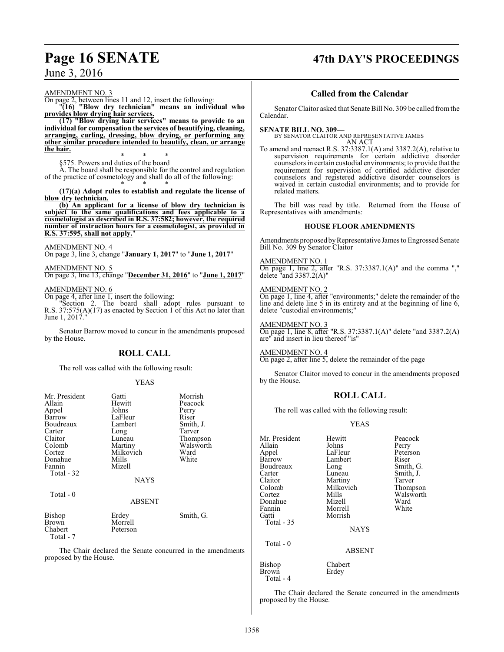# **Page 16 SENATE 47th DAY'S PROCEEDINGS**

June 3, 2016

AMENDMENT NO. 3

On page 2, between lines 11 and 12, insert the following: "**(16) "Blow dry technician" means an individual who**

**provides blow drying hair services. (17) "Blow drying hair services" means to provide to an individual for compensation the services of beautifying, cleaning, arranging, curling, dressing, blow drying, or performing any other similar procedure intended to beautify, clean, or arrange the hair.**

\* \* \* §575. Powers and duties of the board

A. The board shall be responsible for the control and regulation of the practice of cosmetology and shall do all of the following:

\* \* \* **(17)(a) Adopt rules to establish and regulate the license of blow dry technician.**

**(b) An applicant for a license of blow dry technician is subject to the same qualifications and fees applicable to a cosmetologist as described in R.S. 37:582; however, the required number of instruction hours for a cosmetologist, as provided in R.S. 37:595, shall not apply.** 

#### AMENDMENT NO. 4

On page 3, line 3, change "**January 1, 2017**" to "**June 1, 2017**"

# AMENDMENT NO. 5

On page 3, line 13, change "**December 31, 2016**" to "**June 1, 2017**"

#### AMENDMENT NO. 6

On page 4, after line 1, insert the following:

"Section 2. The board shall adopt rules pursuant to R.S. 37:575(A)(17) as enacted by Section 1 of this Act no later than June 1, 2017.

Senator Barrow moved to concur in the amendments proposed by the House.

## **ROLL CALL**

The roll was called with the following result:

#### YEAS

| Mr. President<br>Allain<br>Appel<br>Barrow<br>Boudreaux<br>Carter | Gatti<br>Hewitt<br>Johns<br>LaFleur<br>Lambert<br>Long           | Morrish<br>Peacock<br>Perry<br>Riser<br>Smith, J.<br>Tarver |
|-------------------------------------------------------------------|------------------------------------------------------------------|-------------------------------------------------------------|
| Claitor<br>Colomb<br>Cortez<br>Donahue<br>Fannin<br>Total - 32    | Luneau<br>Martiny<br>Milkovich<br>Mills<br>Mizell<br><b>NAYS</b> | Thompson<br>Walsworth<br>Ward<br>White                      |
| Total - 0                                                         | <b>ABSENT</b>                                                    |                                                             |
| Bishop<br>Brown<br>Chabert<br>Total $-7$                          | Erdey<br>Morrell<br>Peterson                                     | Smith, G.                                                   |

The Chair declared the Senate concurred in the amendments proposed by the House.

### **Called from the Calendar**

Senator Claitor asked that Senate Bill No. 309 be called fromthe Calendar.

#### **SENATE BILL NO. 309—**

BY SENATOR CLAITOR AND REPRESENTATIVE JAMES AN ACT

To amend and reenact R.S. 37:3387.1(A) and 3387.2(A), relative to supervision requirements for certain addictive disorder counselors in certain custodial environments; to provide that the requirement for supervision of certified addictive disorder counselors and registered addictive disorder counselors is waived in certain custodial environments; and to provide for related matters.

The bill was read by title. Returned from the House of Representatives with amendments:

#### **HOUSE FLOOR AMENDMENTS**

Amendments proposed by Representative James to Engrossed Senate Bill No. 309 by Senator Claitor

#### AMENDMENT NO. 1

On page 1, line 2, after "R.S. 37:3387.1(A)" and the comma "," delete "and  $3387.2(A)$ "

#### AMENDMENT NO. 2

On page 1, line 4, after "environments;" delete the remainder of the line and delete line 5 in its entirety and at the beginning of line 6, delete "custodial environments;"

#### AMENDMENT NO. 3

On page 1, line 8, after "R.S. 37:3387.1(A)" delete "and 3387.2(A) are" and insert in lieu thereof "is"

AMENDMENT NO. 4

On page 2, after line 5, delete the remainder of the page

Senator Claitor moved to concur in the amendments proposed by the House.

### **ROLL CALL**

The roll was called with the following result:

Mr. President Hewitt Peacock<br>Allain Johns Perry

#### YEAS

| Allain        | Johns         | Perry     |
|---------------|---------------|-----------|
| Appel         | LaFleur       | Peterson  |
| Barrow        | Lambert       | Riser     |
| Boudreaux     | Long          | Smith, G. |
| Carter        | Luneau        | Smith, J. |
| Claitor       | Martiny       | Tarver    |
| Colomb        | Milkovich     | Thompson  |
| Cortez        | Mills         | Walsworth |
| Donahue       | Mizell        | Ward      |
| Fannin        | Morrell       | White     |
| Gatti         | Morrish       |           |
| Total $-35$   |               |           |
|               | <b>NAYS</b>   |           |
| Total - 0     |               |           |
|               | <b>ABSENT</b> |           |
| <b>Bishop</b> | Chabert       |           |
| Brown         | Erdey         |           |
| $Total - 4$   |               |           |

The Chair declared the Senate concurred in the amendments proposed by the House.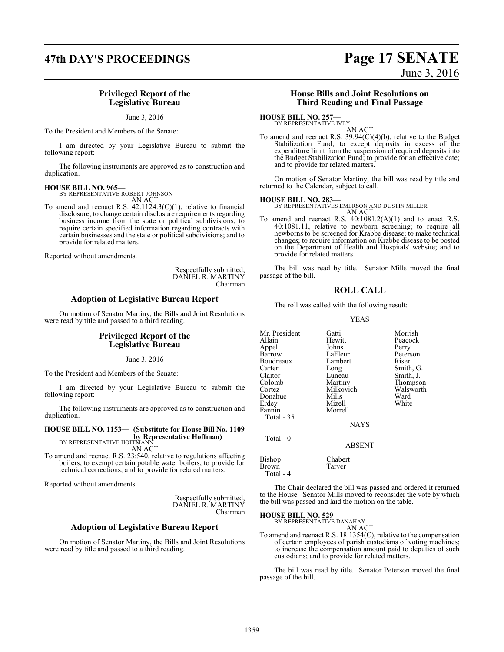# **47th DAY'S PROCEEDINGS Page 17 SENATE**

## June 3, 2016

#### **Privileged Report of the Legislative Bureau**

June 3, 2016

To the President and Members of the Senate:

I am directed by your Legislative Bureau to submit the following report:

The following instruments are approved as to construction and duplication.

# **HOUSE BILL NO. 965—** BY REPRESENTATIVE ROBERT JOHNSON

AN ACT

To amend and reenact R.S. 42:1124.3(C)(1), relative to financial disclosure; to change certain disclosure requirements regarding business income from the state or political subdivisions; to require certain specified information regarding contracts with certain businesses and the state or political subdivisions; and to provide for related matters.

Reported without amendments.

Respectfully submitted, DANIEL R. MARTINY Chairman

### **Adoption of Legislative Bureau Report**

On motion of Senator Martiny, the Bills and Joint Resolutions were read by title and passed to a third reading.

#### **Privileged Report of the Legislative Bureau**

June 3, 2016

To the President and Members of the Senate:

I am directed by your Legislative Bureau to submit the following report:

The following instruments are approved as to construction and duplication.

#### **HOUSE BILL NO. 1153— (Substitute for House Bill No. 1109 by Representative Hoffman)** BY REPRESENTATIVE HOFFMANI

AN ACT

To amend and reenact R.S. 23:540, relative to regulations affecting boilers; to exempt certain potable water boilers; to provide for technical corrections; and to provide for related matters.

Reported without amendments.

Respectfully submitted, DANIEL R. MARTINY Chairman

#### **Adoption of Legislative Bureau Report**

On motion of Senator Martiny, the Bills and Joint Resolutions were read by title and passed to a third reading.

#### **House Bills and Joint Resolutions on Third Reading and Final Passage**

#### **HOUSE BILL NO. 257—**

BY REPRESENTATIVE IVEY AN ACT

To amend and reenact R.S. 39:94(C)(4)(b), relative to the Budget Stabilization Fund; to except deposits in excess of the expenditure limit from the suspension of required deposits into the Budget Stabilization Fund; to provide for an effective date; and to provide for related matters.

On motion of Senator Martiny, the bill was read by title and returned to the Calendar, subject to call.

#### **HOUSE BILL NO. 283—**

BY REPRESENTATIVES EMERSON AND DUSTIN MILLER AN ACT

To amend and reenact R.S. 40:1081.2(A)(1) and to enact R.S. 40:1081.11, relative to newborn screening; to require all newborns to be screened for Krabbe disease; to make technical changes; to require information on Krabbe disease to be posted on the Department of Health and Hospitals' website; and to provide for related matters.

The bill was read by title. Senator Mills moved the final passage of the bill.

### **ROLL CALL**

The roll was called with the following result:

#### YEAS

| Mr. President<br>Allain<br>Appel<br>Barrow<br>Boudreaux<br>Carter<br>Claitor<br>Colomb<br>Cortez<br>Donahue<br>Erdey<br>Fannin<br>Total $-35$ | Gatti<br>Hewitt<br>Johns<br>LaFleur<br>Lambert<br>Long<br>Luneau<br>Martiny<br>Milkovich<br>Mills<br>Mizell<br>Morrell | Morrish<br>Peacock<br>Perry<br>Peterson<br>Riser<br>Smith, G.<br>Smith, J.<br>Thompson<br>Walsworth<br>Ward<br>White |
|-----------------------------------------------------------------------------------------------------------------------------------------------|------------------------------------------------------------------------------------------------------------------------|----------------------------------------------------------------------------------------------------------------------|
|                                                                                                                                               | <b>NAYS</b>                                                                                                            |                                                                                                                      |
| Total $-0$                                                                                                                                    | ABSENT                                                                                                                 |                                                                                                                      |
| Bishop<br>Brown<br>Total - 4                                                                                                                  | Chabert<br>Tarver                                                                                                      |                                                                                                                      |

The Chair declared the bill was passed and ordered it returned to the House. Senator Mills moved to reconsider the vote by which the bill was passed and laid the motion on the table.

#### **HOUSE BILL NO. 529—**

BY REPRESENTATIVE DANAHAY AN ACT

To amend and reenact R.S. 18:1354(C), relative to the compensation of certain employees of parish custodians of voting machines; to increase the compensation amount paid to deputies of such custodians; and to provide for related matters.

The bill was read by title. Senator Peterson moved the final passage of the bill.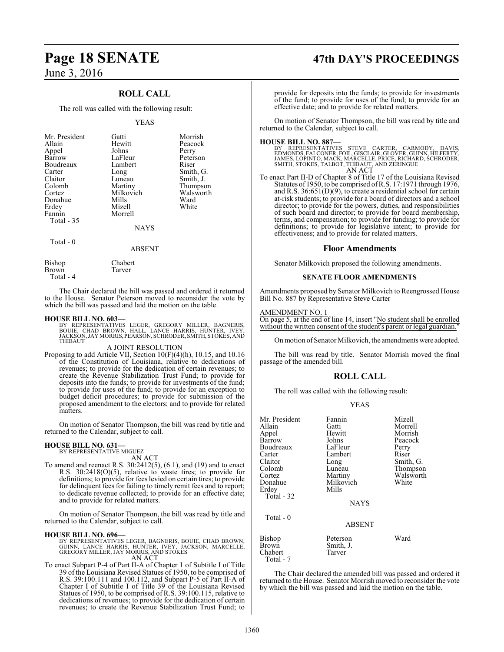## **ROLL CALL**

The roll was called with the following result:

#### YEAS

| Mr. President<br>Allain<br>Appel<br>Barrow<br>Boudreaux<br>Carter<br>Claitor<br>Colomb<br>Cortez<br>Donahue<br>Erdey<br>Fannin<br>Total $-35$ | Gatti<br>Hewitt<br>Johns<br>LaFleur<br>Lambert<br>Long<br>Luneau<br>Martiny<br>Milkovich<br>Mills<br>Mizell<br>Morrell<br><b>NAYS</b> | Morrish<br>Peacock<br>Perry<br>Peterson<br>Riser<br>Smith, G.<br>Smith, J.<br>Thompson<br>Walsworth<br>Ward<br>White |
|-----------------------------------------------------------------------------------------------------------------------------------------------|---------------------------------------------------------------------------------------------------------------------------------------|----------------------------------------------------------------------------------------------------------------------|
| Total - 0                                                                                                                                     | ABSENT                                                                                                                                |                                                                                                                      |

**Tarver** 

Bishop Chabert<br>Brown Tarver

Total - 4

The Chair declared the bill was passed and ordered it returned to the House. Senator Peterson moved to reconsider the vote by which the bill was passed and laid the motion on the table.

#### **HOUSE BILL NO. 603—**

BY REPRESENTATIVES LEGER, GREGORY MILLER, BAGNERIS,<br>BOUIE, CHAD BROWN, HALL, LANCE HARRIS, HUNTER, IVEY,<br>JACKSON,JAYMORRIS,PEARSON,SCHRODER,SMITH,STOKES,AND THIBAUT

#### A JOINT RESOLUTION

Proposing to add Article VII, Section 10(F)(4)(h), 10.15, and 10.16 of the Constitution of Louisiana, relative to dedications of revenues; to provide for the dedication of certain revenues; to create the Revenue Stabilization Trust Fund; to provide for deposits into the funds; to provide for investments of the fund; to provide for uses of the fund; to provide for an exception to budget deficit procedures; to provide for submission of the proposed amendment to the electors; and to provide for related matters.

On motion of Senator Thompson, the bill was read by title and returned to the Calendar, subject to call.

#### **HOUSE BILL NO. 631—**

BY REPRESENTATIVE MIGUEZ AN ACT

To amend and reenact R.S. 30:2412(5), (6.1), and (19) and to enact R.S. 30:2418(O)(5), relative to waste tires; to provide for definitions; to provide for fees levied on certain tires; to provide for delinquent fees for failing to timely remit fees and to report; to dedicate revenue collected; to provide for an effective date; and to provide for related matters.

On motion of Senator Thompson, the bill was read by title and returned to the Calendar, subject to call.

**HOUSE BILL NO. 696—** BY REPRESENTATIVES LEGER, BAGNERIS, BOUIE, CHAD BROWN, GUINN, LANCE HARRIS, HUNTER, IVEY, JACKSON, MARCELLE, GREGORY MILLER, JAY MORRIS, AND STOKES AN ACT

To enact Subpart P-4 of Part II-A of Chapter 1 of Subtitle I of Title 39 of the Louisiana Revised Statues of 1950, to be comprised of R.S. 39:100.111 and 100.112, and Subpart P-5 of Part II-A of Chapter I of Subtitle I of Title 39 of the Louisiana Revised Statues of 1950, to be comprised of R.S. 39:100.115, relative to dedications of revenues; to provide for the dedication of certain revenues; to create the Revenue Stabilization Trust Fund; to

# **Page 18 SENATE 47th DAY'S PROCEEDINGS**

provide for deposits into the funds; to provide for investments of the fund; to provide for uses of the fund; to provide for an effective date; and to provide for related matters.

On motion of Senator Thompson, the bill was read by title and returned to the Calendar, subject to call.

**HOUSE BILL NO. 887—** BY REPRESENTATIVES STEVE CARTER, CARMODY, DAVIS, EDMONDS, FALCONER, FOIL, GISCLAIR, GLOVER, GUINN, HILFERTY, JAMES, LOPINTO, MACK, MARCELLE, PRICE, RICHARD, SCHRODER, SMITH, STOKES, TALBOT, THIBAUT, AND ZERINGUE AN ACT

To enact Part II-D of Chapter 8 of Title 17 of the Louisiana Revised Statutes of 1950, to be comprised ofR.S. 17:1971 through 1976, and R.S. 36:651(D)(9), to create a residential school for certain at-risk students; to provide for a board of directors and a school director; to provide for the powers, duties, and responsibilities of such board and director; to provide for board membership, terms, and compensation; to provide for funding; to provide for definitions; to provide for legislative intent; to provide for effectiveness; and to provide for related matters.

#### **Floor Amendments**

Senator Milkovich proposed the following amendments.

#### **SENATE FLOOR AMENDMENTS**

Amendments proposed by Senator Milkovich to Reengrossed House Bill No. 887 by Representative Steve Carter

#### AMENDMENT NO. 1

On page 5, at the end of line 14, insert "No student shall be enrolled without the written consent of the student's parent or legal guardian.

On motion of Senator Milkovich, the amendments were adopted.

The bill was read by title. Senator Morrish moved the final passage of the amended bill.

### **ROLL CALL**

The roll was called with the following result:

#### YEAS

| Mr. President | Fannin        | Mizell    |
|---------------|---------------|-----------|
| Allain        | Gatti         | Morrell   |
| Appel         | Hewitt        | Morrish   |
| Barrow        | Johns         | Peacock   |
| Boudreaux     | LaFleur       | Perry     |
| Carter        | Lambert       | Riser     |
| Claitor       | Long          | Smith, G. |
| Colomb        | Luneau        | Thompson  |
| Cortez        | Martiny       | Walsworth |
| Donahue       | Milkovich     | White     |
| Erdey         | Mills         |           |
| Total - 32    |               |           |
|               | <b>NAYS</b>   |           |
| Total - 0     |               |           |
|               | <b>ABSENT</b> |           |
| <b>Bishop</b> | Peterson      | Ward      |
| <b>Brown</b>  | Smith, J.     |           |
| Chabert       | Tarver        |           |
| Total - 7     |               |           |

The Chair declared the amended bill was passed and ordered it returned to the House. Senator Morrish moved to reconsider the vote by which the bill was passed and laid the motion on the table.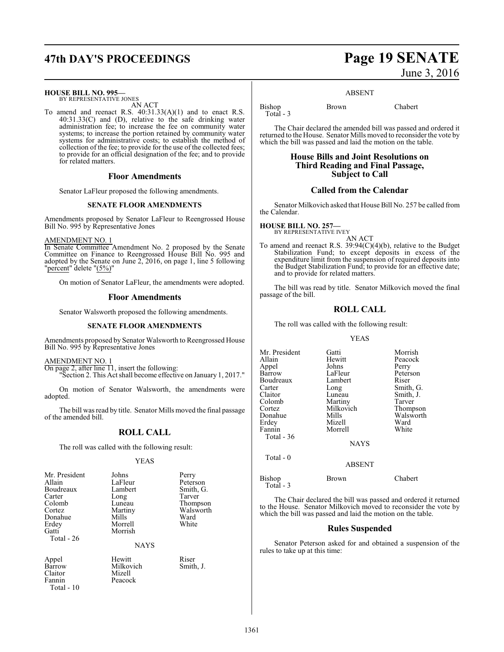# **47th DAY'S PROCEEDINGS Page 19 SENATE**

#### **HOUSE BILL NO. 995—**

BY REPRESENTATIVE JONES AN ACT

To amend and reenact R.S. 40:31.33(A)(1) and to enact R.S. 40:31.33(C) and (D), relative to the safe drinking water administration fee; to increase the fee on community water systems; to increase the portion retained by community water systems for administrative costs; to establish the method of collection of the fee; to provide for the use of the collected fees; to provide for an official designation of the fee; and to provide for related matters.

#### **Floor Amendments**

Senator LaFleur proposed the following amendments.

#### **SENATE FLOOR AMENDMENTS**

Amendments proposed by Senator LaFleur to Reengrossed House Bill No. 995 by Representative Jones

#### AMENDMENT NO. 1

In Senate Committee Amendment No. 2 proposed by the Senate Committee on Finance to Reengrossed House Bill No. 995 and adopted by the Senate on June 2, 2016, on page 1, line 5 following "percent" delete "(5%)"

On motion of Senator LaFleur, the amendments were adopted.

#### **Floor Amendments**

Senator Walsworth proposed the following amendments.

#### **SENATE FLOOR AMENDMENTS**

Amendments proposed by Senator Walsworth to Reengrossed House Bill No. 995 by Representative Jones

#### AMENDMENT NO. 1

On page 2, after line  $\overline{11}$ , insert the following: "Section 2. This Act shall become effective on January 1, 2017."

On motion of Senator Walsworth, the amendments were adopted.

The bill was read by title. Senator Mills moved the final passage of the amended bill.

#### **ROLL CALL**

The roll was called with the following result:

#### YEAS

| Mr. President<br>Johns | Perry  |
|------------------------|--------|
| Allain<br>LaFleur      | Peters |
| Boudreaux<br>Lambert   | Smith, |
| Carter<br>Long         | Tarver |
| Colomb<br>Luneau       | Thomp  |
| Cortez<br>Martiny      | Walsw  |
| Donahue<br>Mills       | Ward   |
| Erdey<br>Morrell       | White  |
| Gatti<br>Morrish       |        |
| Total - 26             |        |

m. Perry<br>Peters ar Peterson<br>Peterson<br>Smith G u Thompson<br>Luneau Walsworth

NAYS

Peacock

Appel Hewitt Riser<br>
Barrow Milkovich Smith, J. Barrow Milkovich<br>Claitor Mizell Claitor Mizell<br>Fannin Peacoc Total - 10

Smith, G.<br>Tarver

Walsworth<br>Ward

# June 3, 2016

#### ABSENT

Bishop Brown Chabert Total - 3

The Chair declared the amended bill was passed and ordered it returned to the House. Senator Mills moved to reconsider the vote by which the bill was passed and laid the motion on the table.

#### **House Bills and Joint Resolutions on Third Reading and Final Passage, Subject to Call**

#### **Called from the Calendar**

Senator Milkovich asked that House Bill No. 257 be called from the Calendar.

#### **HOUSE BILL NO. 257—**

BY REPRESENTATIVE IVEY AN ACT

To amend and reenact R.S. 39:94(C)(4)(b), relative to the Budget Stabilization Fund; to except deposits in excess of the expenditure limit from the suspension of required deposits into the Budget Stabilization Fund; to provide for an effective date; and to provide for related matters.

The bill was read by title. Senator Milkovich moved the final passage of the bill.

#### **ROLL CALL**

The roll was called with the following result:

#### YEAS

| Mr. President | Gatti         | Morrish   |
|---------------|---------------|-----------|
| Allain        | Hewitt        | Peacock   |
| Appel         | Johns         | Perry     |
| Barrow        | LaFleur       | Peterson  |
| Boudreaux     | Lambert       | Riser     |
| Carter        | Long          | Smith, G. |
| Claitor       | Luneau        | Smith, J. |
| Colomb        | Martiny       | Tarver    |
| Cortez        | Milkovich     | Thompson  |
| Donahue       | Mills         | Walsworth |
| Erdey         | Mizell        | Ward      |
| Fannin        | Morrell       | White     |
| Total - 36    |               |           |
|               | <b>NAYS</b>   |           |
| Total - 0     |               |           |
|               | <b>ABSENT</b> |           |
|               |               |           |

#### Bishop Brown Chabert Total - 3

The Chair declared the bill was passed and ordered it returned to the House. Senator Milkovich moved to reconsider the vote by which the bill was passed and laid the motion on the table.

#### **Rules Suspended**

Senator Peterson asked for and obtained a suspension of the rules to take up at this time:

1361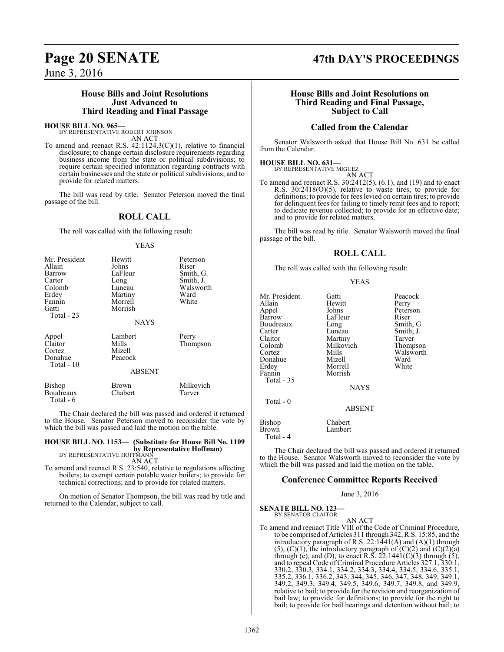### **House Bills and Joint Resolutions Just Advanced to Third Reading and Final Passage**

# **HOUSE BILL NO. 965—** BY REPRESENTATIVE ROBERT JOHNSON

AN ACT

To amend and reenact R.S. 42:1124.3(C)(1), relative to financial disclosure; to change certain disclosure requirements regarding business income from the state or political subdivisions; to require certain specified information regarding contracts with certain businesses and the state or political subdivisions; and to provide for related matters.

The bill was read by title. Senator Peterson moved the final passage of the bill.

## **ROLL CALL**

The roll was called with the following result:

YEAS

| Mr. President<br>Allain<br>Barrow<br>Carter<br>Colomb<br>Erdey<br>Fannin<br>Gatti<br>Total - 23 | Hewitt<br>Johns<br>LaFleur<br>Long<br>Luneau<br>Martiny<br>Morrell<br>Morrish<br><b>NAYS</b> | Peterson<br>Riser<br>Smith, G.<br>Smith, J.<br>Walsworth<br>Ward<br>White |
|-------------------------------------------------------------------------------------------------|----------------------------------------------------------------------------------------------|---------------------------------------------------------------------------|
| Appel<br>Claitor<br>Cortez<br>Donahue<br>Total - 10                                             | Lambert<br>Mills<br>Mizell<br>Peacock<br><b>ABSENT</b>                                       | Perry<br>Thompson                                                         |
| Bishop<br>Boudreaux<br>Total - 6                                                                | Brown<br>Chabert                                                                             | Milkovich<br>Tarver                                                       |

The Chair declared the bill was passed and ordered it returned to the House. Senator Peterson moved to reconsider the vote by which the bill was passed and laid the motion on the table.

**HOUSE BILL NO. 1153— (Substitute for House Bill No. 1109 by Representative Hoffman)**<br>BY REPRESENTATIVE HOFFMANN

AN ACT

To amend and reenact R.S. 23:540, relative to regulations affecting boilers; to exempt certain potable water boilers; to provide for technical corrections; and to provide for related matters.

On motion of Senator Thompson, the bill was read by title and returned to the Calendar, subject to call.

# **Page 20 SENATE 47th DAY'S PROCEEDINGS**

### **House Bills and Joint Resolutions on Third Reading and Final Passage, Subject to Call**

## **Called from the Calendar**

Senator Walsworth asked that House Bill No. 631 be called from the Calendar.

## **HOUSE BILL NO. 631—**

BY REPRESENTATIVE MIGUEZ AN ACT

To amend and reenact R.S. 30:2412(5), (6.1), and (19) and to enact R.S. 30:2418(O)(5), relative to waste tires; to provide for definitions; to provide for fees levied on certain tires; to provide for delinquent fees for failing to timely remit fees and to report; to dedicate revenue collected; to provide for an effective date; and to provide for related matters.

The bill was read by title. Senator Walsworth moved the final passage of the bill.

## **ROLL CALL**

The roll was called with the following result:

#### YEAS

Peacock Perry Peterson<br>Riser

Smith, G. Smith, J. Tarver Thompson Walsworth<br>Ward

| Mr. President | Gatti         | Peaco  |
|---------------|---------------|--------|
| Allain        | Hewitt        | Perry  |
| Appel         | Johns         | Peters |
| Barrow        | LaFleur       | Riser  |
| Boudreaux     | Long          | Smith  |
| Carter        | Luneau        | Smith  |
| Claitor       | Martiny       | Tarve: |
| Colomb        | Milkovich     | Thom   |
| Cortez        | Mills         | Walsy  |
| Donahue       | Mizell        | Ward   |
| Erdey         | Morrell       | White  |
| Fannin        | Morrish       |        |
| Total - 35    |               |        |
|               | <b>NAYS</b>   |        |
| Total - 0     |               |        |
|               | <b>ABSENT</b> |        |
| <b>Bishop</b> | Chabert       |        |
| <b>Brown</b>  | Lambert       |        |
| Total - 4     |               |        |
|               |               |        |

The Chair declared the bill was passed and ordered it returned to the House. Senator Walsworth moved to reconsider the vote by which the bill was passed and laid the motion on the table.

#### **Conference Committee Reports Received**

June 3, 2016

**SENATE BILL NO. 123—** BY SENATOR CLAITOR

AN ACT

To amend and reenact Title VIII of the Code of Criminal Procedure, to be comprised of Articles 311 through 342, R.S. 15:85, and the introductory paragraph of R.S.  $22:1441(A)$  and  $(A)(1)$  through  $(5)$ ,  $(C)(1)$ , the introductory paragraph of  $(C)(2)$  and  $(C)(2)(a)$ through (e), and (D), to enact R.S.  $22:1441(\text{C})(3)$  through (5), and to repeal Code of Criminal Procedure Articles 327.1, 330.1, 330.2, 330.3, 334.1, 334.2, 334.3, 334.4, 334.5, 334.6, 335.1, 335.2, 336.1, 336.2, 343, 344, 345, 346, 347, 348, 349, 349.1, 349.2, 349.3, 349.4, 349.5, 349.6, 349.7, 349.8, and 349.9, relative to bail; to provide for the revision and reorganization of bail law; to provide for definitions; to provide for the right to bail; to provide for bail hearings and detention without bail; to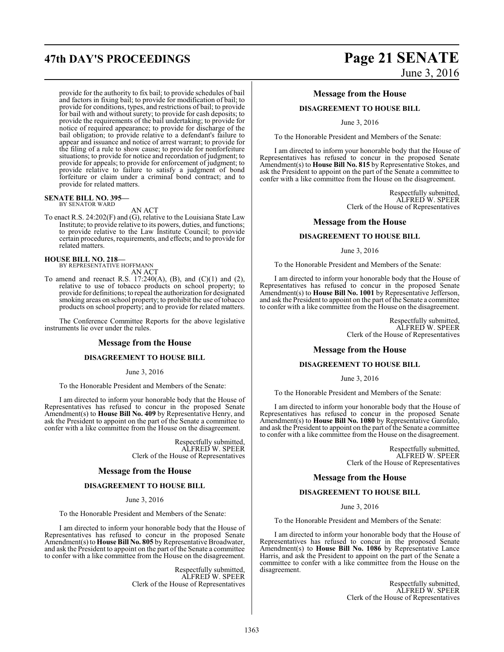provide for the authority to fix bail; to provide schedules of bail and factors in fixing bail; to provide for modification of bail; to provide for conditions, types, and restrictions of bail; to provide for bail with and without surety; to provide for cash deposits; to provide the requirements of the bail undertaking; to provide for notice of required appearance; to provide for discharge of the bail obligation; to provide relative to a defendant's failure to appear and issuance and notice of arrest warrant; to provide for the filing of a rule to show cause; to provide for nonforfeiture situations; to provide for notice and recordation of judgment; to provide for appeals; to provide for enforcement of judgment; to provide relative to failure to satisfy a judgment of bond forfeiture or claim under a criminal bond contract; and to provide for related matters.

# **SENATE BILL NO. 395—** BY SENATOR WARD

AN ACT

To enact R.S. 24:202(F) and (G), relative to the Louisiana State Law Institute; to provide relative to its powers, duties, and functions; to provide relative to the Law Institute Council; to provide certain procedures, requirements, and effects; and to provide for related matters.

#### **HOUSE BILL NO. 218—**

BY REPRESENTATIVE HOFFMANN

AN ACT

To amend and reenact R.S. 17:240(A), (B), and  $(C)(1)$  and  $(2)$ , relative to use of tobacco products on school property; to provide for definitions; to repeal the authorization for designated smoking areas on school property; to prohibit the use of tobacco products on school property; and to provide for related matters.

The Conference Committee Reports for the above legislative instruments lie over under the rules.

#### **Message from the House**

#### **DISAGREEMENT TO HOUSE BILL**

June 3, 2016

To the Honorable President and Members of the Senate:

I am directed to inform your honorable body that the House of Representatives has refused to concur in the proposed Senate Amendment(s) to **House Bill No. 409** by Representative Henry, and ask the President to appoint on the part of the Senate a committee to confer with a like committee from the House on the disagreement.

> Respectfully submitted, ALFRED W. SPEER Clerk of the House of Representatives

#### **Message from the House**

#### **DISAGREEMENT TO HOUSE BILL**

June 3, 2016

To the Honorable President and Members of the Senate:

I am directed to inform your honorable body that the House of Representatives has refused to concur in the proposed Senate Amendment(s) to **House Bill No. 805** by Representative Broadwater, and ask the President to appoint on the part of the Senate a committee to confer with a like committee from the House on the disagreement.

> Respectfully submitted, ALFRED W. SPEER Clerk of the House of Representatives

# **47th DAY'S PROCEEDINGS Page 21 SENATE** June 3, 2016

#### **Message from the House**

#### **DISAGREEMENT TO HOUSE BILL**

June 3, 2016

To the Honorable President and Members of the Senate:

I am directed to inform your honorable body that the House of Representatives has refused to concur in the proposed Senate Amendment(s) to **House Bill No. 815** by Representative Stokes, and ask the President to appoint on the part of the Senate a committee to confer with a like committee from the House on the disagreement.

> Respectfully submitted, ALFRED W. SPEER Clerk of the House of Representatives

#### **Message from the House**

#### **DISAGREEMENT TO HOUSE BILL**

June 3, 2016

To the Honorable President and Members of the Senate:

I am directed to inform your honorable body that the House of Representatives has refused to concur in the proposed Senate Amendment(s) to **House Bill No. 1001** by Representative Jefferson, and ask the President to appoint on the part of the Senate a committee to confer with a like committee from the House on the disagreement.

> Respectfully submitted, ALFRED W. SPEER Clerk of the House of Representatives

#### **Message from the House**

#### **DISAGREEMENT TO HOUSE BILL**

June 3, 2016

To the Honorable President and Members of the Senate:

I am directed to inform your honorable body that the House of Representatives has refused to concur in the proposed Senate Amendment(s) to **House Bill No. 1080** by Representative Garofalo, and ask the President to appoint on the part of the Senate a committee to confer with a like committee from the House on the disagreement.

> Respectfully submitted, ALFRED W. SPEER Clerk of the House of Representatives

#### **Message from the House**

#### **DISAGREEMENT TO HOUSE BILL**

June 3, 2016

To the Honorable President and Members of the Senate:

I am directed to inform your honorable body that the House of Representatives has refused to concur in the proposed Senate Amendment(s) to **House Bill No. 1086** by Representative Lance Harris, and ask the President to appoint on the part of the Senate a committee to confer with a like committee from the House on the disagreement.

> Respectfully submitted, ALFRED W. SPEER Clerk of the House of Representatives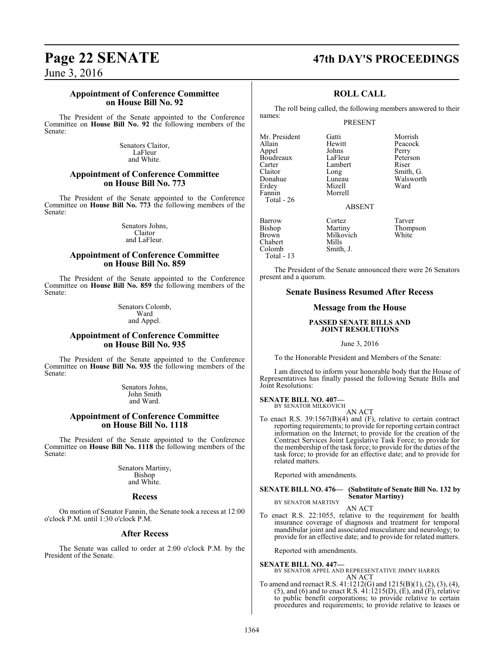#### **Appointment of Conference Committee on House Bill No. 92**

The President of the Senate appointed to the Conference Committee on **House Bill No. 92** the following members of the Senate:

> Senators Claitor, LaFleur and White.

#### **Appointment of Conference Committee on House Bill No. 773**

The President of the Senate appointed to the Conference Committee on **House Bill No. 773** the following members of the Senate:

> Senators Johns, Claitor and LaFleur.

#### **Appointment of Conference Committee on House Bill No. 859**

The President of the Senate appointed to the Conference Committee on **House Bill No. 859** the following members of the Senate:

> Senators Colomb, Ward and Appel.

#### **Appointment of Conference Committee on House Bill No. 935**

The President of the Senate appointed to the Conference Committee on **House Bill No. 935** the following members of the Senate:

> Senators Johns, John Smith and Ward.

#### **Appointment of Conference Committee on House Bill No. 1118**

The President of the Senate appointed to the Conference Committee on **House Bill No. 1118** the following members of the Senate:

> Senators Martiny, Bishop and White.

#### **Recess**

On motion of Senator Fannin, the Senate took a recess at 12:00 o'clock P.M. until 1:30 o'clock P.M.

#### **After Recess**

The Senate was called to order at 2:00 o'clock P.M. by the President of the Senate.

# **Page 22 SENATE 47th DAY'S PROCEEDINGS**

## **ROLL CALL**

The roll being called, the following members answered to their names:

#### PRESENT

Mr. President Gatti Gatti Morrish<br>Allain Hewitt Peacock Appel Johns Perry<br>Boudreaux LaFleur Peterson Boudreaux LaFleur Peters<br>Carter Lambert Riser Carter Lambert<br>Claitor Long Claitor Long Smith, G.<br>
Donahue Luneau Walswort Donahue Luneau Walsworth<br>Erdev Mizell Ward Erdey Mizell<br>Fannin Morrel Total - 26

Colomb Total - 13 Morrell

Hewitt Peacock<br> **Allahus** Perry

ABSENT

Barrow Cortez Tarver<br>Bishop Martiny Thomp Bishop Martiny Thompson<br>Brown Milkovich White Milkovich<br>Mills Chabert Mills<br>
Colomb Smith, J.

The President of the Senate announced there were 26 Senators present and a quorum.

#### **Senate Business Resumed After Recess**

#### **Message from the House**

#### **PASSED SENATE BILLS AND JOINT RESOLUTIONS**

June 3, 2016

To the Honorable President and Members of the Senate:

I am directed to inform your honorable body that the House of Representatives has finally passed the following Senate Bills and Joint Resolutions:

**SENATE BILL NO. 407—** BY SENATOR MILKOVICH

AN ACT

To enact R.S. 39:1567(B)(4) and (F), relative to certain contract reporting requirements; to provide for reporting certain contract information on the Internet; to provide for the creation of the Contract Services Joint Legislative Task Force; to provide for the membership ofthe task force; to provide for the duties of the task force; to provide for an effective date; and to provide for related matters.

Reported with amendments.

#### **SENATE BILL NO. 476— (Substitute of Senate Bill No. 132 by Senator Martiny)** BY SENATOR MARTINY

AN ACT

To enact R.S. 22:1055, relative to the requirement for health insurance coverage of diagnosis and treatment for temporal mandibular joint and associated musculature and neurology; to provide for an effective date; and to provide for related matters.

Reported with amendments.

#### **SENATE BILL NO. 447—**

BY SENATOR APPEL AND REPRESENTATIVE JIMMY HARRIS AN ACT

To amend and reenact R.S. 41:1212(G) and 1215(B)(1), (2), (3), (4), (5), and (6) and to enact R.S.  $41:1215(D)$ ,  $(\dot{E})$ , and  $(\dot{F})$ , relative to public benefit corporations; to provide relative to certain procedures and requirements; to provide relative to leases or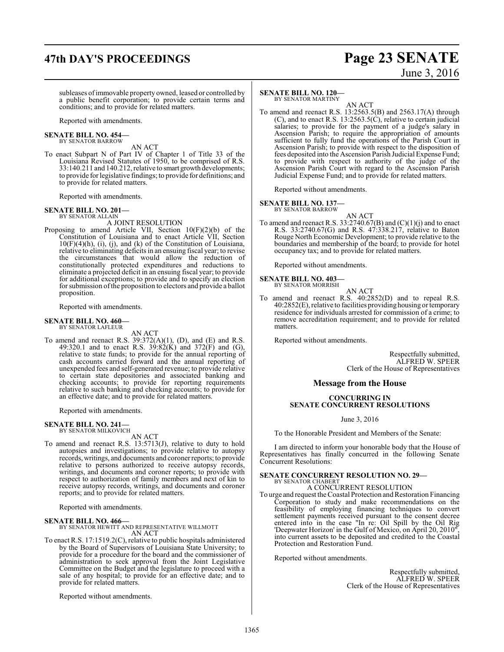# **47th DAY'S PROCEEDINGS Page 23 SENATE**

# June 3, 2016

subleases ofimmovable property owned, leased or controlled by a public benefit corporation; to provide certain terms and conditions; and to provide for related matters.

Reported with amendments.

**SENATE BILL NO. 454—** BY SENATOR BARROW

AN ACT

To enact Subpart N of Part IV of Chapter 1 of Title 33 of the Louisiana Revised Statutes of 1950, to be comprised of R.S. 33:140.211 and 140.212, relative to smart growth developments; to provide forlegislative findings; to provide for definitions; and to provide for related matters.

Reported with amendments.

#### **SENATE BILL NO. 201—** BY SENATOR ALLAIN

A JOINT RESOLUTION

Proposing to amend Article VII, Section 10(F)(2)(b) of the Constitution of Louisiana and to enact Article VII, Section  $10(F)(4)(h)$ , (i), (j), and (k) of the Constitution of Louisiana, relative to eliminating deficits in an ensuing fiscal year; to revise the circumstances that would allow the reduction of constitutionally protected expenditures and reductions to eliminate a projected deficit in an ensuing fiscal year; to provide for additional exceptions; to provide and to specify an election for submission ofthe proposition to electors and provide a ballot proposition.

Reported with amendments.

#### **SENATE BILL NO. 460—** BY SENATOR LAFLEUR

AN ACT

To amend and reenact R.S.  $39:372(A)(1)$ , (D), and (E) and R.S. 49:320.1 and to enact R.S.  $39:82(K)$  and  $372(F)$  and (G), relative to state funds; to provide for the annual reporting of cash accounts carried forward and the annual reporting of unexpended fees and self-generated revenue; to provide relative to certain state depositories and associated banking and checking accounts; to provide for reporting requirements relative to such banking and checking accounts; to provide for an effective date; and to provide for related matters.

Reported with amendments.

# **SENATE BILL NO. 241—**<br>BY SENATOR MILKOVICH

AN ACT

To amend and reenact R.S. 13:5713(J), relative to duty to hold autopsies and investigations; to provide relative to autopsy records, writings, and documents and coroner reports; to provide relative to persons authorized to receive autopsy records, writings, and documents and coroner reports; to provide with respect to authorization of family members and next of kin to receive autopsy records, writings, and documents and coroner reports; and to provide for related matters.

Reported with amendments.

#### **SENATE BILL NO. 466—**

BY SENATOR HEWITT AND REPRESENTATIVE WILLMOTT AN ACT

To enact R.S. 17:1519.2(C), relative to public hospitals administered by the Board of Supervisors of Louisiana State University; to provide for a procedure for the board and the commissioner of administration to seek approval from the Joint Legislative Committee on the Budget and the legislature to proceed with a sale of any hospital; to provide for an effective date; and to provide for related matters.

Reported without amendments.

#### **SENATE BILL NO. 120—**

BY SENATOR MARTINY

AN ACT To amend and reenact R.S. 13:2563.5(B) and 2563.17(A) through  $(C)$ , and to enact R.S. 13:2563.5 $(\hat{C})$ , relative to certain judicial salaries; to provide for the payment of a judge's salary in Ascension Parish; to require the appropriation of amounts sufficient to fully fund the operations of the Parish Court in Ascension Parish; to provide with respect to the disposition of fees deposited into the Ascension Parish Judicial Expense Fund; to provide with respect to authority of the judge of the Ascension Parish Court with regard to the Ascension Parish Judicial Expense Fund; and to provide for related matters.

Reported without amendments.

#### **SENATE BILL NO. 137—**

BY SENATOR BARROW AN ACT

To amend and reenact R.S.  $33:2740.67(B)$  and  $(C)(1)(j)$  and to enact R.S. 33:2740.67(G) and R.S. 47:338.217, relative to Baton Rouge North Economic Development; to provide relative to the boundaries and membership of the board; to provide for hotel occupancy tax; and to provide for related matters.

Reported without amendments.

# **SENATE BILL NO. 403—** BY SENATOR MORRISH

- 
- AN ACT
- To amend and reenact R.S. 40:2852(D) and to repeal R.S. 40:2852(E), relative to facilities providinghousing or temporary residence for individuals arrested for commission of a crime; to remove accreditation requirement; and to provide for related matters.

Reported without amendments.

Respectfully submitted, ALFRED W. SPEER Clerk of the House of Representatives

#### **Message from the House**

#### **CONCURRING IN SENATE CONCURRENT RESOLUTIONS**

June 3, 2016

To the Honorable President and Members of the Senate:

I am directed to inform your honorable body that the House of Representatives has finally concurred in the following Senate Concurrent Resolutions:

#### **SENATE CONCURRENT RESOLUTION NO. 29—** BY SENATOR CHABERT

A CONCURRENT RESOLUTION

To urge and request the Coastal Protection and Restoration Financing Corporation to study and make recommendations on the feasibility of employing financing techniques to convert settlement payments received pursuant to the consent decree entered into in the case "In re: Oil Spill by the Oil Rig 'Deepwater Horizon' in the Gulf of Mexico, on April 20, 2010", into current assets to be deposited and credited to the Coastal Protection and Restoration Fund.

Reported without amendments.

Respectfully submitted, ALFRED W. SPEER Clerk of the House of Representatives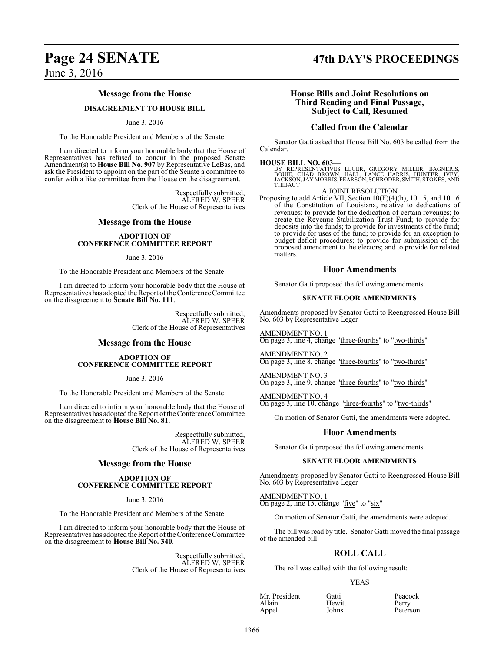#### **Message from the House**

#### **DISAGREEMENT TO HOUSE BILL**

#### June 3, 2016

To the Honorable President and Members of the Senate:

I am directed to inform your honorable body that the House of Representatives has refused to concur in the proposed Senate Amendment(s) to **House Bill No. 907** by Representative LeBas, and ask the President to appoint on the part of the Senate a committee to confer with a like committee from the House on the disagreement.

> Respectfully submitted, ALFRED W. SPEER Clerk of the House of Representatives

#### **Message from the House**

#### **ADOPTION OF CONFERENCE COMMITTEE REPORT**

June 3, 2016

To the Honorable President and Members of the Senate:

I am directed to inform your honorable body that the House of Representatives has adopted the Report of the Conference Committee on the disagreement to **Senate Bill No. 111**.

> Respectfully submitted, ALFRED W. SPEER Clerk of the House of Representatives

#### **Message from the House**

#### **ADOPTION OF CONFERENCE COMMITTEE REPORT**

June 3, 2016

To the Honorable President and Members of the Senate:

I am directed to inform your honorable body that the House of Representatives has adopted the Report ofthe Conference Committee on the disagreement to **House Bill No. 81**.

> Respectfully submitted, ALFRED W. SPEER Clerk of the House of Representatives

#### **Message from the House**

#### **ADOPTION OF CONFERENCE COMMITTEE REPORT**

June 3, 2016

To the Honorable President and Members of the Senate:

I am directed to inform your honorable body that the House of Representatives has adopted the Report ofthe Conference Committee on the disagreement to **House Bill No. 340**.

> Respectfully submitted, ALFRED W. SPEER Clerk of the House of Representatives

# **Page 24 SENATE 47th DAY'S PROCEEDINGS**

#### **House Bills and Joint Resolutions on Third Reading and Final Passage, Subject to Call, Resumed**

#### **Called from the Calendar**

Senator Gatti asked that House Bill No. 603 be called from the Calendar.

#### **HOUSE BILL NO. 603—**

BY REPRESENTATIVES LEGER, GREGORY MILLER, BAGNERIS,<br>BOUIE, CHAD BROWN, HALL, LANCE HARRIS, HUNTER, IVEY,<br>JACKSON,JAYMORRIS,PEARSON,SCHRODER,SMITH,STOKES,AND THIBAUT

#### A JOINT RESOLUTION

Proposing to add Article VII, Section 10(F)(4)(h), 10.15, and 10.16 of the Constitution of Louisiana, relative to dedications of revenues; to provide for the dedication of certain revenues; to create the Revenue Stabilization Trust Fund; to provide for deposits into the funds; to provide for investments of the fund; to provide for uses of the fund; to provide for an exception to budget deficit procedures; to provide for submission of the proposed amendment to the electors; and to provide for related matters.

#### **Floor Amendments**

Senator Gatti proposed the following amendments.

#### **SENATE FLOOR AMENDMENTS**

Amendments proposed by Senator Gatti to Reengrossed House Bill No. 603 by Representative Leger

AMENDMENT NO. 1 On page 3, line 4, change "three-fourths" to "two-thirds"

AMENDMENT NO. 2 On page 3, line 8, change "three-fourths" to "two-thirds"

AMENDMENT NO. 3 On page 3, line 9, change "three-fourths" to "two-thirds"

AMENDMENT NO. 4 On page 3, line 10, change "three-fourths" to "two-thirds"

On motion of Senator Gatti, the amendments were adopted.

#### **Floor Amendments**

Senator Gatti proposed the following amendments.

#### **SENATE FLOOR AMENDMENTS**

Amendments proposed by Senator Gatti to Reengrossed House Bill No. 603 by Representative Leger

AMENDMENT NO. 1 On page 2, line 15, change "five" to "six"

On motion of Senator Gatti, the amendments were adopted.

The bill was read by title. Senator Gatti moved the final passage of the amended bill.

#### **ROLL CALL**

The roll was called with the following result:

#### YEAS

Mr. President Gatti Peacock<br>Allain Hewitt Perry Allain Hewit<br>
Appel Johns

Peterson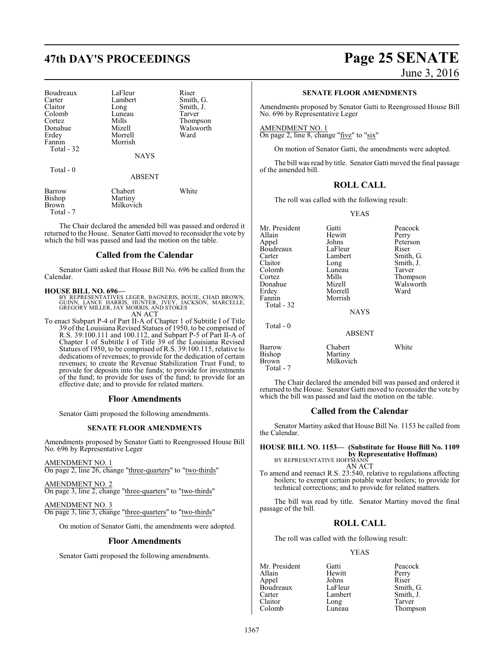# **47th DAY'S PROCEEDINGS Page 25 SENATE**

| Boudreaux<br>Carter<br>Claitor<br>Colomb<br>Cortez<br>Donahue<br>Erdey<br>Fannin<br>Total - 32<br>Total - 0 | LaFleur<br>Lambert<br>Long<br>Luneau<br>Mills<br>Mizell<br>Morrell<br>Morrish<br><b>NAYS</b> | Riser<br>Smith, G.<br>Smith, J.<br>Tarver<br>Thompson<br>Walsworth<br>Ward |
|-------------------------------------------------------------------------------------------------------------|----------------------------------------------------------------------------------------------|----------------------------------------------------------------------------|
|                                                                                                             | <b>ABSENT</b>                                                                                |                                                                            |
| Barrow<br>Bishop<br>Brown                                                                                   | Chabert<br>Martiny<br>Milkovich                                                              | White                                                                      |

 Total - 7 The Chair declared the amended bill was passed and ordered it returned to the House. Senator Gatti moved to reconsider the vote by

which the bill was passed and laid the motion on the table.

## **Called from the Calendar**

Senator Gatti asked that House Bill No. 696 be called from the Calendar.

**HOUSE BILL NO. 696—**<br>BY REPRESENTATIVES LEGER, BAGNERIS, BOUIE, CHAD BROWN,<br>GUINN, LANCE HARRIS, HUNTER, IVEY, JACKSON, MARCELLE,<br>GREGORY MILLER, JAY MORRIS, AND STOKES AN ACT

To enact Subpart P-4 of Part II-A of Chapter 1 of Subtitle I of Title 39 of the Louisiana Revised Statues of 1950, to be comprised of R.S. 39:100.111 and 100.112, and Subpart P-5 of Part II-A of Chapter I of Subtitle I of Title 39 of the Louisiana Revised Statues of 1950, to be comprised of R.S. 39:100.115, relative to dedications of revenues; to provide for the dedication of certain revenues; to create the Revenue Stabilization Trust Fund; to provide for deposits into the funds; to provide for investments of the fund; to provide for uses of the fund; to provide for an effective date; and to provide for related matters.

#### **Floor Amendments**

Senator Gatti proposed the following amendments.

#### **SENATE FLOOR AMENDMENTS**

Amendments proposed by Senator Gatti to Reengrossed House Bill No. 696 by Representative Leger

AMENDMENT NO. 1 On page 2, line 26, change "three-quarters" to "two-thirds"

AMENDMENT NO. 2 On page 3, line 2, change "three-quarters" to "two-thirds"

AMENDMENT NO. 3 On page 3, line 3, change "three-quarters" to "two-thirds"

On motion of Senator Gatti, the amendments were adopted.

#### **Floor Amendments**

Senator Gatti proposed the following amendments.

June 3, 2016

#### **SENATE FLOOR AMENDMENTS**

Amendments proposed by Senator Gatti to Reengrossed House Bill No. 696 by Representative Leger

AMENDMENT NO. 1 On page 2, line 8, change " $\frac{five}{}$  to "six"

On motion of Senator Gatti, the amendments were adopted.

The bill was read by title. Senator Gatti moved the final passage of the amended bill.

#### **ROLL CALL**

The roll was called with the following result:

Morrell<br>Morrish

Milkovich

YEAS

Mr. President Gatti Peacock<br>Allain Hewitt Perry Allain Hewitt<br>Appel Johns Boudreaux LaFleur<br>Carter Lambert Carter Lambert Smith, G. Colomb Luneau<br>Cortez Mills Cortez Mills Thompson Donahue Mizell Walsworth Fannin Total - 32

Johns Peterson<br>LaFleur Riser Long Smith, J.<br>Luneau Tarver

**NAYS** 

#### ABSENT

Barrow Chabert White<br>Bishop Martiny Bishop Martiny<br>Brown Milkovi Total - 7

Total - 0

The Chair declared the amended bill was passed and ordered it returned to the House. Senator Gatti moved to reconsider the vote by which the bill was passed and laid the motion on the table.

#### **Called from the Calendar**

Senator Martiny asked that House Bill No. 1153 be called from the Calendar.

**HOUSE BILL NO. 1153— (Substitute for House Bill No. 1109 by Representative Hoffman)** BY REPRESENTATIVE HOFFMANN

AN ACT

To amend and reenact R.S. 23:540, relative to regulations affecting boilers; to exempt certain potable water boilers; to provide for technical corrections; and to provide for related matters.

The bill was read by title. Senator Martiny moved the final passage of the bill.

#### **ROLL CALL**

The roll was called with the following result:

#### YEAS

Mr. President Gatti Peacock<br>Allain Hewitt Perry Allain Hewitt Perry Boudreaux LaFleur<br>Carter Lambert Claitor Long<br>Colomb Luneau

Johns Riser<br>LaFleur Smith, G. Lambert Smith, J.<br>
Long Tarver Thompson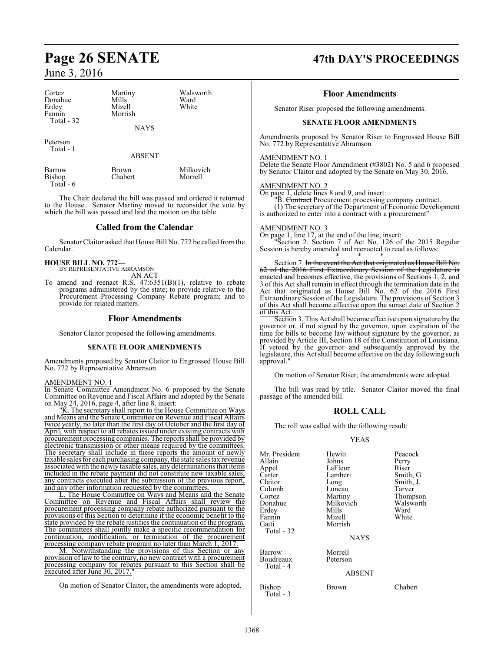| Cortez<br>Donahue<br>Erdey<br>Fannin<br>Total $-32$ | Martiny<br>Mills<br>Mizell<br>Morrish<br><b>NAYS</b> | Walsworth<br>Ward<br>White |
|-----------------------------------------------------|------------------------------------------------------|----------------------------|
| Peterson<br>Total - 1                               |                                                      |                            |

Barrow Brown Milkovich<br>Bishop Chabert Morrell Bishop Total - 6

The Chair declared the bill was passed and ordered it returned to the House. Senator Martiny moved to reconsider the vote by which the bill was passed and laid the motion on the table.

ABSENT

#### **Called from the Calendar**

Senator Claitor asked that House Bill No. 772 be called fromthe Calendar.

**HOUSE BILL NO. 772—** BY REPRESENTATIVE ABRAMSON

- AN ACT
- To amend and reenact R.S.  $47:6351(B)(1)$ , relative to rebate programs administered by the state; to provide relative to the Procurement Processing Company Rebate program; and to provide for related matters.

## **Floor Amendments**

Senator Claitor proposed the following amendments.

#### **SENATE FLOOR AMENDMENTS**

Amendments proposed by Senator Claitor to Engrossed House Bill No. 772 by Representative Abramson

#### AMENDMENT NO. 1

In Senate Committee Amendment No. 6 proposed by the Senate Committee on Revenue and Fiscal Affairs and adopted by the Senate on May 24, 2016, page 4, after line 8, insert:

"K. The secretary shall report to the House Committee on Ways and Means and the Senate Committee on Revenue and Fiscal Affairs twice yearly, no later than the first day of October and the first day of April, with respect to all rebates issued under existing contracts with procurement processing companies. The reports shall be provided by electronic transmission or other means required by the committees. The secretary shall include in these reports the amount of newly taxable sales for each purchasing company, the state sales tax revenue associated with the newly taxable sales, any determinations that items included in the rebate payment did not constitute new taxable sales, any contracts executed after the submission of the previous report, and any other information requested by the committees.

L. The House Committee on Ways and Means and the Senate Committee on Revenue and Fiscal Affairs shall review the procurement processing company rebate authorized pursuant to the provisions of this Section to determine if the economic benefit to the state provided by the rebate justifies the continuation of the program. The committees shall jointly make a specific recommendation for continuation, modification, or termination of the procurement processing company rebate program no later than March 1, 2017.

M. Notwithstanding the provisions of this Section or any provision of law to the contrary, no new contract with a procurement processing company for rebates pursuant to this Section shall be executed after June 30, 2017."

On motion of Senator Claitor, the amendments were adopted.

# **Page 26 SENATE 47th DAY'S PROCEEDINGS**

#### **Floor Amendments**

Senator Riser proposed the following amendments.

#### **SENATE FLOOR AMENDMENTS**

Amendments proposed by Senator Riser to Engrossed House Bill No. 772 by Representative Abramson

#### AMENDMENT NO. 1

Delete the Senate Floor Amendment (#3802) No. 5 and 6 proposed by Senator Claitor and adopted by the Senate on May 30, 2016.

#### AMENDMENT NO. 2

On page 1, delete lines 8 and 9, and insert:

"B. Contract Procurement processing company contract.

(1) The secretary of the Department of Economic Development is authorized to enter into a contract with a procurement"

#### AMENDMENT NO. 3

On page 1, line 17, at the end of the line, insert:

"Section 2. Section 7 of Act No. 126 of the 2015 Regular Session is hereby amended and reenacted to read as follows:

\* \* \* Section 7. In the event the Act that originated as House Bill No. 62 of the 2016 First Extraordinary Session of the Legislature enacted and becomes effective, the provisions of Sections 1, 2, and 3 of this Act shall remain in effect through the termination date in the Act that originated as House Bill No. 62 of the 2016 First Extraordinary Session of the Legislature. The provisions of Section 3 of this Act shall become effective upon the sunset date of Section 2 of this Act.

Section 3. This Act shall become effective upon signature by the governor or, if not signed by the governor, upon expiration of the time for bills to become law without signature by the governor, as provided by Article III, Section 18 of the Constitution of Louisiana. If vetoed by the governor and subsequently approved by the legislature, this Act shall become effective on the day following such approval."

On motion of Senator Riser, the amendments were adopted.

The bill was read by title. Senator Claitor moved the final passage of the amended bill.

### **ROLL CALL**

The roll was called with the following result:

#### YEAS

| Mr. President<br>Allain<br>Appel<br>Carter<br>Claitor<br>Colomb<br>Cortez<br>Donahue<br>Erdev<br>Fannin<br>Gatti<br>Total - 32 | Hewitt<br>Johns<br>LaFleur<br>Lambert<br>Long<br>Luneau<br>Martiny<br>Milkovich<br>Mills<br>Mizell<br>Morrish<br><b>NAYS</b> | Peacock<br>Perry<br>Riser<br>Smith, G.<br>Smith, J.<br>Tarver<br>Thompson<br>Walsworth<br>Ward<br>White |
|--------------------------------------------------------------------------------------------------------------------------------|------------------------------------------------------------------------------------------------------------------------------|---------------------------------------------------------------------------------------------------------|
| Barrow<br>Boudreaux<br>Total - 4                                                                                               | Morrell<br>Peterson<br><b>ABSENT</b>                                                                                         |                                                                                                         |

Bishop Brown Chabert Total - 3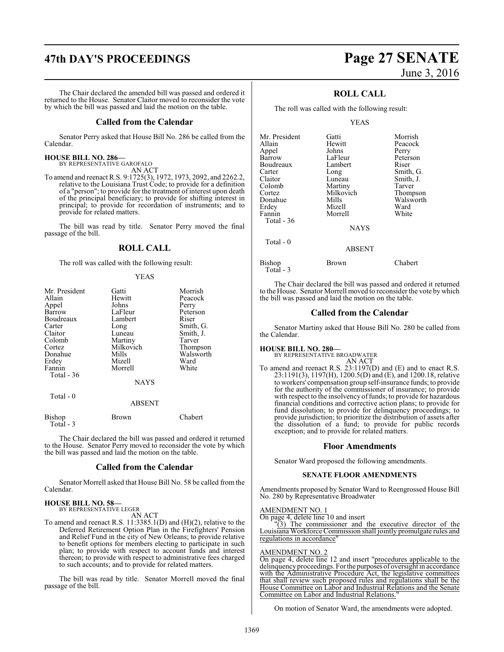# **47th DAY'S PROCEEDINGS Page 27 SENATE**

The Chair declared the amended bill was passed and ordered it returned to the House. Senator Claitor moved to reconsider the vote by which the bill was passed and laid the motion on the table.

#### **Called from the Calendar**

Senator Perry asked that House Bill No. 286 be called from the Calendar.

#### **HOUSE BILL NO. 286—**

BY REPRESENTATIVE GAROFALO

AN ACT To amend and reenact R.S. 9:1725(3), 1972, 1973, 2092, and 2262.2, relative to the Louisiana Trust Code; to provide for a definition of a "person"; to provide for the treatment of interest upon death of the principal beneficiary; to provide for shifting interest in principal; to provide for recordation of instruments; and to provide for related matters.

The bill was read by title. Senator Perry moved the final passage of the bill.

#### **ROLL CALL**

The roll was called with the following result:

#### YEAS

| Mr. President    | Gatti         | Morrish         |
|------------------|---------------|-----------------|
| Allain           | Hewitt        | Peacock         |
| Appel            | Johns         | Perry           |
| Barrow           | LaFleur       | Peterson        |
| Boudreaux        | Lambert       | Riser           |
| Carter           | Long          | Smith, G.       |
| Claitor          | Luneau        | Smith, J.       |
| Colomb           | Martiny       | Tarver          |
| Cortez           | Milkovich     | Thompson        |
| Donahue          | Mills         | Walsworth       |
| Erdey            | Mizell        | Ward            |
| Fannin           | Morrell       | White           |
| Total - 36       |               |                 |
|                  | <b>NAYS</b>   |                 |
| Total - 0        |               |                 |
|                  | <b>ABSENT</b> |                 |
| $\mathbf{D}$ : 1 | n.            | $\sim$ 1 $\sim$ |

Bishop Brown Chabert Total - 3

The Chair declared the bill was passed and ordered it returned to the House. Senator Perry moved to reconsider the vote by which the bill was passed and laid the motion on the table.

#### **Called from the Calendar**

Senator Morrell asked that House Bill No. 58 be called from the Calendar.

#### **HOUSE BILL NO. 58—** BY REPRESENTATIVE LEGER

AN ACT

To amend and reenact R.S. 11:3385.1(D) and (H)(2), relative to the Deferred Retirement Option Plan in the Firefighters' Pension and Relief Fund in the city of New Orleans; to provide relative to benefit options for members electing to participate in such plan; to provide with respect to account funds and interest thereon; to provide with respect to administrative fees charged to such accounts; and to provide for related matters.

The bill was read by title. Senator Morrell moved the final passage of the bill.

# June 3, 2016

## **ROLL CALL**

The roll was called with the following result:

#### YEAS

| Mr. President | Gatti         | Morrish   |
|---------------|---------------|-----------|
| Allain        | Hewitt        | Peacock   |
| Appel         | Johns         | Perry     |
| Barrow        | LaFleur       | Peterson  |
| Boudreaux     | Lambert       | Riser     |
| Carter        | Long          | Smith, G. |
| Claitor       | Luneau        | Smith, J. |
| Colomb        | Martiny       | Tarver    |
| Cortez        | Milkovich     | Thompson  |
| Donahue       | Mills         | Walsworth |
| Erdey         | Mizell        | Ward      |
| Fannin        | Morrell       | White     |
| Total - 36    |               |           |
|               | <b>NAYS</b>   |           |
| Total $-0$    |               |           |
|               | <b>ABSENT</b> |           |
|               |               |           |

Bishop Brown Chabert Total - 3

The Chair declared the bill was passed and ordered it returned to the House. Senator Morrell moved to reconsider the vote bywhich the bill was passed and laid the motion on the table.

#### **Called from the Calendar**

Senator Martiny asked that House Bill No. 280 be called from the Calendar.

# **HOUSE BILL NO. 280—** BY REPRESENTATIVE BROADWATER

AN ACT

To amend and reenact R.S. 23:1197(D) and (E) and to enact R.S. 23:1191(3), 1197(H), 1200.5(D) and (E), and 1200.18, relative to workers' compensation group self-insurance funds; to provide for the authority of the commissioner of insurance; to provide with respect to the insolvency of funds; to provide for hazardous financial conditions and corrective action plans; to provide for fund dissolution; to provide for delinquency proceedings; to provide jurisdiction; to prioritize the distribution of assets after the dissolution of a fund; to provide for public records exception; and to provide for related matters.

#### **Floor Amendments**

Senator Ward proposed the following amendments.

#### **SENATE FLOOR AMENDMENTS**

Amendments proposed by Senator Ward to Reengrossed House Bill No. 280 by Representative Broadwater

#### AMENDMENT NO. 1

On page 4, delete line 10 and insert

"(3) The commissioner and the executive director of the Louisiana Workforce Commission shall jointly promulgate rules and regulations in accordance"

#### AMENDMENT NO. 2

On page 4, delete line 12 and insert "procedures applicable to the delinquency proceedings. For the purposes of oversight in accordance with the Administrative Procedure Act, the legislative committees that shall review such proposed rules and regulations shall be the House Committee on Labor and Industrial Relations and the Senate Committee on Labor and Industrial Relations."

On motion of Senator Ward, the amendments were adopted.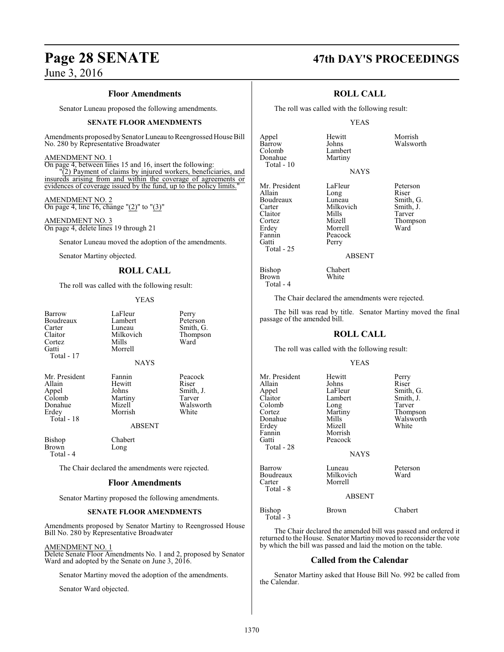#### **Floor Amendments**

Senator Luneau proposed the following amendments.

#### **SENATE FLOOR AMENDMENTS**

Amendments proposed by Senator Luneau to Reengrossed House Bill No. 280 by Representative Broadwater

#### AMENDMENT NO. 1

On page 4, between lines 15 and 16, insert the following: "(2) Payment of claims by injured workers, beneficiaries, and insureds arising from and within the coverage of agreements or evidences of coverage issued by the fund, up to the policy limits.

AMENDMENT NO. 2 On page 4, line 16, change " $(2)$ " to " $(3)$ "

AMENDMENT NO. 3 On page 4, delete lines 19 through 21

Senator Luneau moved the adoption of the amendments.

Senator Martiny objected.

### **ROLL CALL**

The roll was called with the following result:

YEAS

| Barrow     |
|------------|
| Boudreaux  |
| Carter     |
| Claitor    |
| Cortez     |
| Gatti      |
| Total - 17 |

LaFleur Perry<br>Lambert Peters Lambert Peterson<br>
Luneau Smith, G Luneau Smith, G.<br>Milkovich Thompson Milkovich Thompson<br>Mills Ward Cortez Mills Ward Morrell

NAYS

Mr. President Fannin Peacock<br>Allain Hewitt Riser Allain Hewitt<br>
Appel Johns Colomb Martin<br>Donahue Mizell Donahue Mizell Walsworth<br>Erdey Morrish White Total - 18

Formulation Johns Smith, J. Smith, J. Tarver Morrish

ABSENT

Bishop Chabert<br>Brown Long **Brown** Total - 4

The Chair declared the amendments were rejected.

#### **Floor Amendments**

Senator Martiny proposed the following amendments.

#### **SENATE FLOOR AMENDMENTS**

Amendments proposed by Senator Martiny to Reengrossed House Bill No. 280 by Representative Broadwater

AMENDMENT NO. 1

Delete Senate Floor Amendments No. 1 and 2, proposed by Senator Ward and adopted by the Senate on June 3, 2016.

Senator Martiny moved the adoption of the amendments.

Senator Ward objected.

# **Page 28 SENATE 47th DAY'S PROCEEDINGS**

### **ROLL CALL**

The roll was called with the following result:

#### YEAS

**NAYS** 

Johns Walsworth<br>Lambert

Appel Hewitt Morrish Colomb Lambert<br>Donahue Martiny Donahue Total - 10

Mr. President LaFleur Peterson<br>Allain Long Riser Boudreaux Luneau Smith, G.<br>Carter Milkovich Smith, J. Carter Milkovich Smith,<br>Claitor Mills Tarver Claitor Mills Tarver Cortez Mizell Thompson Erdey Morrell<br>Fannin Peacock Fannin Peacock<br>Gatti Perry Total - 25

**Brown** Total - 4 Perry

Long Riser<br>
Luneau Smith, G.

ABSENT

Bishop Chabert<br>Brown White

The Chair declared the amendments were rejected.

The bill was read by title. Senator Martiny moved the final passage of the amended bill.

#### **ROLL CALL**

The roll was called with the following result:

#### YEAS

| Mr. President | Hewitt        | Perry     |
|---------------|---------------|-----------|
| Allain        | Johns         | Riser     |
| Appel         | LaFleur       | Smith, G. |
| Claitor       | Lambert       | Smith, J. |
| Colomb        | Long          | Tarver    |
| Cortez        | Martiny       | Thompson  |
| Donahue       | Mills         | Walsworth |
| Erdev         | Mizell        | White     |
| Fannin        | Morrish       |           |
| Gatti         | Peacock       |           |
| Total - 28    |               |           |
|               | <b>NAYS</b>   |           |
| Barrow        | Luneau        | Peterson  |
| Boudreaux     | Milkovich     | Ward      |
| Carter        | Morrell       |           |
| Total - 8     |               |           |
|               | <b>ABSENT</b> |           |
| Bishop        | Brown         | Chabert   |
| Total - 3     |               |           |

The Chair declared the amended bill was passed and ordered it returned to the House. Senator Martiny moved to reconsider the vote by which the bill was passed and laid the motion on the table.

#### **Called from the Calendar**

Senator Martiny asked that House Bill No. 992 be called from the Calendar.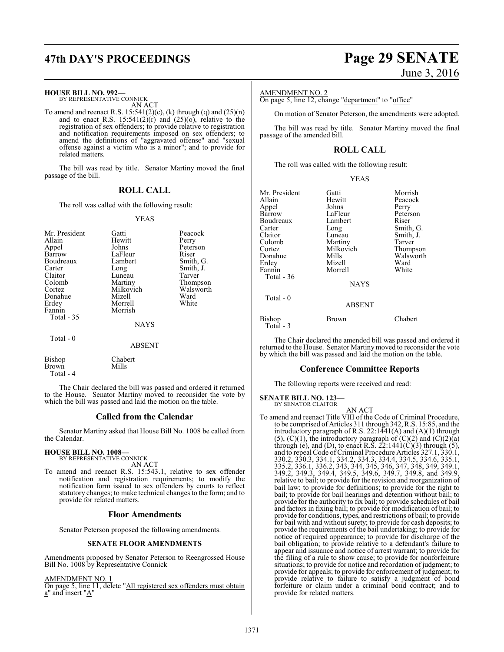# **47th DAY'S PROCEEDINGS Page 29 SENATE**

#### **HOUSE BILL NO. 992—**

BY REPRESENTATIVE CONNICK AN ACT

To amend and reenact R.S.  $15:541(2)(c)$ , (k) through (q) and  $(25)(n)$ and to enact R.S.  $15:541(2)(r)$  and  $(25)(0)$ , relative to the registration of sex offenders; to provide relative to registration and notification requirements imposed on sex offenders; to amend the definitions of "aggravated offense" and "sexual offense against a victim who is a minor"; and to provide for related matters.

The bill was read by title. Senator Martiny moved the final passage of the bill.

## **ROLL CALL**

The roll was called with the following result:

#### YEAS

| Mr. President<br>Allain<br>Appel<br>Barrow<br>Boudreaux<br>Carter<br>Claitor<br>Colomb<br>Cortez<br>Donahue<br>Erdey<br>Fannin<br>Total $-35$ | Gatti<br>Hewitt<br>Johns<br>LaFleur<br>Lambert<br>Long<br>Luneau<br>Martiny<br>Milkovich<br>Mizell<br>Morrell<br>Morrish<br><b>NAYS</b> | Peacock<br>Perry<br>Peterson<br>Riser<br>Smith, G.<br>Smith, J.<br>Tarver<br>Thompson<br>Walsworth<br>Ward<br>White |
|-----------------------------------------------------------------------------------------------------------------------------------------------|-----------------------------------------------------------------------------------------------------------------------------------------|---------------------------------------------------------------------------------------------------------------------|
| Total $-0$                                                                                                                                    | ABSENT                                                                                                                                  |                                                                                                                     |
| Bishop                                                                                                                                        | Chabert                                                                                                                                 |                                                                                                                     |

The Chair declared the bill was passed and ordered it returned to the House. Senator Martiny moved to reconsider the vote by which the bill was passed and laid the motion on the table.

#### **Called from the Calendar**

Senator Martiny asked that House Bill No. 1008 be called from the Calendar.

# **HOUSE BILL NO. 1008—** BY REPRESENTATIVE CONNICK

Brown Mills

Total - 4

AN ACT To amend and reenact R.S. 15:543.1, relative to sex offender notification and registration requirements; to modify the notification form issued to sex offenders by courts to reflect statutory changes; to make technical changes to the form; and to provide for related matters.

#### **Floor Amendments**

Senator Peterson proposed the following amendments.

#### **SENATE FLOOR AMENDMENTS**

Amendments proposed by Senator Peterson to Reengrossed House Bill No. 1008 by Representative Connick

AMENDMENT NO. 1

On page 5, line 11, delete "All registered sex offenders must obtain a" and insert "A"

# June 3, 2016

#### AMENDMENT NO. 2

On page 5, line 12, change "department" to "office"

On motion of Senator Peterson, the amendments were adopted.

The bill was read by title. Senator Martiny moved the final passage of the amended bill.

### **ROLL CALL**

YEAS

The roll was called with the following result:

| Mr. President<br>Allain<br>Appel<br>Barrow<br>Boudreaux<br>Carter<br>Claitor<br>Colomb<br>Cortez<br>Donahue<br>Erdey<br>Fannin<br>Total - $36$ | Gatti<br>Hewitt<br>Johns<br>LaFleur<br>Lambert<br>Long<br>Luneau<br>Martiny<br>Milkovich<br>Mills<br>Mizell<br>Morrell | Morrish<br>Peacock<br>Perry<br>Peterson<br>Riser<br>Smith, G.<br>Smith, J.<br>Tarver<br>Thompson<br>Walsworth<br>Ward<br>White |
|------------------------------------------------------------------------------------------------------------------------------------------------|------------------------------------------------------------------------------------------------------------------------|--------------------------------------------------------------------------------------------------------------------------------|
|                                                                                                                                                | <b>NAYS</b>                                                                                                            |                                                                                                                                |
| Total - 0                                                                                                                                      | <b>ABSENT</b>                                                                                                          |                                                                                                                                |
| Bishop<br>Total - 3                                                                                                                            | Brown                                                                                                                  | Chabert                                                                                                                        |

The Chair declared the amended bill was passed and ordered it returned to the House. Senator Martinymoved to reconsider the vote by which the bill was passed and laid the motion on the table.

#### **Conference Committee Reports**

The following reports were received and read:

**SENATE BILL NO. 123—** BY SENATOR CLAITOR

#### AN ACT

To amend and reenact Title VIII of the Code of Criminal Procedure, to be comprised of Articles 311 through 342, R.S. 15:85, and the introductory paragraph of R.S. 22:1441(A) and  $(A)(1)$  through  $(5)$ ,  $(C)(1)$ , the introductory paragraph of  $(C)(2)$  and  $(C)(2)(a)$ through (e), and (D), to enact R.S.  $22:1441(\text{C})(3)$  through (5), and to repeal Code of Criminal Procedure Articles 327.1, 330.1, 330.2, 330.3, 334.1, 334.2, 334.3, 334.4, 334.5, 334.6, 335.1, 335.2, 336.1, 336.2, 343, 344, 345, 346, 347, 348, 349, 349.1, 349.2, 349.3, 349.4, 349.5, 349.6, 349.7, 349.8, and 349.9, relative to bail; to provide for the revision and reorganization of bail law; to provide for definitions; to provide for the right to bail; to provide for bail hearings and detention without bail; to provide for the authority to fix bail; to provide schedules of bail and factors in fixing bail; to provide for modification of bail; to provide for conditions, types, and restrictions of bail; to provide for bail with and without surety; to provide for cash deposits; to provide the requirements of the bail undertaking; to provide for notice of required appearance; to provide for discharge of the bail obligation; to provide relative to a defendant's failure to appear and issuance and notice of arrest warrant; to provide for the filing of a rule to show cause; to provide for nonforfeiture situations; to provide for notice and recordation of judgment; to provide for appeals; to provide for enforcement of judgment; to provide relative to failure to satisfy a judgment of bond forfeiture or claim under a criminal bond contract; and to provide for related matters.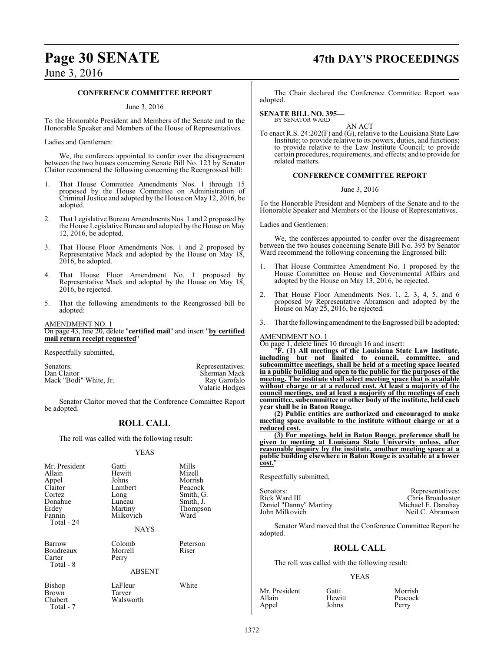# **Page 30 SENATE 47th DAY'S PROCEEDINGS**

## June 3, 2016

#### **CONFERENCE COMMITTEE REPORT**

#### June 3, 2016

To the Honorable President and Members of the Senate and to the Honorable Speaker and Members of the House of Representatives.

Ladies and Gentlemen:

We, the conferees appointed to confer over the disagreement between the two houses concerning Senate Bill No. 123 by Senator Claitor recommend the following concerning the Reengrossed bill:

- 1. That House Committee Amendments Nos. 1 through 15 proposed by the House Committee on Administration of Criminal Justice and adopted by the House on May 12, 2016, be adopted.
- 2. That Legislative Bureau Amendments Nos. 1 and 2 proposed by the House Legislative Bureau and adopted by the House on May 12, 2016, be adopted.
- 3. That House Floor Amendments Nos. 1 and 2 proposed by Representative Mack and adopted by the House on May 18, 2016, be adopted.
- 4. That House Floor Amendment No. 1 proposed by Representative Mack and adopted by the House on May 18, 2016, be rejected.
- 5. That the following amendments to the Reengrossed bill be adopted:

AMENDMENT NO. 1 On page 43, line 20, delete "**certified mail**" and insert "**by certified** mail return receipt requested

Respectfully submitted,

Senators: Representatives: Dan Claitor (Sherman Mack Sherman Mack Sherman Mack Sherman Mack Sherman Mack Sherman Mack Sherman Mack Sherman Mack Sherman Mack Sherman Mack Sherman Mack Sherman Mack Sherman Mack Sherman Mack Mack "Bodi" White, Jr.

Senator Claitor moved that the Conference Committee Report be adopted.

### **ROLL CALL**

The roll was called with the following result:

#### YEAS

| Mr. President<br>Allain<br>Appel<br>Claitor<br>Cortez<br>Donahue<br>Erdey<br>Fannin<br>Total - 24 | Gatti<br>Hewitt<br>Johns<br>Lambert<br>Long<br>Luneau<br>Martiny<br>Milkovich<br><b>NAYS</b> | Mills<br>Mizell<br>Morrish<br>Peacock<br>Smith, G.<br>Smith, J.<br>Thompson<br>Ward |
|---------------------------------------------------------------------------------------------------|----------------------------------------------------------------------------------------------|-------------------------------------------------------------------------------------|
| Barrow                                                                                            | Colomb                                                                                       | Peterson                                                                            |
| Boudreaux<br>Carter<br>Total - 8                                                                  | Morrell<br>Perry                                                                             | Riser                                                                               |
|                                                                                                   | <b>ABSENT</b>                                                                                |                                                                                     |
| Bishop<br>Brown<br>Chabert<br>Total - 7                                                           | LaFleur<br>Tarver<br>Walsworth                                                               | White                                                                               |

The Chair declared the Conference Committee Report was adopted.

#### **SENATE BILL NO. 395—** BY SENATOR WARD

AN ACT

To enact R.S. 24:202(F) and (G), relative to the Louisiana State Law Institute; to provide relative to its powers, duties, and functions; to provide relative to the Law Institute Council; to provide certain procedures, requirements, and effects; and to provide for related matters.

#### **CONFERENCE COMMITTEE REPORT**

#### June 3, 2016

To the Honorable President and Members of the Senate and to the Honorable Speaker and Members of the House of Representatives.

Ladies and Gentlemen:

We, the conferees appointed to confer over the disagreement between the two houses concerning Senate Bill No. 395 by Senator Ward recommend the following concerning the Engrossed bill:

- 1. That House Committee Amendment No. 1 proposed by the House Committee on House and Governmental Affairs and adopted by the House on May 13, 2016, be rejected.
- 2. That House Floor Amendments Nos. 1, 2, 3, 4, 5, and 6 proposed by Representative Abramson and adopted by the House on May 25, 2016, be rejected.
- 3. That the following amendment to the Engrossed bill be adopted:

#### AMENDMENT NO. 1

Sherman Mack<br>Ray Garofalo

Valarie Hodges

On page 1, delete lines 10 through 16 and insert:

"**F. (1) All meetings of the Louisiana State Law Institute, including but not limited to council, committee, and subcommittee meetings, shall be held at a meeting space located in a public building and open to the public for the purposes of the meeting. The institute shall select meeting space that is available without charge or at a reduced cost. At least a majority of the council meetings, and at least a majority of the meetings of each committee, subcommittee or other body of the institute, held each year shall be in Baton Rouge.**

**(2) Public entities are authorized and encouraged to make meeting space available to the institute without charge or at a reduced cost.**

**(3) For meetings held in Baton Rouge, preference shall be given to meeting at Louisiana State University unless, after reasonable inquiry by the institute, another meeting space at a public building elsewhere in Baton Rouge is available at a lower cost.**"

Respectfully submitted,

Senators: Rick Ward III and Senators: Rick Ward III and Senators: Rick Ward III and Senators: Rick Ward III and Senators: Rick Ward III and Senators: Rick Ward III and Senators: Rick Ward III and Senators: Rick Ward III an Daniel "Danny" Martiny<br>John Milkovich

Chris Broadwater<br>Michael E. Danahay Neil C. Abramson

Senator Ward moved that the Conference Committee Report be adopted.

## **ROLL CALL**

The roll was called with the following result:

#### YEAS

| Mr. President | Gatti  | Morrish |
|---------------|--------|---------|
| Allain        | Hewitt | Peacock |
| Appel         | Johns  | Perry   |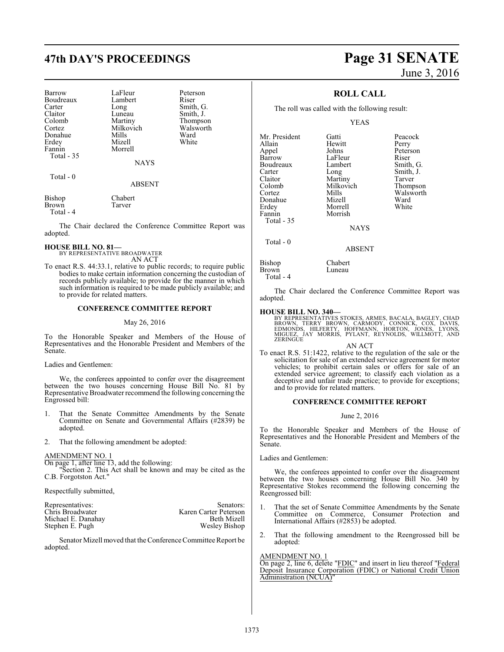# **47th DAY'S PROCEEDINGS Page 31 SENATE**

| Barrow<br>Boudreaux<br>Carter<br>Claitor<br>Colomb<br>Cortez<br>Donahue<br>Erdey<br>Fannin<br>Total - 35 | LaFleur<br>Lambert<br>Long<br>Luneau<br>Martiny<br>Milkovich<br>Mills<br>Mizell<br>Morrell<br><b>NAYS</b> | Peterson<br>Riser<br>Smith, G.<br>Smith, J.<br>Thompson<br>Walsworth<br>Ward<br>White |
|----------------------------------------------------------------------------------------------------------|-----------------------------------------------------------------------------------------------------------|---------------------------------------------------------------------------------------|
| Total - 0                                                                                                | <b>ABSENT</b>                                                                                             |                                                                                       |

Bishop Chabert<br>Brown Tarver **Brown** Total - 4

The Chair declared the Conference Committee Report was adopted.

#### **HOUSE BILL NO. 81—**

BY REPRESENTATIVE BROADWATER AN ACT

To enact R.S. 44:33.1, relative to public records; to require public bodies to make certain information concerning the custodian of records publicly available; to provide for the manner in which such information is required to be made publicly available; and to provide for related matters.

#### **CONFERENCE COMMITTEE REPORT**

#### May 26, 2016

To the Honorable Speaker and Members of the House of Representatives and the Honorable President and Members of the Senate.

#### Ladies and Gentlemen:

We, the conferees appointed to confer over the disagreement between the two houses concerning House Bill No. 81 by Representative Broadwater recommend the following concerning the Engrossed bill:

- 1. That the Senate Committee Amendments by the Senate Committee on Senate and Governmental Affairs (#2839) be adopted.
- 2. That the following amendment be adopted:

#### AMENDMENT NO. 1

On page 1, after line 13, add the following:

Section 2. This Act shall be known and may be cited as the C.B. Forgotston Act."

Respectfully submitted,

| Representatives:   | Senators:             |
|--------------------|-----------------------|
| Chris Broadwater   | Karen Carter Peterson |
| Michael E. Danahav | Beth Mizell           |
| Stephen E. Pugh    | Wesley Bishop         |

Senator Mizell moved that the Conference Committee Report be adopted.

# June 3, 2016

## **ROLL CALL**

The roll was called with the following result:

Hewitt<br>Johns

Morrell

YEAS

Mr. President Gatti Beacock<br>
Allain Hewitt Perry Appel Johns Peterson<br>Barrow LaFleur Riser Boudreaux Lamb<br>Carter Long Carter Long Smith, J.<br>Claitor Martiny Tarver Claitor Martiny Tarver<br>
Colomb Milkovich Thompson Colomb Milkovich<br>Cortez Mills Donahue Mizell Ward Fannin Morrish Total - 35

LaFleur Riser<br>Lambert Smith, G. Mills Walsworth<br>
Mizell Ward

**NAYS** 

ABSENT

Bishop Chabert<br>Brown Luneau Brown Total - 4

Total - 0

The Chair declared the Conference Committee Report was adopted.

#### **HOUSE BILL NO. 340—**

BY REPRESENTATIVES STOKES, ARMES, BACALA, BAGLEY, CHAD<br>BROWN, TERRY BROWN, CARMODY, CONNICK, COX, DAVIS,<br>EDMONDS, HILFERTY, HOFFMANN, HORTON, JONES, LYONS,<br>MIGUEZ, JAY MORRIS, PYLANT, REYNOLDS, WILLMOTT, AND **ZERINGUE** 

AN ACT

To enact R.S. 51:1422, relative to the regulation of the sale or the solicitation for sale of an extended service agreement for motor vehicles; to prohibit certain sales or offers for sale of an extended service agreement; to classify each violation as a deceptive and unfair trade practice; to provide for exceptions; and to provide for related matters.

#### **CONFERENCE COMMITTEE REPORT**

#### June 2, 2016

To the Honorable Speaker and Members of the House of Representatives and the Honorable President and Members of the Senate.

Ladies and Gentlemen:

We, the conferees appointed to confer over the disagreement between the two houses concerning House Bill No. 340 by Representative Stokes recommend the following concerning the Reengrossed bill:

- 1. That the set of Senate Committee Amendments by the Senate Committee on Commerce, Consumer Protection and International Affairs (#2853) be adopted.
- 2. That the following amendment to the Reengrossed bill be adopted:

#### AMENDMENT NO. 1

On page 2, line 6, delete "FDIC" and insert in lieu thereof "Federal Deposit Insurance Corporation (FDIC) or National Credit Union Administration (NCUA)"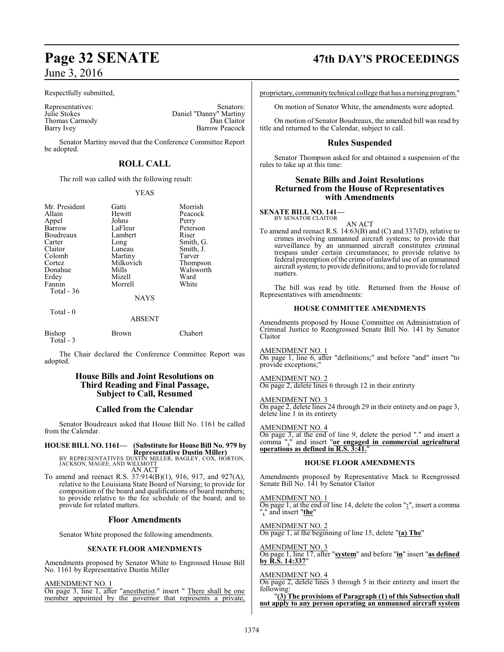Respectfully submitted,

Thomas Carmody<br>Barry Ivey

Representatives: Senators: Senators: Senators: Senators: Julie Stokes Daniel "Danny" Martiny Daniel "Danny" Martiny<br>Dan Claitor Barrow Peacock

Senator Martiny moved that the Conference Committee Report be adopted.

## **ROLL CALL**

The roll was called with the following result:

Johns<br>LaFleur

Lambert<br>Long

#### YEAS

Gatti Morrish<br>Hewitt Peacock

Peacock<br>Perry

Peterson<br>Riser

Smith, J.<br>Tarver

Walsworth<br>Ward

| Mr. President |
|---------------|
| Allain        |
| Appel         |
| Barrow        |
| Boudreaux     |
| Carter        |
| Claitor       |
| Colomb        |
| Cortez        |
| Donahue       |
| Erdey         |
| Fannin        |
| Total - 36    |
|               |

# Long Smith, G.<br>
Luneau Smith, J. Martiny Tarver<br>
Milkovich Thompson Milkovich<br>Mills Mizell Ward<br>
Morrell White

Morrell NAYS

#### Total - 0

### ABSENT

| Bishop    | <b>Brown</b> | Chabert |
|-----------|--------------|---------|
| Total - 3 |              |         |

The Chair declared the Conference Committee Report was adopted.

### **House Bills and Joint Resolutions on Third Reading and Final Passage, Subject to Call, Resumed**

### **Called from the Calendar**

Senator Boudreaux asked that House Bill No. 1161 be called from the Calendar.

**HOUSE BILL NO. 1161— (Substitute for House Bill No. 979 by Representative Dustin Miller)**

BY REPRESENTATIVES DUSTIN MILLER, BAGLEY, COX, HORTON, JACKSON, MAGEE, AND WILLMOTT AN ACT

To amend and reenact R.S. 37:914(B)(1), 916, 917, and 927(A), relative to the Louisiana State Board of Nursing; to provide for composition of the board and qualifications of board members; to provide relative to the fee schedule of the board; and to provide for related matters.

#### **Floor Amendments**

Senator White proposed the following amendments.

#### **SENATE FLOOR AMENDMENTS**

Amendments proposed by Senator White to Engrossed House Bill No. 1161 by Representative Dustin Miller

AMENDMENT NO. 1 On page 3, line 1, after "anesthetist." insert " There shall be one member appointed by the governor that represents a private,

# **Page 32 SENATE 47th DAY'S PROCEEDINGS**

proprietary, communitytechnical college that has a nursing program."

On motion of Senator White, the amendments were adopted.

On motion of Senator Boudreaux, the amended bill was read by title and returned to the Calendar, subject to call.

### **Rules Suspended**

Senator Thompson asked for and obtained a suspension of the rules to take up at this time:

#### **Senate Bills and Joint Resolutions Returned from the House of Representatives with Amendments**

**SENATE BILL NO. 141—** BY SENATOR CLAITOR

AN ACT

To amend and reenact R.S. 14:63(B) and (C) and 337(D), relative to crimes involving unmanned aircraft systems; to provide that surveillance by an unmanned aircraft constitutes criminal trespass under certain circumstances; to provide relative to federal preemption of the crime of unlawful use of an unmanned aircraft system; to provide definitions; and to provide for related matters.

The bill was read by title. Returned from the House of Representatives with amendments:

#### **HOUSE COMMITTEE AMENDMENTS**

Amendments proposed by House Committee on Administration of Criminal Justice to Reengrossed Senate Bill No. 141 by Senator Claitor

AMENDMENT NO. 1

On page 1, line 6, after "definitions;" and before "and" insert "to provide exceptions;'

#### AMENDMENT NO. 2

On page 2, delete lines 6 through 12 in their entirety

#### AMENDMENT NO. 3

On page 2, delete lines 24 through 29 in their entirety and on page 3, delete line 1 in its entirety

#### AMENDMENT NO. 4

On page 3, at the end of line 9, delete the period "." and insert a comma "," and insert "**or engaged in commercial agricultural operations as defined in R.S. 3:41.**"

#### **HOUSE FLOOR AMENDMENTS**

Amendments proposed by Representative Mack to Reengrossed Senate Bill No. 141 by Senator Claitor

AMENDMENT NO. 1 On page 1, at the end of line 14, delete the colon "**:**", insert a comma "**,**" and insert "**the**"

AMENDMENT NO. 2 On page 1, at the beginning of line 15, delete "**(a) The**"

AMENDMENT NO. 3 On page 1, line 17, after "**system**" and before "**in**" insert "**as defined by R.S. 14:337**"

#### AMENDMENT NO. 4

On page 2, delete lines 3 through 5 in their entirety and insert the following:

"**(3) The provisions of Paragraph (1) of this Subsection shall not apply to any person operating an unmanned aircraft system**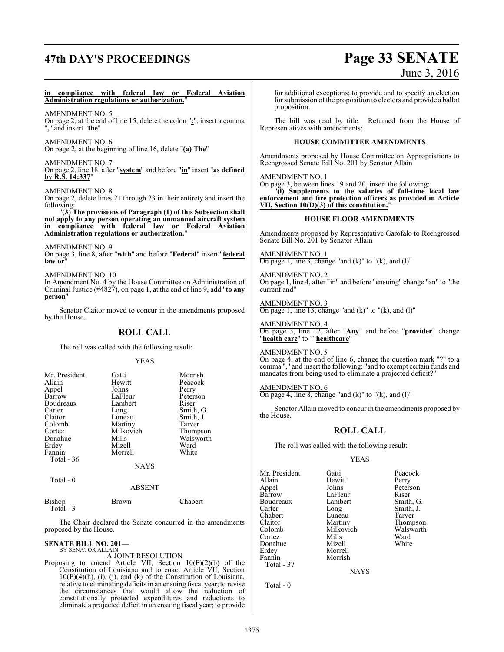# **47th DAY'S PROCEEDINGS Page 33 SENATE**

# June 3, 2016

#### **in compliance with federal law or Federal Aviation Administration regulations or authorization.**"

AMENDMENT NO. 5

On page 2, at the end of line 15, delete the colon "**:**", insert a comma "**,**" and insert "**the**"

AMENDMENT NO. 6 On page 2, at the beginning of line 16, delete "**(a) The**"

AMENDMENT NO. 7 On page 2, line 18, after "**system**" and before "**in**" insert "**as defined by R.S. 14:337**"

AMENDMENT NO. 8

On page 2, delete lines 21 through 23 in their entirety and insert the following:

"**(3) The provisions of Paragraph (1) of this Subsection shall not apply to any person operating an unmanned aircraft system in compliance with federal law or Federal Aviation Administration regulations or authorization.**"

#### AMENDMENT NO. 9

On page 3, line 8, after "**with**" and before "**Federal**" insert "**federal** law or

AMENDMENT NO. 10

In Amendment No. 4 by the House Committee on Administration of Criminal Justice (#4827), on page 1, at the end of line 9, add "**to any person**"

Senator Claitor moved to concur in the amendments proposed by the House.

### **ROLL CALL**

The roll was called with the following result:

#### YEAS

| Mr. President<br>Allain<br>Appel<br>Barrow<br>Boudreaux<br>Carter | Gatti<br>Hewitt<br>Johns<br>LaFleur<br>Lambert<br>Long | Morrish<br>Peacock<br>Perry<br>Peterson<br>Riser<br>Smith, G. |
|-------------------------------------------------------------------|--------------------------------------------------------|---------------------------------------------------------------|
| Claitor                                                           | Luneau                                                 | Smith, J.                                                     |
| Colomb                                                            | Martiny                                                | Tarver                                                        |
| Cortez                                                            | Milkovich                                              | Thompson                                                      |
| Donahue                                                           | Mills                                                  | Walsworth                                                     |
| Erdey                                                             | Mizell                                                 | Ward                                                          |
| Fannin                                                            | Morrell                                                | White                                                         |
| Total - 36                                                        |                                                        |                                                               |
|                                                                   | NAYS                                                   |                                                               |

Total - 0

#### ABSENT

Bishop Brown Chabert Total - 3

The Chair declared the Senate concurred in the amendments proposed by the House.

**SENATE BILL NO. 201—** BY SENATOR ALLAIN

## A JOINT RESOLUTION

Proposing to amend Article VII, Section 10(F)(2)(b) of the Constitution of Louisiana and to enact Article VII, Section  $10(F)(4)(h)$ , (i), (j), and (k) of the Constitution of Louisiana, relative to eliminating deficits in an ensuing fiscal year; to revise the circumstances that would allow the reduction of constitutionally protected expenditures and reductions to eliminate a projected deficit in an ensuing fiscal year; to provide

for additional exceptions; to provide and to specify an election for submission ofthe proposition to electors and provide a ballot proposition.

The bill was read by title. Returned from the House of Representatives with amendments:

#### **HOUSE COMMITTEE AMENDMENTS**

Amendments proposed by House Committee on Appropriations to Reengrossed Senate Bill No. 201 by Senator Allain

#### AMENDMENT NO. 1

On page 3, between lines 19 and 20, insert the following: "**(l) Supplements to the salaries of full-time local law enforcement and fire protection officers as provided in Article VII, Section 10(D)(3) of this constitution."**

#### **HOUSE FLOOR AMENDMENTS**

Amendments proposed by Representative Garofalo to Reengrossed Senate Bill No. 201 by Senator Allain

AMENDMENT NO. 1 On page 1, line 3, change "and  $(k)$ " to " $(k)$ , and  $(l)$ "

AMENDMENT NO. 2 On page 1, line 4, after "in" and before "ensuing" change "an" to "the current and"

AMENDMENT NO. 3 On page 1, line 13, change "and  $(k)$ " to " $(k)$ , and  $(l)$ "

AMENDMENT NO. 4 On page 3, line 12, after "**Any**" and before "**provider**" change "**health care**" to ""**healthcare**"

#### AMENDMENT NO. 5

On page 4, at the end of line 6, change the question mark "?" to a comma "," and insert the following: "and to exempt certain funds and mandates from being used to eliminate a projected deficit?"

#### AMENDMENT NO. 6

On page 4, line 8, change "and  $(k)$ " to " $(k)$ , and  $(l)$ "

Senator Allain moved to concur in the amendments proposed by the House.

## **ROLL CALL**

The roll was called with the following result:

#### YEAS

Mr. President Gatti Peacock<br>Allain Hewitt Perry Appel Johns Peters<br>
Barrow LaFleur Riser Boudreaux Lamb<br>
Carter Long Chabert Luneau<br>Claitor Martiny Claitor Martiny Thompson<br>Colomb Milkovich Walsworth Colomb Milkovich Walsworth<br>Cortez Mills Ward Cortez Mills Ward Donahue Mizell White Fannin Total - 37

Total - 0

Hewitt Perry<br>
Johns Peterson LaFleur Riser<br>Lambert Smith, G. Long Smith, J.<br>Luneau Tarver

**NAYS** 

Morrell<br>Morrish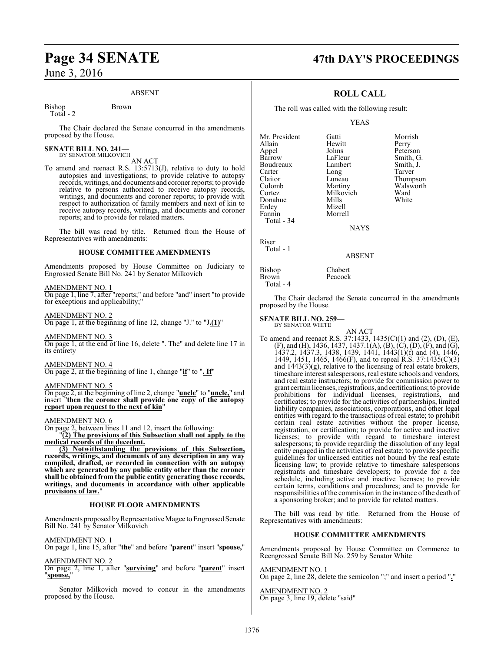#### ABSENT

Bishop Brown Total - 2

The Chair declared the Senate concurred in the amendments proposed by the House.

# **SENATE BILL NO. 241—**<br>BY SENATOR MILKOVICH

AN ACT

To amend and reenact R.S. 13:5713(J), relative to duty to hold autopsies and investigations; to provide relative to autopsy records, writings, and documents and coroner reports; to provide relative to persons authorized to receive autopsy records, writings, and documents and coroner reports; to provide with respect to authorization of family members and next of kin to receive autopsy records, writings, and documents and coroner reports; and to provide for related matters.

The bill was read by title. Returned from the House of Representatives with amendments:

#### **HOUSE COMMITTEE AMENDMENTS**

Amendments proposed by House Committee on Judiciary to Engrossed Senate Bill No. 241 by Senator Milkovich

AMENDMENT NO. 1

On page 1, line 7, after "reports;" and before "and" insert "to provide for exceptions and applicability;"

#### AMENDMENT NO. 2

On page 1, at the beginning of line 12, change "J." to "J**.(1)**"

AMENDMENT NO. 3 On page 1, at the end of line 16, delete ". The" and delete line 17 in its entirety

AMENDMENT NO. 4 On page 2, at the beginning of line 1, change "**if**" to "**. If**"

#### AMENDMENT NO. 5

On page 2, at the beginning of line 2, change "**uncle**" to "**uncle,**" and insert "**then the coroner shall provide one copy of the autopsy report upon request to the next of kin**"

#### AMENDMENT NO. 6

On page 2, between lines 11 and 12, insert the following:

"**(2) The provisions of this Subsection shall not apply to the medical records of the decedent.**

**(3) Notwithstanding the provisions of this Subsection, records, writings, and documents of any description in any way compiled, drafted, or recorded in connection with an autopsy which are generated by any public entity other than the coroner shall be obtained from the public entity generating those records, writings, and documents in accordance with other applicable** provisions of law.

#### **HOUSE FLOOR AMENDMENTS**

Amendments proposed by Representative Magee to Engrossed Senate Bill No. 241 by Senator Milkovich

#### AMENDMENT NO. 1

On page 1, line 15, after "**the**" and before "**parent**" insert "**spouse,**"

#### AMENDMENT NO. 2

On page 2, line 1, after "**surviving**" and before "**parent**" insert "**spouse,**"

Senator Milkovich moved to concur in the amendments proposed by the House.

# **Page 34 SENATE 47th DAY'S PROCEEDINGS**

## **ROLL CALL**

The roll was called with the following result:

Hewitt<br>Johns

Mizell

#### YEAS

Mr. President Gatti Morrish<br>Allain Hewitt Perry Appel Johns Peterson Boudreaux Lambert Smith,<br>Carter Long Tarver Carter Long<br>Claitor Luneau Claitor Luneau Thompson<br>Colomb Martiny Walsworth Colomb Martiny Walsworth<br>Cortez Milkovich Ward Donahue<br>Erdev Fannin Morrell Total - 34

LaFleur Smith, G.<br>Lambert Smith, J. Milkovich Ward<br>
Mills White

NAYS

ABSENT

Riser

## Total - 1

Bishop Chabert<br>Brown Peacock Peacock Total - 4

The Chair declared the Senate concurred in the amendments proposed by the House.

#### **SENATE BILL NO. 259—** BY SENATOR WHITE

AN ACT To amend and reenact R.S. 37:1433, 1435(C)(1) and (2), (D), (E), (F), and (H), 1436, 1437, 1437.1(A), (B), (C), (D), (F), and (G), 1437.2, 1437.3, 1438, 1439, 1441, 1443(1)(f) and (4), 1446, 1449, 1451, 1465, 1466(F), and to repeal R.S. 37:1435(C)(3) and  $1443(3)(g)$ , relative to the licensing of real estate brokers, timeshare interest salespersons, real estate schools and vendors, and real estate instructors; to provide for commission power to grant certain licenses, registrations, and certifications; to provide prohibitions for individual licenses, registrations, and certificates; to provide for the activities of partnerships, limited liability companies, associations, corporations, and other legal entities with regard to the transactions of real estate; to prohibit certain real estate activities without the proper license, registration, or certification; to provide for active and inactive licenses; to provide with regard to timeshare interest salespersons; to provide regarding the dissolution of any legal entity engaged in the activities of real estate; to provide specific guidelines for unlicensed entities not bound by the real estate licensing law; to provide relative to timeshare salespersons registrants and timeshare developers; to provide for a fee schedule, including active and inactive licenses; to provide certain terms, conditions and procedures; and to provide for responsibilities of the commission in the instance of the death of a sponsoring broker; and to provide for related matters.

The bill was read by title. Returned from the House of Representatives with amendments:

#### **HOUSE COMMITTEE AMENDMENTS**

Amendments proposed by House Committee on Commerce to Reengrossed Senate Bill No. 259 by Senator White

AMENDMENT NO. 1 On page 2, line 28, delete the semicolon ";" and insert a period "**.**"

AMENDMENT NO. 2 On page 3, line 19, delete "said"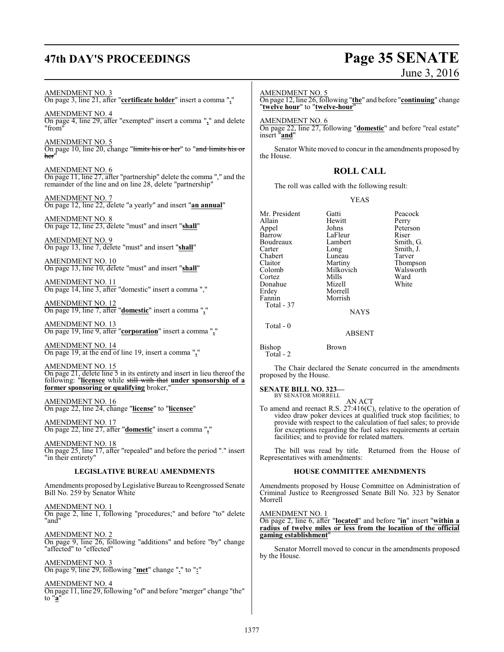# **47th DAY'S PROCEEDINGS Page 35 SENATE**

# June 3, 2016

AMENDMENT NO. 3 On page 3, line 21, after "**certificate holder**" insert a comma "**,**"

AMENDMENT NO. 4 On page 4, line 29, after "exempted" insert a comma "**,**" and delete "from"

AMENDMENT NO. 5 On page 10, line 20, change "<del>limits his or her</del>" to "and limits his or her"

AMENDMENT NO. 6 On page 11, line 27, after "partnership" delete the comma "," and the remainder of the line and on line 28, delete "partnership"

AMENDMENT NO. 7 On page 12, line 22, delete "a yearly" and insert "**an annual**"

AMENDMENT NO. 8 On page 12, line 23, delete "must" and insert "**shall**"

AMENDMENT NO. 9 On page 13, line 7, delete "must" and insert "**shall**"

AMENDMENT NO. 10 On page 13, line 10, delete "must" and insert "**shall**"

AMENDMENT NO. 11 On page 14, line 3, after "domestic" insert a comma ","

AMENDMENT NO. 12 On page 19, line 7, after "**domestic**" insert a comma "**,**"

AMENDMENT NO. 13 On page 19, line 9, after "**corporation**" insert a comma "**,**"

AMENDMENT NO. 14 On page 19, at the end of line 19, insert a comma "**,**"

AMENDMENT NO. 15 On page 21, delete line 5 in its entirety and insert in lieu thereof the following: "**licensee** while still with that **under sponsorship of a former sponsoring or qualifying** broker,"

AMENDMENT NO. 16 On page 22, line 24, change "**license**" to "**licensee**"

AMENDMENT NO. 17 On page 22, line 27, after "**domestic**" insert a comma "**,**"

AMENDMENT NO. 18 On page 25, line 17, after "repealed" and before the period "." insert "in their entirety"

#### **LEGISLATIVE BUREAU AMENDMENTS**

Amendments proposed by Legislative Bureau to Reengrossed Senate Bill No. 259 by Senator White

AMENDMENT NO. 1 On page 2, line 1, following "procedures;" and before "to" delete "and"

AMENDMENT NO. 2 On page 9, line 26, following "additions" and before "by" change "affected" to "effected"

AMENDMENT NO. 3 On page 9, line 29, following "**met**" change "**.**" to "**:**"

AMENDMENT NO. 4 On page 11, line 29, following "of" and before "merger" change "the" to "**a**"

AMENDMENT NO. 5 On page 12, line 26, following "**the**" and before "**continuing**" change "**twelve hour**" to "**twelve-hour**"

AMENDMENT NO. 6 On page 22, line 27, following "**domestic**" and before "real estate" insert "**and**"

Senator White moved to concur in the amendments proposed by the House.

### **ROLL CALL**

The roll was called with the following result:

#### YEAS

Mr. President Gatti Peacock<br>Allain Hewitt Perry Allain Hewitt<br>
Appel Johns Appel Johns Peterson Boudreaux Lamb<br>Carter Long Carter Long Smith, J.<br>
Chabert Luneau Tarver Chabert Luneau<br>Claitor Martiny Claitor Martiny Thompson<br>Colomb Milkovich Walsworth Cortez Mills Ward Donahue<br>Erdev Erdey Morrell<br>Fannin Morrish Morrish Total - 37 Total - 0 Bishop Brown

LaFleur Riser<br>Lambert Smith, G. Milkovich Walsworth<br>
Mills Ward

**NAYS** 

ABSENT

Total - 2

The Chair declared the Senate concurred in the amendments proposed by the House.

#### **SENATE BILL NO. 323—** BY SENATOR MORRELL

AN ACT

To amend and reenact R.S. 27:416(C), relative to the operation of video draw poker devices at qualified truck stop facilities; to provide with respect to the calculation of fuel sales; to provide for exceptions regarding the fuel sales requirements at certain facilities; and to provide for related matters.

The bill was read by title. Returned from the House of Representatives with amendments:

#### **HOUSE COMMITTEE AMENDMENTS**

Amendments proposed by House Committee on Administration of Criminal Justice to Reengrossed Senate Bill No. 323 by Senator Morrell

AMENDMENT NO. 1

On page 2, line 6, after "**located**" and before "**in**" insert "**within a radius of twelve miles or less from the location of the official gaming establishment**"

Senator Morrell moved to concur in the amendments proposed by the House.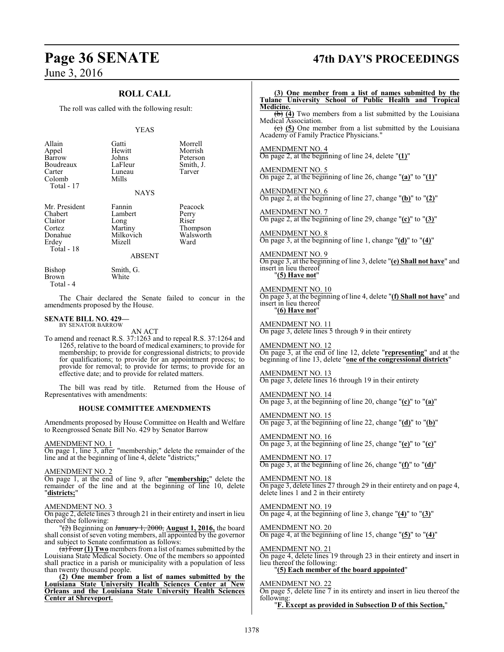## **ROLL CALL**

The roll was called with the following result:

#### YEAS

| Allain<br>Appel<br>Barrow<br>Boudreaux<br>Carter<br>Colomb<br>Total - 17        | Gatti<br>Hewitt<br>Johns<br>LaFleur<br>Luneau<br>Mills<br><b>NAYS</b>        | Morrell<br>Morrish<br>Peterson<br>Smith, J.<br>Tarver                                                                                                                                                                                                                                                                                   |
|---------------------------------------------------------------------------------|------------------------------------------------------------------------------|-----------------------------------------------------------------------------------------------------------------------------------------------------------------------------------------------------------------------------------------------------------------------------------------------------------------------------------------|
|                                                                                 |                                                                              |                                                                                                                                                                                                                                                                                                                                         |
| Mr. President<br>Chabert<br>Claitor<br>Cortez<br>Donahue<br>Erdey<br>Total - 18 | Fannin<br>Lambert<br>Long<br>Martiny<br>Milkovich<br>Mizell<br><b>ABSENT</b> | Peacock<br>Perry<br>Riser<br>Thompson<br>Walsworth<br>Ward                                                                                                                                                                                                                                                                              |
| Bishop<br><b>Brown</b><br>Total - 4                                             | Smith, G.<br>White                                                           |                                                                                                                                                                                                                                                                                                                                         |
| amendments proposed by the House.                                               |                                                                              | The Chair declared the Senate failed to concur in the                                                                                                                                                                                                                                                                                   |
| <b>SENATE BILL NO. 429-</b><br>BY SENATOR BARROW                                |                                                                              |                                                                                                                                                                                                                                                                                                                                         |
|                                                                                 | AN ACT<br>effective date; and to provide for related matters.                | To amend and reenact R.S. 37:1263 and to repeal R.S. 37:1264 and<br>1265, relative to the board of medical examiners; to provide for<br>membership; to provide for congressional districts; to provide<br>for qualifications; to provide for an appointment process; to<br>provide for removal; to provide for terms; to provide for an |
| Representatives with amendments:                                                |                                                                              | The bill was read by title. Returned from the House of                                                                                                                                                                                                                                                                                  |
|                                                                                 | <b>HOUSE COMMITTEE AMENDMENTS</b>                                            |                                                                                                                                                                                                                                                                                                                                         |
| to Reengrossed Senate Bill No. 429 by Senator Barrow                            |                                                                              | Amendments proposed by House Committee on Health and Welfare                                                                                                                                                                                                                                                                            |

#### AMENDMENT NO. 1

On page 1, line 3, after "membership;" delete the remainder of the line and at the beginning of line 4, delete "districts;"

#### AMENDMENT NO. 2

On page 1, at the end of line 9, after "**membership;**" delete the remainder of the line and at the beginning of line 10, delete "**districts;**"

#### AMENDMENT NO. 3

On page 2, delete lines 3 through 21 in their entirety and insert in lieu thereof the following:

"(2) Beginning on January 1, 2000, **August 1, 2016,** the board shall consist of seven voting members, all appointed by the governor and subject to Senate confirmation as follows:

(a) Four **(1) Two** members from a list of names submitted by the Louisiana State Medical Society. One of the members so appointed shall practice in a parish or municipality with a population of less than twenty thousand people.

**(2) One member from a list of names submitted by the Louisiana State University Health Sciences Center at New Orleans and the Louisiana State University Health Sciences Center at Shreveport.**

# **Page 36 SENATE 47th DAY'S PROCEEDINGS**

**(3) One member from a list of names submitted by the Tulane University School of Public Health and Tropical Medicine.** (b) **(4)** Two members from a list submitted by the Louisiana Medical Association. (c) **(5)** One member from a list submitted by the Louisiana Academy of Family Practice Physicians." AMENDMENT NO. 4 On page 2, at the beginning of line 24, delete "**(1)**" AMENDMENT NO. 5 On page 2, at the beginning of line 26, change "**(a)**" to "**(1)**" AMENDMENT NO. 6 On page 2, at the beginning of line 27, change "**(b)**" to "**(2)**" AMENDMENT NO. 7 On page 2, at the beginning of line 29, change "**(c)**" to "**(3)**" AMENDMENT NO. 8 On page 3, at the beginning of line 1, change "**(d)**" to "**(4)**" AMENDMENT NO. 9 On page 3, at the beginning of line 3, delete "**(e) Shall not have**" and insert in lieu thereof "**(5) Have not**" AMENDMENT NO. 10 On page 3, at the beginning of line 4, delete "**(f) Shall not have**" and insert in lieu thereof "**(6) Have not**" AMENDMENT NO. 11 On page 3, delete lines 5 through 9 in their entirety AMENDMENT NO. 12 On page 3, at the end of line 12, delete "**representing**" and at the beginning of line 13, delete "**one of the congressional districts**" AMENDMENT NO. 13 On page 3, delete lines 16 through 19 in their entirety AMENDMENT NO. 14 On page 3, at the beginning of line 20, change "**(c)**" to "**(a)**" AMENDMENT NO. 15 On page 3, at the beginning of line 22, change "**(d)**" to "**(b)**" AMENDMENT NO. 16 On page 3, at the beginning of line 25, change "**(e)**" to "**(c)**" AMENDMENT NO. 17 On page 3, at the beginning of line 26, change "**(f)**" to "**(d)**" AMENDMENT NO. 18 On page 3, delete lines 27 through 29 in their entirety and on page 4, delete lines 1 and 2 in their entirety AMENDMENT NO. 19 On page 4, at the beginning of line 3, change "**(4)**" to "**(3)**" AMENDMENT NO. 20 On page 4, at the beginning of line 15, change "**(5)**" to "**(4)**" AMENDMENT NO. 21 On page 4, delete lines 19 through 23 in their entirety and insert in lieu thereof the following: "**(5) Each member of the board appointed**" AMENDMENT NO. 22 On page 5, delete line 7 in its entirety and insert in lieu thereof the following: "**F. Except as provided in Subsection D of this Section,**"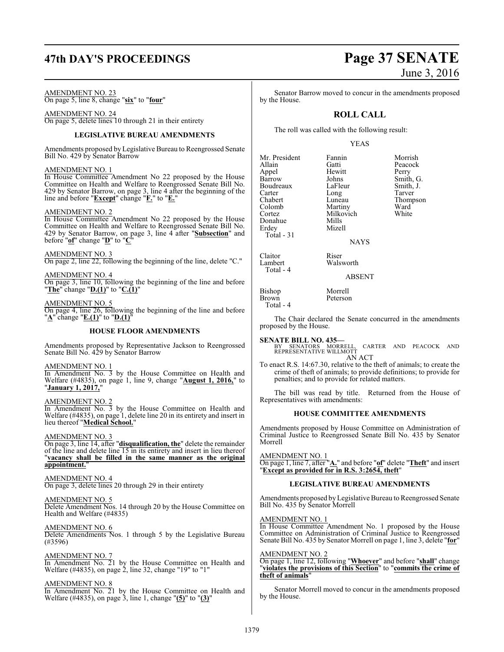#### AMENDMENT NO. 23

On page 5, line 8, change "**six**" to "**four**"

AMENDMENT NO. 24 On page 5, delete lines 10 through 21 in their entirety

#### **LEGISLATIVE BUREAU AMENDMENTS**

Amendments proposed by Legislative Bureau to Reengrossed Senate Bill No. 429 by Senator Barrow

#### AMENDMENT NO. 1

In House Committee Amendment No 22 proposed by the House Committee on Health and Welfare to Reengrossed Senate Bill No. 429 by Senator Barrow, on page 3, line 4 after the beginning of the line and before "**Except**" change "**F.**" to "**E.**"

#### AMENDMENT NO. 2

In House Committee Amendment No 22 proposed by the House Committee on Health and Welfare to Reengrossed Senate Bill No. 429 by Senator Barrow, on page 3, line 4 after "**Subsection**" and before "**of**" change "**D**" to "**C**"

AMENDMENT NO. 3 On page 2, line 22, following the beginning of the line, delete "C."

AMENDMENT NO. 4 On page 3, line 10, following the beginning of the line and before "**The**" change "**D.(1)**" to "**C.(1)**"

AMENDMENT NO. 5

On page 4, line 26, following the beginning of the line and before "**A**" change "**E.(1)**" to "**D.(1)**"

#### **HOUSE FLOOR AMENDMENTS**

Amendments proposed by Representative Jackson to Reengrossed Senate Bill No. 429 by Senator Barrow

AMENDMENT NO. 1

In Amendment No. 3 by the House Committee on Health and Welfare (#4835), on page 1, line 9, change "**August 1, 2016,**" to "**January 1, 2017,**"

AMENDMENT NO. 2

In Amendment No. 3 by the House Committee on Health and Welfare (#4835), on page 1, delete line 20 in its entirety and insert in lieu thereof "**Medical School.**"

#### AMENDMENT NO. 3

On page 3, line 14, after "**disqualification, the**" delete the remainder of the line and delete line 15 in its entirety and insert in lieu thereof "**vacancy shall be filled in the same manner as the original appointment.**"

AMENDMENT NO. 4 On page 3, delete lines 20 through 29 in their entirety

AMENDMENT NO. 5 Delete Amendment Nos. 14 through 20 by the House Committee on Health and Welfare (#4835)

AMENDMENT NO. 6 Delete Amendments Nos. 1 through 5 by the Legislative Bureau (#3596)

AMENDMENT NO. 7 In Amendment No. 21 by the House Committee on Health and Welfare (#4835), on page 2, line 32, change "19" to "1"

AMENDMENT NO. 8

In Amendment No. 21 by the House Committee on Health and Welfare (#4835), on page 3, line 1, change "**(5)**" to "**(3)**"

# **47th DAY'S PROCEEDINGS Page 37 SENATE** June 3, 2016

Senator Barrow moved to concur in the amendments proposed by the House.

## **ROLL CALL**

The roll was called with the following result:

#### YEAS

Mr. President Fannin Morrish<br>Allain Gatti Peacock Appel Hewit<br>Barrow Johns Boudreaux LaFleur Smith,<br>Carter Long Tarver Carter Long<br>Chabert Luneau Colomb Martiny Ward<br>Cortez Milkovich White Donahue<br>Erdey Total - 31

Total - 4

Gatti Peacock<br>
Hewitt Perry Johns Smith, G.<br>LaFleur Smith, J. Luneau Thompson<br>Martiny Ward Milkovich<br>Mills Mizell

**NAYS** 

Claitor Riser Walsworth

ABSENT

Bishop Morrell<br>Brown Peterson **Brown** Total - 4

The Chair declared the Senate concurred in the amendments proposed by the House.

**SENATE BILL NO. 435—**<br>BY SENATORS MORRELL, CARTER AND PEACOCK AND<br>REPRESENTATIVE WILLMOTT AN ACT

To enact R.S. 14:67.30, relative to the theft of animals; to create the crime of theft of animals; to provide definitions; to provide for penalties; and to provide for related matters.

The bill was read by title. Returned from the House of Representatives with amendments:

#### **HOUSE COMMITTEE AMENDMENTS**

Amendments proposed by House Committee on Administration of Criminal Justice to Reengrossed Senate Bill No. 435 by Senator Morrell

AMENDMENT NO. 1

On page 1, line 7, after "**A.**" and before "**of**" delete "**Theft**" and insert "**Except as provided for in R.S. 3:2654, theft**"

#### **LEGISLATIVE BUREAU AMENDMENTS**

Amendments proposed by Legislative Bureau to Reengrossed Senate Bill No. 435 by Senator Morrell

AMENDMENT NO. 1

In House Committee Amendment No. 1 proposed by the House Committee on Administration of Criminal Justice to Reengrossed Senate Bill No. 435 by Senator Morrell on page 1, line 3, delete "**for**"

AMENDMENT NO. 2 On page 1, line 12, following "**Whoever**" and before "**shall**" change "**violates the provisions of this Section**" to "**commits the crime of theft of animals**"

Senator Morrell moved to concur in the amendments proposed by the House.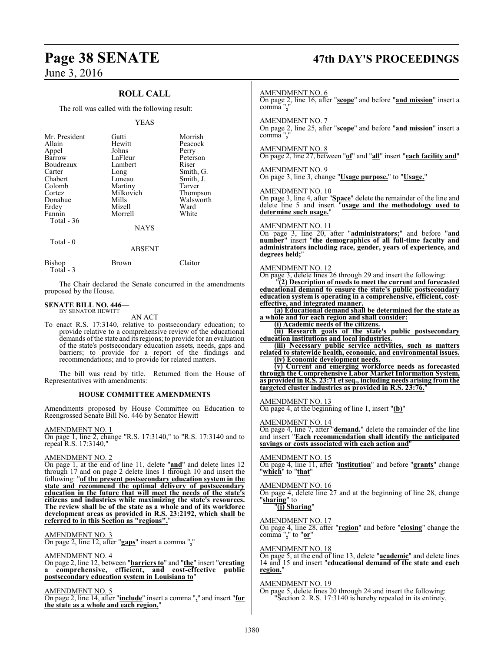## **ROLL CALL**

The roll was called with the following result:

#### YEAS

| Mr. President<br>Allain<br>Appel<br>Barrow<br>Boudreaux<br>Carter<br>Chabert<br>Colomb<br>Cortez<br>Donahue<br>Erdey<br>Fannin<br>Total $-36$ | Gatti<br>Hewitt<br>Johns<br>LaFleur<br>Lambert<br>Long<br>Luneau<br>Martiny<br>Milkovich<br>Mills<br>Mizell<br>Morrell | Morrish<br>Peacock<br>Perry<br>Peterson<br>Riser<br>Smith, G.<br>Smith, J.<br>Tarver<br>Thompson<br>Walsworth<br>Ward<br>White |
|-----------------------------------------------------------------------------------------------------------------------------------------------|------------------------------------------------------------------------------------------------------------------------|--------------------------------------------------------------------------------------------------------------------------------|
|                                                                                                                                               | <b>NAYS</b>                                                                                                            |                                                                                                                                |

Total - 0

#### ABSENT

| Bishop     | Brown | Claitor |
|------------|-------|---------|
| Total $-3$ |       |         |

The Chair declared the Senate concurred in the amendments proposed by the House.

#### **SENATE BILL NO. 446—** BY SENATOR HEWITT

AN ACT

To enact R.S. 17:3140, relative to postsecondary education; to provide relative to a comprehensive review of the educational demands of the state and its regions; to provide for an evaluation of the state's postsecondary education assets, needs, gaps and barriers; to provide for a report of the findings and recommendations; and to provide for related matters.

The bill was read by title. Returned from the House of Representatives with amendments:

#### **HOUSE COMMITTEE AMENDMENTS**

Amendments proposed by House Committee on Education to Reengrossed Senate Bill No. 446 by Senator Hewitt

#### AMENDMENT NO. 1

On page 1, line 2, change "R.S. 17:3140," to "R.S. 17:3140 and to repeal R.S. 17:3140,"

#### AMENDMENT NO. 2

On page 1, at the end of line 11, delete "**and**" and delete lines 12 through 17 and on page 2 delete lines 1 through 10 and insert the following: "**of the present postsecondary education system in the state and recommend the optimal delivery of postsecondary education in the future that will meet the needs of the state's citizens and industries while maximizing the state's resources. The review shall be of the state as a whole and of its workforce development areas as provided in R.S. 23:2192, which shall be referred to in this Section as "regions".** 

#### AMENDMENT NO. 3

On page 2, line 12, after "**gaps**" insert a comma "**,**"

#### AMENDMENT NO. 4

On page 2, line 12, between "**barriers to**" and "**the**" insert "**creating a comprehensive, efficient, and cost-effective public postsecondary education system in Louisiana to**"

#### AMENDMENT NO. 5

On page 2, line 14, after "**include**" insert a comma "**,**" and insert "**for the state as a whole and each region,**"

# **Page 38 SENATE 47th DAY'S PROCEEDINGS**

#### AMENDMENT NO. 6 On page 2, line 16, after "**scope**" and before "**and mission**" insert a comma "**,**" AMENDMENT NO. 7 On page 2, line 25, after "**scope**" and before "**and mission**" insert a comma", AMENDMENT NO. 8 On page 2, line 27, between "**of**" and "**all**" insert "**each facility and**" AMENDMENT NO. 9 On page 3, line 3, change "**Usage purpose.**" to "**Usage.**" AMENDMENT NO. 10 On page 3, line 4, after "**Space**" delete the remainder of the line and delete line 5 and insert "**usage and the methodology used to determine such usage.**" AMENDMENT NO. 11 On page 3, line 20, after "**administrators;**" and before "**and number**" insert "**the demographics of all full-time faculty and administrators including race, gender, years of experience, and degrees held;**" AMENDMENT NO. 12 On page 3, delete lines 26 through 29 and insert the following: "**(2) Description of needs to meet the current and forecasted educational demand to ensure the state's public postsecondary education system is operating in a comprehensive, efficient, costeffective, and integrated manner. (a) Educational demand shall be determined for the state as a whole and for each region and shall consider: (i) Academic needs of the citizens. (ii) Research goals of the state's public postsecondary education institutions and local industries. (iii) Necessary public service activities, such as matters related to statewide health, economic, and environmental issues. (iv) Economic development needs. (v) Current and emerging workforce needs as forecasted through the Comprehensive Labor Market Information System, as provided in R.S. 23:71 et seq., including needs arising from the targeted cluster industries as provided in R.S. 23:76.**" AMENDMENT NO. 13 On page 4, at the beginning of line 1, insert "**(b)**" AMENDMENT NO. 14 On page 4, line 7, after "**demand.**" delete the remainder of the line and insert "**Each recommendation shall identify the anticipated savings or costs associated with each action and**" AMENDMENT NO. 15 On page 4, line 11, after "**institution**" and before "**grants**" change "**which**" to "**that**" AMENDMENT NO. 16 On page 4, delete line 27 and at the beginning of line 28, change "**sharing**" to "**(j) Sharing**" AMENDMENT NO. 17 On page 4, line 28, after "**region**" and before "**closing**" change the comma "**,**" to "**or**" AMENDMENT NO. 18 On page 5, at the end of line 13, delete "**academic**" and delete lines 14 and 15 and insert "**educational demand of the state and each region.**" AMENDMENT NO. 19 On page 5, delete lines 20 through 24 and insert the following: "Section 2. R.S. 17:3140 is hereby repealed in its entirety.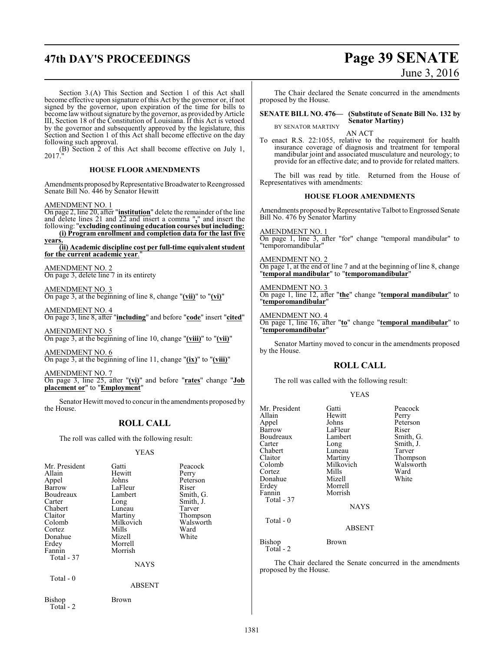# **47th DAY'S PROCEEDINGS Page 39 SENATE** June 3, 2016

Section 3.(A) This Section and Section 1 of this Act shall become effective upon signature of this Act by the governor or, if not signed by the governor, upon expiration of the time for bills to become law without signature by the governor, as provided by Article III, Section 18 of the Constitution of Louisiana. If this Act is vetoed by the governor and subsequently approved by the legislature, this Section and Section 1 of this Act shall become effective on the day following such approval.

(B) Section 2 of this Act shall become effective on July 1, 2017."

#### **HOUSE FLOOR AMENDMENTS**

Amendments proposed by Representative Broadwater to Reengrossed Senate Bill No. 446 by Senator Hewitt

AMENDMENT NO. 1

On page 2, line 20, after "**institution**" delete the remainder of the line and delete lines 21 and 22 and insert a comma "**,**" and insert the following: "**excluding continuing education courses but including: (i) Program enrollment and completion data for the last five**

**years. (ii) Academic discipline cost per full-time equivalentstudent for the current academic year**."

AMENDMENT NO. 2 On page 3, delete line 7 in its entirety

AMENDMENT NO. 3

On page 3, at the beginning of line 8, change "**(vii)**" to "**(vi)**"

AMENDMENT NO. 4 On page 3, line 8, after "**including**" and before "**code**" insert "**cited**"

AMENDMENT NO. 5 On page 3, at the beginning of line 10, change "**(viii)**" to "**(vii)**"

AMENDMENT NO. 6 On page 3, at the beginning of line 11, change "**(ix)**" to "**(viii)**"

AMENDMENT NO. 7 On page 3, line 25, after "**(vi)**" and before "**rates**" change "**Job placement or**" to "**Employment**"

Senator Hewitt moved to concur in the amendments proposed by the House.

#### **ROLL CALL**

The roll was called with the following result:

#### YEAS

| Mr. President<br>Allain<br>Appel<br>Barrow<br>Boudreaux<br>Carter<br>Chabert<br>Claitor<br>Colomb<br>Cortez<br>Donahue<br>Erdey<br>Fannin<br>Total - 37<br>Total - 0 | Gatti<br>Hewitt<br>Johns<br>LaFleur<br>Lambert<br>Long<br>Luneau<br>Martiny<br>Milkovich<br>Mills<br>Mizell<br>Morrell<br>Morrish<br>NAYS<br><b>ABSENT</b> | Peacock<br>Perry<br>Peterson<br>Riser<br>Smith, G.<br>Smith, J.<br>Tarver<br>Thompson<br>Walsworth<br>Ward<br>White |
|----------------------------------------------------------------------------------------------------------------------------------------------------------------------|------------------------------------------------------------------------------------------------------------------------------------------------------------|---------------------------------------------------------------------------------------------------------------------|
| Bishop<br>Total $-2$                                                                                                                                                 | Brown                                                                                                                                                      |                                                                                                                     |

The Chair declared the Senate concurred in the amendments proposed by the House.

**SENATE BILL NO. 476— (Substitute of Senate Bill No. 132 by Senator Martiny)**

BY SENATOR MARTINY AN ACT

To enact R.S. 22:1055, relative to the requirement for health insurance coverage of diagnosis and treatment for temporal mandibular joint and associated musculature and neurology; to provide for an effective date; and to provide for related matters.

The bill was read by title. Returned from the House of Representatives with amendments:

#### **HOUSE FLOOR AMENDMENTS**

Amendments proposed by Representative Talbot to Engrossed Senate Bill No. 476 by Senator Martiny

AMENDMENT NO. 1 On page 1, line 3, after "for" change "temporal mandibular" to "temporomandibular"

AMENDMENT NO. 2 On page 1, at the end of line 7 and at the beginning of line 8, change "**temporal mandibular**" to "**temporomandibular**"

#### AMENDMENT NO. 3

On page 1, line 12, after "**the**" change "**temporal mandibular**" to "**temporomandibular**"

#### AMENDMENT NO. 4

On page 1, line 16, after "**to**" change "**temporal mandibular**" to "**temporomandibular**"

Senator Martiny moved to concur in the amendments proposed by the House.

#### **ROLL CALL**

The roll was called with the following result:

#### YEAS

| Mr. President<br>Allain<br>Appel<br>Barrow<br>Boudreaux | Gatti<br>Hewitt<br>Johns<br>LaFleur<br>Lambert | Peacock<br>Perry<br>Peterson<br>Riser<br>Smith, G. |
|---------------------------------------------------------|------------------------------------------------|----------------------------------------------------|
| Carter<br>Chabert                                       | Long<br>Luneau                                 | Smith, J.<br>Tarver                                |
| Claitor<br>Colomb<br>Cortez                             | Martiny<br>Milkovich<br>Mills                  | Thompson<br>Walsworth<br>Ward                      |
| Donahue<br>Erdey                                        | Mizell<br>Morrell                              | White                                              |
| Fannin<br>Total - 37                                    | Morrish<br><b>NAYS</b>                         |                                                    |
| Total - 0                                               | <b>ABSENT</b>                                  |                                                    |
| Bishop<br>Total - 2                                     | Brown                                          |                                                    |

The Chair declared the Senate concurred in the amendments proposed by the House.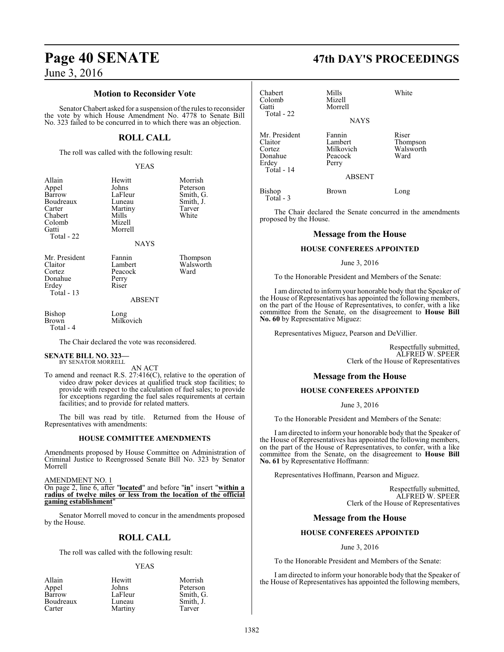#### **Motion to Reconsider Vote**

Senator Chabert asked for a suspension of the rules to reconsider the vote by which House Amendment No. 4778 to Senate Bill No. 323 failed to be concurred in to which there was an objection.

#### **ROLL CALL**

The roll was called with the following result:

YEAS

| Allain<br>Appel<br>Barrow<br>Boudreaux<br>Carter<br>Chabert<br>Colomb<br>Gatti<br>Total - 22 | Hewitt<br>Johns<br>LaFleur<br>Luneau<br>Martiny<br>Mills<br>Mizell<br>Morrell<br><b>NAYS</b> | Morrish<br>Peterson<br>Smith, G.<br>Smith, J.<br>Tarver<br>White |
|----------------------------------------------------------------------------------------------|----------------------------------------------------------------------------------------------|------------------------------------------------------------------|
| Mr. President<br>Claitor<br>Cortez<br>Donahue<br>Erdey<br>Total $-13$                        | Fannin<br>Lambert<br>Peacock<br>Perry<br>Riser<br>ABSENT                                     | Thompson<br>Walsworth<br>Ward                                    |
| Bishop<br>Brown                                                                              | Long<br>Milkovich                                                                            |                                                                  |

Total - 4

The Chair declared the vote was reconsidered.

#### **SENATE BILL NO. 323—** BY SENATOR MORRELL

AN ACT

To amend and reenact R.S. 27:416(C), relative to the operation of video draw poker devices at qualified truck stop facilities; to provide with respect to the calculation of fuel sales; to provide for exceptions regarding the fuel sales requirements at certain facilities; and to provide for related matters.

The bill was read by title. Returned from the House of Representatives with amendments:

#### **HOUSE COMMITTEE AMENDMENTS**

Amendments proposed by House Committee on Administration of Criminal Justice to Reengrossed Senate Bill No. 323 by Senator Morrell

AMENDMENT NO. 1

On page 2, line 6, after "**located**" and before "**in**" insert "**within a radius of twelve miles or less from the location of the official gaming establishment**"

Senator Morrell moved to concur in the amendments proposed by the House.

### **ROLL CALL**

The roll was called with the following result:

#### YEAS

| Allain    | Hewitt  | Morrish   |
|-----------|---------|-----------|
| Appel     | Johns   | Peterson  |
| Barrow    | LaFleur | Smith, G. |
| Boudreaux | Luneau  | Smith, J. |
| Carter    | Martiny | Tarver    |

# **Page 40 SENATE 47th DAY'S PROCEEDINGS**

| Chabert<br>Colomb<br>Gatti<br>Total - 22                             | Mills<br>Mizell<br>Morrell<br><b>NAYS</b>                           | White                                  |
|----------------------------------------------------------------------|---------------------------------------------------------------------|----------------------------------------|
| Mr. President<br>Claitor<br>Cortez<br>Donahue<br>Erdey<br>Total - 14 | Fannin<br>Lambert<br>Milkovich<br>Peacock<br>Perry<br><b>ABSENT</b> | Riser<br>Thompson<br>Walsworth<br>Ward |
| Bishop<br>$Total - 3$                                                | Brown                                                               | Long                                   |

The Chair declared the Senate concurred in the amendments proposed by the House.

#### **Message from the House**

#### **HOUSE CONFEREES APPOINTED**

#### June 3, 2016

To the Honorable President and Members of the Senate:

I am directed to inform your honorable body that the Speaker of the House of Representatives has appointed the following members, on the part of the House of Representatives, to confer, with a like committee from the Senate, on the disagreement to **House Bill No. 60** by Representative Miguez:

Representatives Miguez, Pearson and DeVillier.

Respectfully submitted, ALFRED W. SPEER Clerk of the House of Representatives

#### **Message from the House**

#### **HOUSE CONFEREES APPOINTED**

June 3, 2016

To the Honorable President and Members of the Senate:

I am directed to inform your honorable body that the Speaker of the House of Representatives has appointed the following members, on the part of the House of Representatives, to confer, with a like committee from the Senate, on the disagreement to **House Bill No. 61** by Representative Hoffmann:

Representatives Hoffmann, Pearson and Miguez.

Respectfully submitted, ALFRED W. SPEER Clerk of the House of Representatives

#### **Message from the House**

#### **HOUSE CONFEREES APPOINTED**

June 3, 2016

To the Honorable President and Members of the Senate:

I am directed to inform your honorable body that the Speaker of the House of Representatives has appointed the following members,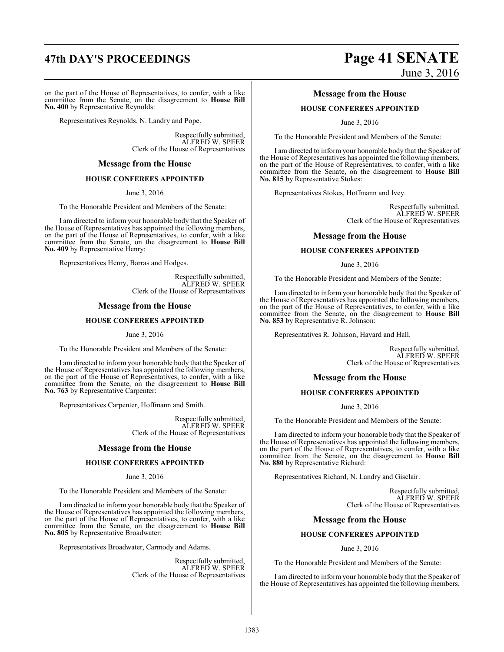on the part of the House of Representatives, to confer, with a like committee from the Senate, on the disagreement to **House Bill No. 400** by Representative Reynolds:

Representatives Reynolds, N. Landry and Pope.

Respectfully submitted, ALFRED W. SPEER Clerk of the House of Representatives

#### **Message from the House**

#### **HOUSE CONFEREES APPOINTED**

June 3, 2016

To the Honorable President and Members of the Senate:

I am directed to inform your honorable body that the Speaker of the House of Representatives has appointed the following members, on the part of the House of Representatives, to confer, with a like committee from the Senate, on the disagreement to **House Bill No. 409** by Representative Henry:

Representatives Henry, Barras and Hodges.

Respectfully submitted, ALFRED W. SPEER Clerk of the House of Representatives

#### **Message from the House**

#### **HOUSE CONFEREES APPOINTED**

June 3, 2016

To the Honorable President and Members of the Senate:

I am directed to inform your honorable body that the Speaker of the House of Representatives has appointed the following members, on the part of the House of Representatives, to confer, with a like committee from the Senate, on the disagreement to **House Bill No. 763** by Representative Carpenter:

Representatives Carpenter, Hoffmann and Smith.

Respectfully submitted, ALFRED W. SPEER Clerk of the House of Representatives

#### **Message from the House**

#### **HOUSE CONFEREES APPOINTED**

June 3, 2016

To the Honorable President and Members of the Senate:

I am directed to inform your honorable body that the Speaker of the House of Representatives has appointed the following members, on the part of the House of Representatives, to confer, with a like committee from the Senate, on the disagreement to **House Bill No. 805** by Representative Broadwater:

Representatives Broadwater, Carmody and Adams.

Respectfully submitted, ALFRED W. SPEER Clerk of the House of Representatives

# **47th DAY'S PROCEEDINGS Page 41 SENATE** June 3, 2016

#### **Message from the House**

#### **HOUSE CONFEREES APPOINTED**

June 3, 2016

To the Honorable President and Members of the Senate:

I am directed to inform your honorable body that the Speaker of the House of Representatives has appointed the following members, on the part of the House of Representatives, to confer, with a like committee from the Senate, on the disagreement to **House Bill No. 815** by Representative Stokes:

Representatives Stokes, Hoffmann and Ivey.

Respectfully submitted, ALFRED W. SPEER Clerk of the House of Representatives

#### **Message from the House**

#### **HOUSE CONFEREES APPOINTED**

June 3, 2016

To the Honorable President and Members of the Senate:

I am directed to inform your honorable body that the Speaker of the House of Representatives has appointed the following members, on the part of the House of Representatives, to confer, with a like committee from the Senate, on the disagreement to **House Bill No. 853** by Representative R. Johnson:

Representatives R. Johnson, Havard and Hall.

Respectfully submitted, ALFRED W. SPEER Clerk of the House of Representatives

#### **Message from the House**

#### **HOUSE CONFEREES APPOINTED**

June 3, 2016

To the Honorable President and Members of the Senate:

I am directed to inform your honorable body that the Speaker of the House of Representatives has appointed the following members, on the part of the House of Representatives, to confer, with a like committee from the Senate, on the disagreement to **House Bill No. 880** by Representative Richard:

Representatives Richard, N. Landry and Gisclair.

Respectfully submitted, ALFRED W. SPEER Clerk of the House of Representatives

#### **Message from the House**

#### **HOUSE CONFEREES APPOINTED**

June 3, 2016

To the Honorable President and Members of the Senate:

I am directed to inform your honorable body that the Speaker of the House of Representatives has appointed the following members,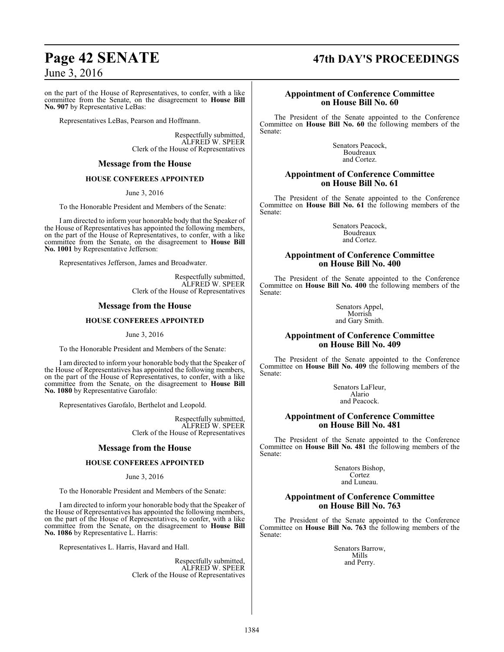on the part of the House of Representatives, to confer, with a like committee from the Senate, on the disagreement to **House Bill No. 907** by Representative LeBas:

Representatives LeBas, Pearson and Hoffmann.

Respectfully submitted, ALFRED W. SPEER Clerk of the House of Representatives

#### **Message from the House**

#### **HOUSE CONFEREES APPOINTED**

June 3, 2016

To the Honorable President and Members of the Senate:

I am directed to inform your honorable body that the Speaker of the House of Representatives has appointed the following members, on the part of the House of Representatives, to confer, with a like committee from the Senate, on the disagreement to **House Bill No. 1001** by Representative Jefferson:

Representatives Jefferson, James and Broadwater.

Respectfully submitted, ALFRED W. SPEER Clerk of the House of Representatives

#### **Message from the House**

#### **HOUSE CONFEREES APPOINTED**

June 3, 2016

To the Honorable President and Members of the Senate:

I am directed to inform your honorable body that the Speaker of the House of Representatives has appointed the following members, on the part of the House of Representatives, to confer, with a like committee from the Senate, on the disagreement to **House Bill No. 1080** by Representative Garofalo:

Representatives Garofalo, Berthelot and Leopold.

Respectfully submitted, ALFRED W. SPEER Clerk of the House of Representatives

#### **Message from the House**

#### **HOUSE CONFEREES APPOINTED**

#### June 3, 2016

To the Honorable President and Members of the Senate:

I am directed to inform your honorable body that the Speaker of the House of Representatives has appointed the following members, on the part of the House of Representatives, to confer, with a like committee from the Senate, on the disagreement to **House Bill No. 1086** by Representative L. Harris:

Representatives L. Harris, Havard and Hall.

Respectfully submitted, ALFRED W. SPEER Clerk of the House of Representatives

# **Page 42 SENATE 47th DAY'S PROCEEDINGS**

#### **Appointment of Conference Committee on House Bill No. 60**

The President of the Senate appointed to the Conference Committee on **House Bill No. 60** the following members of the Senate:

> Senators Peacock, Boudreaux and Cortez.

#### **Appointment of Conference Committee on House Bill No. 61**

The President of the Senate appointed to the Conference Committee on **House Bill No. 61** the following members of the Senate:

> Senators Peacock, Boudreaux and Cortez.

#### **Appointment of Conference Committee on House Bill No. 400**

The President of the Senate appointed to the Conference Committee on **House Bill No. 400** the following members of the Senate:

> Senators Appel, Morrish and Gary Smith.

### **Appointment of Conference Committee on House Bill No. 409**

The President of the Senate appointed to the Conference Committee on **House Bill No. 409** the following members of the Senate:

> Senators LaFleur, Alario and Peacock.

#### **Appointment of Conference Committee on House Bill No. 481**

The President of the Senate appointed to the Conference Committee on **House Bill No. 481** the following members of the Senate:

> Senators Bishop, Cortez and Luneau.

### **Appointment of Conference Committee on House Bill No. 763**

The President of the Senate appointed to the Conference Committee on **House Bill No. 763** the following members of the Senate:

> Senators Barrow, Mills and Perry.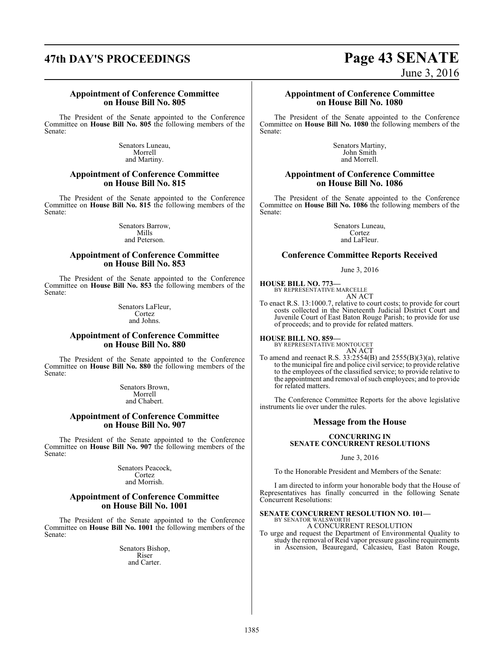# **47th DAY'S PROCEEDINGS Page 43 SENATE**

# June 3, 2016

#### **Appointment of Conference Committee on House Bill No. 805**

The President of the Senate appointed to the Conference Committee on **House Bill No. 805** the following members of the Senate:

> Senators Luneau, Morrell and Martiny.

#### **Appointment of Conference Committee on House Bill No. 815**

The President of the Senate appointed to the Conference Committee on **House Bill No. 815** the following members of the Senate:

> Senators Barrow, Mills and Peterson.

#### **Appointment of Conference Committee on House Bill No. 853**

The President of the Senate appointed to the Conference Committee on **House Bill No. 853** the following members of the Senate:

> Senators LaFleur, Cortez and Johns.

### **Appointment of Conference Committee on House Bill No. 880**

The President of the Senate appointed to the Conference Committee on **House Bill No. 880** the following members of the Senate:

> Senators Brown, Morrell and Chabert.

#### **Appointment of Conference Committee on House Bill No. 907**

The President of the Senate appointed to the Conference Committee on **House Bill No. 907** the following members of the Senate:

> Senators Peacock, Cortez and Morrish.

#### **Appointment of Conference Committee on House Bill No. 1001**

The President of the Senate appointed to the Conference Committee on **House Bill No. 1001** the following members of the Senate:

> Senators Bishop, Riser and Carter.

#### **Appointment of Conference Committee on House Bill No. 1080**

The President of the Senate appointed to the Conference Committee on **House Bill No. 1080** the following members of the Senate:

> Senators Martiny, John Smith and Morrell.

#### **Appointment of Conference Committee on House Bill No. 1086**

The President of the Senate appointed to the Conference Committee on **House Bill No. 1086** the following members of the Senate:

> Senators Luneau, Cortez and LaFleur.

#### **Conference Committee Reports Received**

June 3, 2016

**HOUSE BILL NO. 773—** BY REPRESENTATIVE MARCELLE AN ACT

To enact R.S. 13:1000.7, relative to court costs; to provide for court costs collected in the Nineteenth Judicial District Court and Juvenile Court of East Baton Rouge Parish; to provide for use of proceeds; and to provide for related matters.

**HOUSE BILL NO. 859—** BY REPRESENTATIVE MONTOUCET AN ACT

To amend and reenact R.S.  $33:2554(B)$  and  $2555(B)(3)(a)$ , relative to the municipal fire and police civil service; to provide relative to the employees of the classified service; to provide relative to the appointment and removal ofsuch employees; and to provide for related matters.

The Conference Committee Reports for the above legislative instruments lie over under the rules.

#### **Message from the House**

#### **CONCURRING IN SENATE CONCURRENT RESOLUTIONS**

June 3, 2016

To the Honorable President and Members of the Senate:

I am directed to inform your honorable body that the House of Representatives has finally concurred in the following Senate Concurrent Resolutions:

# **SENATE CONCURRENT RESOLUTION NO. 101—** BY SENATOR WALSWORTH

A CONCURRENT RESOLUTION

To urge and request the Department of Environmental Quality to study the removal of Reid vapor pressure gasoline requirements in Ascension, Beauregard, Calcasieu, East Baton Rouge,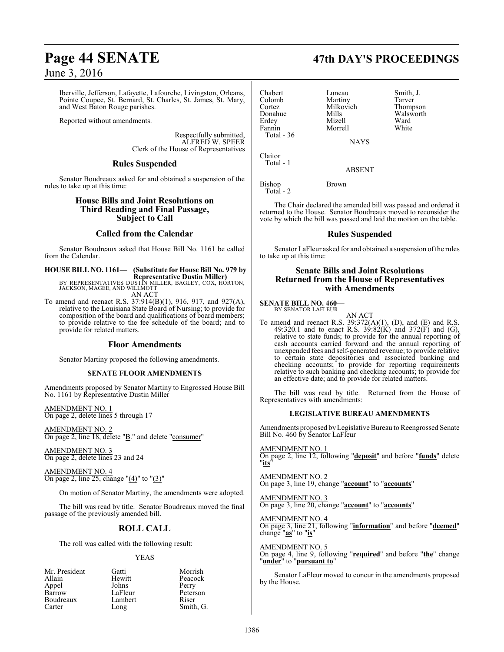Iberville, Jefferson, Lafayette, Lafourche, Livingston, Orleans, Pointe Coupee, St. Bernard, St. Charles, St. James, St. Mary, and West Baton Rouge parishes.

Reported without amendments.

Respectfully submitted, ALFRED W. SPEER Clerk of the House of Representatives

### **Rules Suspended**

Senator Boudreaux asked for and obtained a suspension of the rules to take up at this time:

#### **House Bills and Joint Resolutions on Third Reading and Final Passage, Subject to Call**

## **Called from the Calendar**

Senator Boudreaux asked that House Bill No. 1161 be called from the Calendar.

**HOUSE BILL NO. 1161— (Substitute for House Bill No. 979 by Representative Dustin Miller)** BY REPRESENTATIVES DUSTIN MILLER, BAGLEY, COX, HORTON, JACKSON, MAGEE, AND WILLMOTT

AN ACT To amend and reenact R.S. 37:914(B)(1), 916, 917, and 927(A),

relative to the Louisiana State Board of Nursing; to provide for composition of the board and qualifications of board members; to provide relative to the fee schedule of the board; and to provide for related matters.

### **Floor Amendments**

Senator Martiny proposed the following amendments.

#### **SENATE FLOOR AMENDMENTS**

Amendments proposed by Senator Martiny to Engrossed House Bill No. 1161 by Representative Dustin Miller

AMENDMENT NO. 1 On page 2, delete lines 5 through 17

AMENDMENT NO. 2 On page 2, line 18, delete "B." and delete "consumer"

AMENDMENT NO. 3 On page 2, delete lines 23 and 24

AMENDMENT NO. 4 On page 2, line 25, change " $(4)$ " to " $(3)$ "

On motion of Senator Martiny, the amendments were adopted.

The bill was read by title. Senator Boudreaux moved the final passage of the previously amended bill.

## **ROLL CALL**

The roll was called with the following result:

#### YEAS

| Gatti   | Morrish   |
|---------|-----------|
| Hewitt  | Peacock   |
| Johns   | Perry     |
| LaFleur | Peterson  |
| Lambert | Riser     |
| Long    | Smith, G. |
|         |           |

# **Page 44 SENATE 47th DAY'S PROCEEDINGS**

| Chabert     | Luneau      | Smith, J. |
|-------------|-------------|-----------|
| Colomb      | Martiny     | Tarver    |
| Cortez      | Milkovich   | Thompson  |
| Donahue     | Mills       | Walsworth |
| Erdey       | Mizell      | Ward      |
| Fannin      | Morrell     | White     |
| Total - 36  |             |           |
|             | <b>NAYS</b> |           |
| Claitor     |             |           |
| $T = 1 - 1$ |             |           |

 $\mathcal{C}$ Total - 1

ABSENT

Bishop Brown Total - 2

The Chair declared the amended bill was passed and ordered it returned to the House. Senator Boudreaux moved to reconsider the vote by which the bill was passed and laid the motion on the table.

### **Rules Suspended**

Senator LaFleur asked for and obtained a suspension ofthe rules to take up at this time:

### **Senate Bills and Joint Resolutions Returned from the House of Representatives with Amendments**

**SENATE BILL NO. 460—** BY SENATOR LAFLEUR

AN ACT To amend and reenact R.S.  $39:372(A)(1)$ , (D), and (E) and R.S. 49:320.1 and to enact R.S. 39:82 $(K)$  and 372 $(F)$  and  $(G)$ , relative to state funds; to provide for the annual reporting of cash accounts carried forward and the annual reporting of unexpended fees and self-generated revenue; to provide relative to certain state depositories and associated banking and checking accounts; to provide for reporting requirements relative to such banking and checking accounts; to provide for an effective date; and to provide for related matters.

The bill was read by title. Returned from the House of Representatives with amendments:

#### **LEGISLATIVE BUREAU AMENDMENTS**

Amendments proposed byLegislative Bureau to Reengrossed Senate Bill No. 460 by Senator LaFleur

AMENDMENT NO. 1 On page 2, line 12, following "**deposit**" and before "**funds**" delete "**its**"

AMENDMENT NO. 2 On page 3, line 19, change "**account**" to "**accounts**"

AMENDMENT NO. 3 On page 3, line 20, change "**account**" to "**accounts**"

AMENDMENT NO. 4 On page 3, line 21, following "**information**" and before "**deemed**" change "**as**" to "**is**"

AMENDMENT NO. 5 On page 4, line 9, following "**required**" and before "**the**" change "**under**" to "**pursuant to**"

Senator LaFleur moved to concur in the amendments proposed by the House.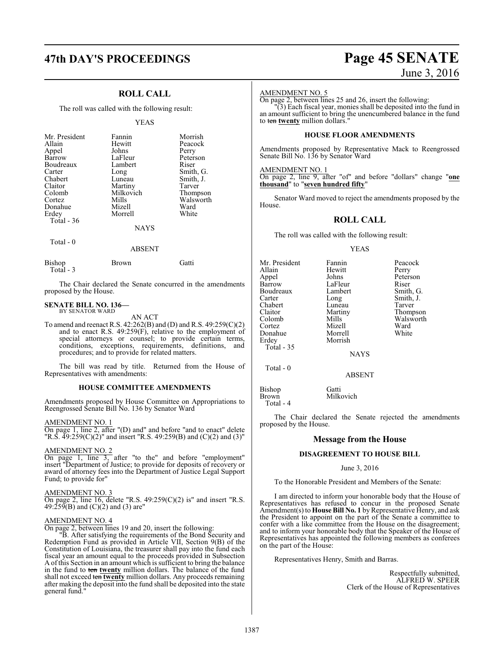# **47th DAY'S PROCEEDINGS Page 45 SENATE**

## **ROLL CALL**

The roll was called with the following result:

#### YEAS

| Mr. President       | Fannin          | Morrish   |
|---------------------|-----------------|-----------|
| Allain              | Hewitt          | Peacock   |
| Appel               | Johns           | Perry     |
| Barrow              | LaFleur         | Peterson  |
| Boudreaux           | Lambert         | Riser     |
| Carter              | Long            | Smith, G. |
| Chabert             | Luneau          | Smith, J. |
| Claitor             | Martiny         | Tarver    |
| Colomb              | Milkovich       | Thompson  |
| Cortez              | Mills           | Walsworth |
| Donahue             | Mizell          | Ward      |
| Erdey<br>Total - 36 | Morrell<br>NAYS | White     |

Total - 0

#### ABSENT

| Bishop     | Brown | Gatti |
|------------|-------|-------|
| Total $-3$ |       |       |

The Chair declared the Senate concurred in the amendments proposed by the House.

# **SENATE BILL NO. 136—** BY SENATOR WARD

AN ACT

To amend and reenact R.S. 42:262(B) and (D) and R.S. 49:259(C)(2) and to enact R.S. 49:259(F), relative to the employment of special attorneys or counsel; to provide certain terms, conditions, exceptions, requirements, definitions, and procedures; and to provide for related matters.

The bill was read by title. Returned from the House of Representatives with amendments:

#### **HOUSE COMMITTEE AMENDMENTS**

Amendments proposed by House Committee on Appropriations to Reengrossed Senate Bill No. 136 by Senator Ward

AMENDMENT NO. 1

On page 1, line 2, after "(D) and" and before "and to enact" delete "R.S. 49:259(C)(2)" and insert "R.S. 49:259(B) and (C)(2) and (3)"

#### AMENDMENT NO. 2

On page 1, line 3, after "to the" and before "employment" insert "Department of Justice; to provide for deposits of recovery or award of attorney fees into the Department of Justice Legal Support Fund; to provide for"

#### AMENDMENT NO. 3

On page 2, line 16, delete "R.S.  $49:259(C)(2)$  is" and insert "R.S. 49:259 $(B)$  and  $(C)(2)$  and  $(3)$  are"

#### AMENDMENT NO. 4

On page 2, between lines 19 and 20, insert the following:

"B. After satisfying the requirements of the Bond Security and Redemption Fund as provided in Article VII, Section 9(B) of the Constitution of Louisiana, the treasurer shall pay into the fund each fiscal year an amount equal to the proceeds provided in Subsection A ofthis Section in an amount which is sufficient to bring the balance in the fund to ten **twenty** million dollars. The balance of the fund shall not exceed ten **twenty** million dollars. Any proceeds remaining after making the deposit into the fund shall be deposited into the state general fund."

# June 3, 2016

#### AMENDMENT NO. 5

to ten **twenty** million dollars."

On page 2, between lines 25 and 26, insert the following: "(3) Each fiscal year, monies shall be deposited into the fund in an amount sufficient to bring the unencumbered balance in the fund

#### **HOUSE FLOOR AMENDMENTS**

Amendments proposed by Representative Mack to Reengrossed Senate Bill No. 136 by Senator Ward

AMENDMENT NO. 1 On page 2, line 9, after "of" and before "dollars" change "**one thousand**" to "**seven hundred fifty**"

Senator Ward moved to reject the amendments proposed by the House.

#### **ROLL CALL**

The roll was called with the following result:

#### YEAS

| Mr. President | Fannin  | Peacock   |
|---------------|---------|-----------|
| Allain        | Hewitt  | Perry     |
| Appel         | Johns   | Peterson  |
| Barrow        | LaFleur | Riser     |
| Boudreaux     | Lambert | Smith, G. |
| Carter        | Long    | Smith, J. |
| Chabert       | Luneau  | Tarver    |
| Claitor       | Martiny | Thompson  |
| Colomb        | Mills   | Walsworth |
| Cortez        | Mizell  | Ward      |
| Donahue       | Morrell | White     |
| Erdey         | Morrish |           |
| Total - 35    |         |           |
|               | NAVS    |           |

Total - 0

NAYS

#### ABSENT

Bishop Gatti<br>Brown Milk Milkovich Total - 4

The Chair declared the Senate rejected the amendments proposed by the House.

#### **Message from the House**

#### **DISAGREEMENT TO HOUSE BILL**

#### June 3, 2016

To the Honorable President and Members of the Senate:

I am directed to inform your honorable body that the House of Representatives has refused to concur in the proposed Senate Amendment(s) to **House Bill No. 1** by Representative Henry, and ask the President to appoint on the part of the Senate a committee to confer with a like committee from the House on the disagreement; and to inform your honorable body that the Speaker of the House of Representatives has appointed the following members as conferees on the part of the House:

Representatives Henry, Smith and Barras.

Respectfully submitted, ALFRED W. SPEER Clerk of the House of Representatives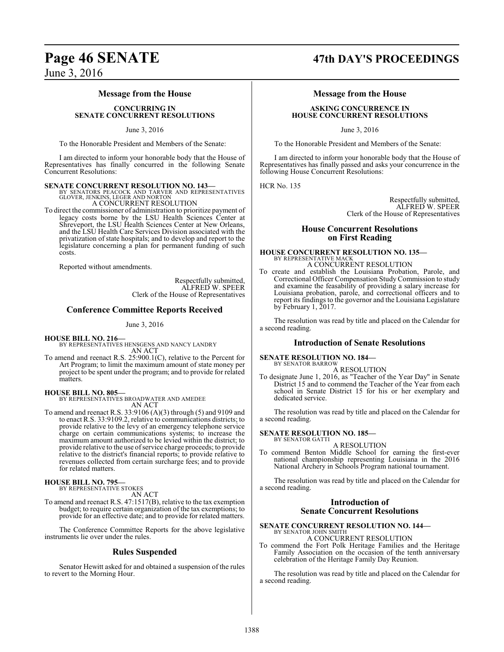#### **Message from the House**

#### **CONCURRING IN SENATE CONCURRENT RESOLUTIONS**

June 3, 2016

To the Honorable President and Members of the Senate:

I am directed to inform your honorable body that the House of Representatives has finally concurred in the following Senate Concurrent Resolutions:

**SENATE CONCURRENT RESOLUTION NO. 143—**<br>BY SENATORS PEACOCK AND TARVER AND REPRESENTATIVES<br>GLOVER, JENKINS, LEGER AND NORTON A CONCURRENT RESOLUTION

To direct the commissioner of administration to prioritize payment of legacy costs borne by the LSU Health Sciences Center at Shreveport, the LSU Health Sciences Center at New Orleans, and the LSU Health Care Services Division associated with the privatization of state hospitals; and to develop and report to the legislature concerning a plan for permanent funding of such costs.

Reported without amendments.

Respectfully submitted, ALFRED W. SPEER Clerk of the House of Representatives

#### **Conference Committee Reports Received**

June 3, 2016

**HOUSE BILL NO. 216—** BY REPRESENTATIVES HENSGENS AND NANCY LANDRY AN ACT

To amend and reenact R.S. 25:900.1(C), relative to the Percent for Art Program; to limit the maximum amount of state money per project to be spent under the program; and to provide for related matters.

#### **HOUSE BILL NO. 805—**

BY REPRESENTATIVES BROADWATER AND AMEDEE AN ACT

To amend and reenact R.S. 33:9106 (A)(3) through (5) and 9109 and to enact R.S. 33:9109.2, relative to communications districts; to provide relative to the levy of an emergency telephone service charge on certain communications systems; to increase the maximum amount authorized to be levied within the district; to provide relative to the use of service charge proceeds; to provide relative to the district's financial reports; to provide relative to revenues collected from certain surcharge fees; and to provide for related matters.

# **HOUSE BILL NO. 795—** BY REPRESENTATIVE STOKES

AN ACT

To amend and reenact R.S. 47:1517(B), relative to the tax exemption budget; to require certain organization of the tax exemptions; to provide for an effective date; and to provide for related matters.

The Conference Committee Reports for the above legislative instruments lie over under the rules.

#### **Rules Suspended**

Senator Hewitt asked for and obtained a suspension of the rules to revert to the Morning Hour.

# **Page 46 SENATE 47th DAY'S PROCEEDINGS**

#### **Message from the House**

#### **ASKING CONCURRENCE IN HOUSE CONCURRENT RESOLUTIONS**

June 3, 2016

To the Honorable President and Members of the Senate:

I am directed to inform your honorable body that the House of Representatives has finally passed and asks your concurrence in the following House Concurrent Resolutions:

HCR No. 135

Respectfully submitted, ALFRED W. SPEER Clerk of the House of Representatives

#### **House Concurrent Resolutions on First Reading**

# **HOUSE CONCURRENT RESOLUTION NO. 135—** BY REPRESENTATIVE MACK

A CONCURRENT RESOLUTION To create and establish the Louisiana Probation, Parole, and Correctional Officer Compensation Study Commission to study and examine the feasability of providing a salary increase for Louisiana probation, parole, and correctional officers and to report its findings to the governor and the Louisiana Legislature by February 1, 2017.

The resolution was read by title and placed on the Calendar for a second reading.

#### **Introduction of Senate Resolutions**

**SENATE RESOLUTION NO. 184—**

BY SENATOR BARROW

- A RESOLUTION
- To designate June 1, 2016, as "Teacher of the Year Day" in Senate District 15 and to commend the Teacher of the Year from each school in Senate District 15 for his or her exemplary and dedicated service.

The resolution was read by title and placed on the Calendar for a second reading.

#### **SENATE RESOLUTION NO. 185—** BY SENATOR GATTI

A RESOLUTION

To commend Benton Middle School for earning the first-ever national championship representing Louisiana in the 2016 National Archery in Schools Program national tournament.

The resolution was read by title and placed on the Calendar for a second reading.

## **Introduction of Senate Concurrent Resolutions**

#### **SENATE CONCURRENT RESOLUTION NO. 144—** BY SENATOR JOHN SMITH A CONCURRENT RESOLUTION

To commend the Fort Polk Heritage Families and the Heritage Family Association on the occasion of the tenth anniversary celebration of the Heritage Family Day Reunion.

The resolution was read by title and placed on the Calendar for a second reading.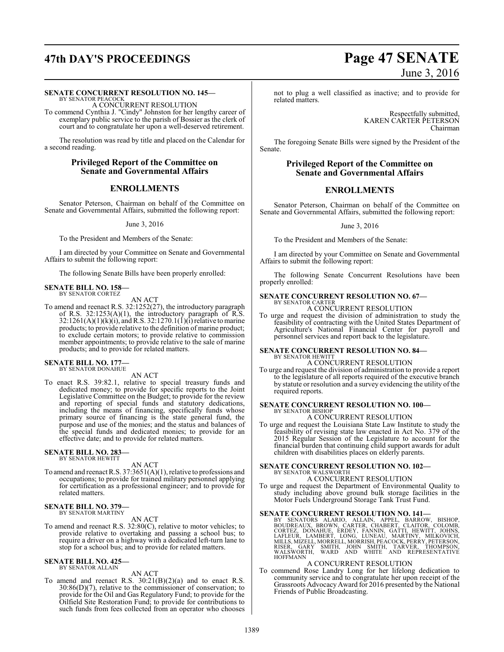#### **SENATE CONCURRENT RESOLUTION NO. 145—**

BY SENATOR PEACOCK A CONCURRENT RESOLUTION

To commend Cynthia J. "Cindy" Johnston for her lengthy career of exemplary public service to the parish of Bossier as the clerk of court and to congratulate her upon a well-deserved retirement.

The resolution was read by title and placed on the Calendar for a second reading.

#### **Privileged Report of the Committee on Senate and Governmental Affairs**

#### **ENROLLMENTS**

Senator Peterson, Chairman on behalf of the Committee on Senate and Governmental Affairs, submitted the following report:

June 3, 2016

To the President and Members of the Senate:

I am directed by your Committee on Senate and Governmental Affairs to submit the following report:

The following Senate Bills have been properly enrolled:

# **SENATE BILL NO. 158—** BY SENATOR CORTEZ

AN ACT

To amend and reenact R.S. 32:1252(27), the introductory paragraph of R.S. 32:1253(A)(1), the introductory paragraph of R.S.  $32:1261(A)(1)(k)(i)$ , and R.S.  $32:1270.1(1)(i)$  relative to marine products; to provide relative to the definition of marine product; to exclude certain motors; to provide relative to commission member appointments; to provide relative to the sale of marine products; and to provide for related matters.

#### **SENATE BILL NO. 177—** BY SENATOR DONAHUE

AN ACT

To enact R.S. 39:82.1, relative to special treasury funds and dedicated money; to provide for specific reports to the Joint Legislative Committee on the Budget; to provide for the review and reporting of special funds and statutory dedications, including the means of financing, specifically funds whose primary source of financing is the state general fund, the purpose and use of the monies; and the status and balances of the special funds and dedicated monies; to provide for an effective date; and to provide for related matters.

# **SENATE BILL NO. 283—** BY SENATOR HEWITT

AN ACT

To amend and reenact R.S. 37:3651(A)(1), relative to professions and occupations; to provide for trained military personnel applying for certification as a professional engineer; and to provide for related matters.

# **SENATE BILL NO. 379—** BY SENATOR MARTINY

AN ACT

To amend and reenact R.S. 32:80(C), relative to motor vehicles; to provide relative to overtaking and passing a school bus; to require a driver on a highway with a dedicated left-turn lane to stop for a school bus; and to provide for related matters.

# **SENATE BILL NO. 425—** BY SENATOR ALLAIN

## AN ACT

To amend and reenact R.S.  $30:21(B)(2)(a)$  and to enact R.S. 30:86(D)(7), relative to the commissioner of conservation; to provide for the Oil and Gas Regulatory Fund; to provide for the Oilfield Site Restoration Fund; to provide for contributions to such funds from fees collected from an operator who chooses

# **47th DAY'S PROCEEDINGS Page 47 SENATE** June 3, 2016

not to plug a well classified as inactive; and to provide for related matters.

> Respectfully submitted, KAREN CARTER PETERSON Chairman

The foregoing Senate Bills were signed by the President of the Senate.

## **Privileged Report of the Committee on Senate and Governmental Affairs**

## **ENROLLMENTS**

Senator Peterson, Chairman on behalf of the Committee on Senate and Governmental Affairs, submitted the following report:

June 3, 2016

To the President and Members of the Senate:

I am directed by your Committee on Senate and Governmental Affairs to submit the following report:

The following Senate Concurrent Resolutions have been properly enrolled:

# **SENATE CONCURRENT RESOLUTION NO. 67—** BY SENATOR CARTER

A CONCURRENT RESOLUTION

To urge and request the division of administration to study the feasibility of contracting with the United States Department of Agriculture's National Financial Center for payroll and personnel services and report back to the legislature.

# **SENATE CONCURRENT RESOLUTION NO. 84––**<br>BY SENATOR HEWITT

A CONCURRENT RESOLUTION

To urge and request the division of administration to provide a report to the legislature of all reports required of the executive branch by statute or resolution and a survey evidencing the utility ofthe required reports.

# **SENATE CONCURRENT RESOLUTION NO. 100—** BY SENATOR BISHOP

A CONCURRENT RESOLUTION

To urge and request the Louisiana State Law Institute to study the feasibility of revising state law enacted in Act No. 379 of the 2015 Regular Session of the Legislature to account for the financial burden that continuing child support awards for adult children with disabilities places on elderly parents.

#### **SENATE CONCURRENT RESOLUTION NO. 102—** BY SENATOR WALSWORTH

A CONCURRENT RESOLUTION

To urge and request the Department of Environmental Quality to study including above ground bulk storage facilities in the Motor Fuels Underground Storage Tank Trust Fund.

**SENATE CONCURRENT RESOLUTION NO. 141—**<br>BY SENATORS ALARIO, ALLAIN, APPEL, BARROW, BISHOP,<br>BOUDREAUX, BROWN, CARTER, CHABERT, CLAITOR, COLOMB,<br>CORTEZ, DONAHUE, ERDEY, FANNIN, GATTI, HEWITT, JOHNS,<br>LAFLEUR, LAMBERT, LONG, L HOFFMANN

#### A CONCURRENT RESOLUTION

To commend Rose Landry Long for her lifelong dedication to community service and to congratulate her upon receipt of the Grassroots AdvocacyAward for 2016 presented by the National Friends of Public Broadcasting.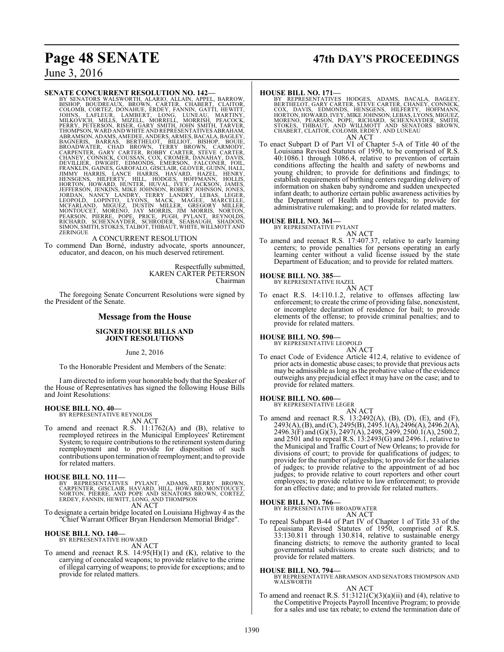# **Page 48 SENATE 47th DAY'S PROCEEDINGS**

June 3, 2016

#### **SENATE CONCURRENT RESOLUTION NO. 142—**

BY SENATORS WALSWORTH, ALARIO, ALLAIN, APPEL, BARROW,<br>BISHOP, BOUDREAUX, BROWN, CARTER, CHABERT, CLAITOR,<br>COLOMB, CORTEZ, DONAHUE, ERDEY, FANNIN, GATTI, HEWITT,<br>JOHNS, LAFLEUR, LAMBERT, LONG, LUNEAU, MARTINY,<br>MILKOVICH, MI ABRAMSON, ADAMS, AMEDEE, ANDERS, ARMES, BACALA, BAGILEY, BAGNERIS, BARRAS, BERTHELOT, BILLIOT, BISHOP, BOUIE, CARNODY, CHAODIN, CARNODY, CHAODIN, CHAOBY CARPENTER, GARY CARNER, TENTER, CHAOBY CARNER, STEVE CARRER, CHANNER,

#### A CONCURRENT RESOLUTION

To commend Dan Borné, industry advocate, sports announcer, educator, and deacon, on his much deserved retirement.

> Respectfully submitted, KAREN CARTER PETERSON Chairman

The foregoing Senate Concurrent Resolutions were signed by the President of the Senate.

#### **Message from the House**

#### **SIGNED HOUSE BILLS AND JOINT RESOLUTIONS**

June 2, 2016

To the Honorable President and Members of the Senate:

I am directed to inform your honorable body that the Speaker of the House of Representatives has signed the following House Bills and Joint Resolutions:

#### **HOUSE BILL NO. 40—**

BY REPRESENTATIVE REYNOLDS AN ACT

To amend and reenact R.S. 11:1762(A) and (B), relative to reemployed retirees in the Municipal Employees' Retirement System; to require contributions to the retirement system during reemployment and to provide for disposition of such contributions upon termination ofreemployment; and to provide for related matters.

#### **HOUSE BILL NO. 111—**

BY REPRESENTATIVES PYLANT, ADAMS, TERRY BROWN,<br>CARPENTER, GISCLAIR, HAVARD, HILL, HOWARD, MONTOUCET,<br>NORTON, PIERRE, AND POPE AND SENATORS BROWN, CORTEZ, ERDEY, FANNIN, HEWITT, LONG, AND THOMPSON AN ACT

To designate a certain bridge located on Louisiana Highway 4 as the "Chief Warrant Officer Bryan Henderson Memorial Bridge".

# **HOUSE BILL NO. 140—** BY REPRESENTATIVE HOWARD

AN ACT

To amend and reenact R.S.  $14:95(H)(1)$  and (K), relative to the carrying of concealed weapons; to provide relative to the crime of illegal carrying of weapons; to provide for exceptions; and to provide for related matters.

#### **HOUSE BILL NO. 171—**

BY REPRESENTATIVES HODGES, ADAMS, BACALA, BAGLEY, BERTHELOT, GARY CARTER, STEVE CARTER, CHANEY, CONNICK, CORNECT, CONDUCK, HOPEN HORTON, HORTON, HORTON, HOWARD, IVEY, MIKE JOHNSON, LEBAS, LYONS, MIGUEZ, MORENO, PEARSON, PO

To enact Subpart D of Part VI of Chapter 5-A of Title 40 of the Louisiana Revised Statutes of 1950, to be comprised of R.S. 40:1086.1 through 1086.4, relative to prevention of certain conditions affecting the health and safety of newborns and young children; to provide for definitions and findings; to establish requirements of birthing centers regarding delivery of information on shaken baby syndrome and sudden unexpected infant death; to authorize certain public awareness activities by the Department of Health and Hospitals; to provide for administrative rulemaking; and to provide for related matters.

#### **HOUSE BILL NO. 361—**

BY REPRESENTATIVE PYLANT

AN ACT To amend and reenact R.S. 17:407.37, relative to early learning centers; to provide penalties for persons operating an early learning center without a valid license issued by the state Department of Education; and to provide for related matters.

#### **HOUSE BILL NO. 385—**

BY REPRESENTATIVE HAZEL AN ACT

To enact R.S. 14:110.1.2, relative to offenses affecting law enforcement; to create the crime of providing false, nonexistent, or incomplete declaration of residence for bail; to provide elements of the offense; to provide criminal penalties; and to provide for related matters.

#### **HOUSE BILL NO. 590—**

BY REPRESENTATIVE LEOPOLD AN ACT

To enact Code of Evidence Article 412.4, relative to evidence of prior acts in domestic abuse cases; to provide that previous acts may be admissible as long as the probative value of the evidence outweighs any prejudicial effect it may have on the case; and to provide for related matters.

#### **HOUSE BILL NO. 600—**

BY REPRESENTATIVE LEGER

AN ACT To amend and reenact R.S. 13:2492(A), (B), (D), (E), and (F), 2493(A), (B), and (C), 2495(B), 2495.1(A), 2496(A), 2496.2(A), 2496.3(F) and (G)(3), 2497(A), 2498, 2499, 2500.1(A), 2500.2, and 2501 and to repeal R.S. 13:2493(G) and 2496.1, relative to the Municipal and Traffic Court of New Orleans; to provide for divisions of court; to provide for qualifications of judges; to provide for the number of judgeships; to provide for the salaries of judges; to provide relative to the appointment of ad hoc judges; to provide relative to court reporters and other court employees; to provide relative to law enforcement; to provide for an effective date; and to provide for related matters.

#### **HOUSE BILL NO. 766—**

BY REPRESENTATIVE BROADWATER AN ACT

To repeal Subpart B-44 of Part IV of Chapter 1 of Title 33 of the Louisiana Revised Statutes of 1950, comprised of R.S. 33:130.811 through 130.814, relative to sustainable energy financing districts; to remove the authority granted to local governmental subdivisions to create such districts; and to provide for related matters.

#### **HOUSE BILL NO. 794—**

BY REPRESENTATIVE ABRAMSON AND SENATORS THOMPSON AND WALSWORTH AN ACT

To amend and reenact R.S.  $51:3121(C)(3)(a)(ii)$  and (4), relative to the Competitive Projects Payroll Incentive Program; to provide for a sales and use tax rebate; to extend the termination date of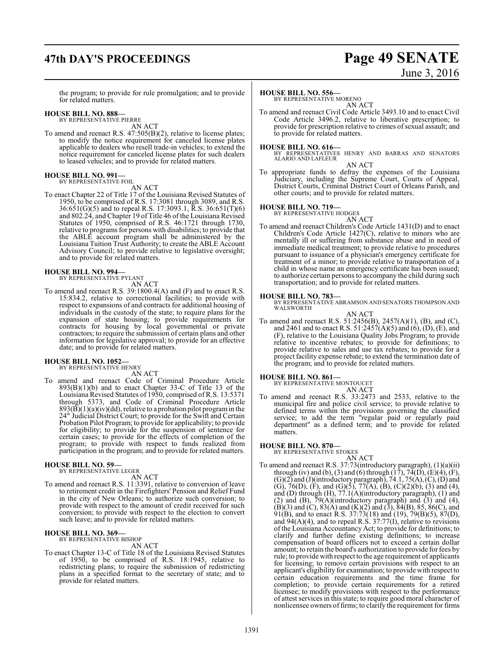# **47th DAY'S PROCEEDINGS Page 49 SENATE**

# June 3, 2016

the program; to provide for rule promulgation; and to provide for related matters.

#### **HOUSE BILL NO. 888—**

BY REPRESENTATIVE PIERRE AN ACT

To amend and reenact R.S. 47:505(B)(2), relative to license plates; to modify the notice requirement for canceled license plates applicable to dealers who resell trade-in vehicles; to extend the notice requirement for canceled license plates for such dealers to leased vehicles; and to provide for related matters.

#### **HOUSE BILL NO. 991—** BY REPRESENTATIVE FOIL

AN ACT

To enact Chapter 22 of Title 17 of the Louisiana Revised Statutes of 1950, to be comprised of R.S. 17:3081 through 3089, and R.S. 36:651(G)(5) and to repeal R.S. 17:3093.1, R.S. 36:651(T)(6) and 802.24, and Chapter 19 of Title 46 of the Louisiana Revised Statutes of 1950, comprised of R.S. 46:1721 through 1730, relative to programs for persons with disabilities; to provide that the ABLE account program shall be administered by the Louisiana Tuition Trust Authority; to create the ABLE Account Advisory Council; to provide relative to legislative oversight; and to provide for related matters.

#### **HOUSE BILL NO. 994—**

BY REPRESENTATIVE PYLANT AN ACT

To amend and reenact R.S. 39:1800.4(A) and (F) and to enact R.S. 15:834.2, relative to correctional facilities; to provide with respect to expansions of and contracts for additional housing of individuals in the custody of the state; to require plans for the expansion of state housing; to provide requirements for contracts for housing by local governmental or private contractors; to require the submission of certain plans and other information for legislative approval; to provide for an effective date; and to provide for related matters.

# **HOUSE BILL NO. 1052—** BY REPRESENTATIVE HENRY

AN ACT

To amend and reenact Code of Criminal Procedure Article  $893(B)(1)(b)$  and to enact Chapter 33-C of Title 13 of the Louisiana Revised Statutes of 1950, comprised of R.S. 13:5371 through 5373, and Code of Criminal Procedure Article  $893(\overline{B})(1)(a)(iv)(dd)$ , relative to a probation pilot program in the 24 th Judicial District Court; to provide for the Swift and Certain Probation Pilot Program; to provide for applicability; to provide for eligibility; to provide for the suspension of sentence for certain cases; to provide for the effects of completion of the program; to provide with respect to funds realized from participation in the program; and to provide for related matters.

#### **HOUSE BILL NO. 59—** BY REPRESENTATIVE LEGER

AN ACT

To amend and reenact R.S. 11:3391, relative to conversion of leave to retirement credit in the Firefighters' Pension and Relief Fund in the city of New Orleans; to authorize such conversion; to provide with respect to the amount of credit received for such conversion; to provide with respect to the election to convert such leave; and to provide for related matters.

# **HOUSE BILL NO. 369—** BY REPRESENTATIVE BISHOP

AN ACT

To enact Chapter 13-C of Title 18 of the Louisiana Revised Statutes of 1950, to be comprised of R.S. 18:1945, relative to redistricting plans; to require the submission of redistricting plans in a specified format to the secretary of state; and to provide for related matters.

#### **HOUSE BILL NO. 556—**

BY REPRESENTATIVE MORENO AN ACT

To amend and reenact Civil Code Article 3493.10 and to enact Civil Code Article 3496.2, relative to liberative prescription; to provide for prescription relative to crimes of sexual assault; and to provide for related matters.

**HOUSE BILL NO. 616—** BY REPRESENTATIVES HENRY AND BARRAS AND SENATORS ALARIO AND LAFLEUR

#### AN ACT

To appropriate funds to defray the expenses of the Louisiana Judiciary, including the Supreme Court, Courts of Appeal, District Courts, Criminal District Court of Orleans Parish, and other courts; and to provide for related matters.

#### **HOUSE BILL NO. 719—**

BY REPRESENTATIVE HODGES

AN ACT To amend and reenact Children's Code Article 1431(D) and to enact Children's Code Article 1427(C), relative to minors who are mentally ill or suffering from substance abuse and in need of immediate medical treatment; to provide relative to procedures pursuant to issuance of a physician's emergency certificate for treatment of a minor; to provide relative to transportation of a child in whose name an emergency certificate has been issued; to authorize certain persons to accompany the child during such transportation; and to provide for related matters.

**HOUSE BILL NO. 783—** BY REPRESENTATIVE ABRAMSON AND SENATORS THOMPSON AND WALSWORTH

AN ACT

To amend and reenact R.S. 51:2456(B), 2457(A)(1), (B), and (C), and 2461 and to enact R.S. 51:2457(A)(5) and (6), (D), (E), and (F), relative to the Louisiana Quality Jobs Program; to provide relative to incentive rebates; to provide for definitions; to provide relative to sales and use tax rebates; to provide for a project facility expense rebate; to extend the termination date of the program; and to provide for related matters.

# **HOUSE BILL NO. 861—** BY REPRESENTATIVE MONTOUCET

AN ACT

To amend and reenact R.S. 33:2473 and 2533, relative to the municipal fire and police civil service; to provide relative to defined terms within the provisions governing the classified service; to add the term "regular paid or regularly paid department" as a defined term; and to provide for related matters.

#### **HOUSE BILL NO. 870—**

BY REPRESENTATIVE STOKES AN ACT

To amend and reenact R.S. 37:73(introductory paragraph), (1)(a)(ii) through (iv) and (b), (3) and (6) through  $(17)$ ,  $74(D)$ ,  $(E)(4)$ ,  $(F)$ ,  $(G)(2)$  and  $(J)($ introductory paragraph), 74.1, 75 $(A)$ ,  $(C)$ ,  $(D)$  and (G), 76(D), (F), and (G)(5), 77(A), (B), (C)(2)(b), (3) and (4), and (D) through (H), 77.1(A)(introductory paragraph), (1) and (2) and (B),  $\overline{79(A)}$ (introductory paragraph) and (3) and (4),  $(B)(3)$  and  $(C)$ ,  $83(A)$  and  $(K)(2)$  and  $(3)$ ,  $84(B)$ ,  $85$ ,  $86(C)$ , and 91(B), and to enact R.S. 37:73(18) and (19), 79(B)(5), 87(D), and 94(A)(4), and to repeal R.S. 37:77(I), relative to revisions of the Louisiana Accountancy Act; to provide for definitions; to clarify and further define existing definitions; to increase compensation of board officers not to exceed a certain dollar amount; to retain the board's authorization to provide forfees by rule; to provide with respect to the age requirement of applicants for licensing; to remove certain provisions with respect to an applicant's eligibility for examination; to provide with respect to certain education requirements and the time frame for completion; to provide certain requirements for a retired licensee; to modify provisions with respect to the performance of attest services in this state; to require good moral character of nonlicensee owners offirms; to clarify the requirement for firms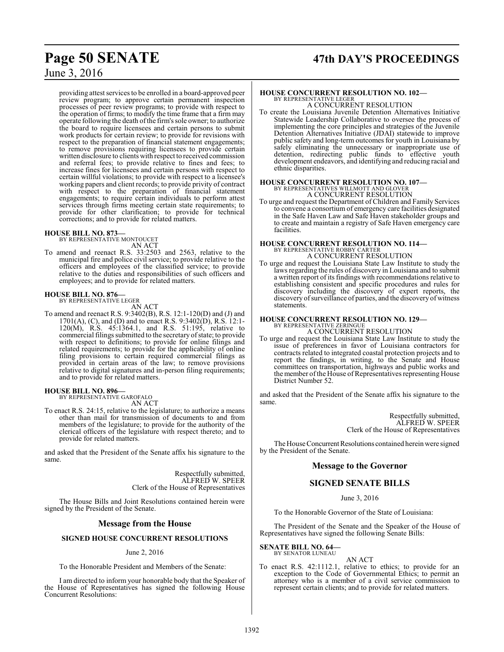# **Page 50 SENATE 47th DAY'S PROCEEDINGS**

# June 3, 2016

providing attest services to be enrolled in a board-approved peer review program; to approve certain permanent inspection processes of peer review programs; to provide with respect to the operation of firms; to modify the time frame that a firm may operate following the death of the firm's sole owner; to authorize the board to require licensees and certain persons to submit work products for certain review; to provide for revisions with respect to the preparation of financial statement engagements; to remove provisions requiring licensees to provide certain written disclosure to clients with respect to received commission and referral fees; to provide relative to fines and fees; to increase fines for licensees and certain persons with respect to certain willful violations; to provide with respect to a licensee's working papers and client records; to provide privity of contract with respect to the preparation of financial statement engagements; to require certain individuals to perform attest services through firms meeting certain state requirements; to provide for other clarification; to provide for technical corrections; and to provide for related matters.

**HOUSE BILL NO. 873—** BY REPRESENTATIVE MONTOUCET AN ACT

To amend and reenact R.S. 33:2503 and 2563, relative to the municipal fire and police civil service; to provide relative to the officers and employees of the classified service; to provide relative to the duties and responsibilities of such officers and employees; and to provide for related matters.

#### **HOUSE BILL NO. 876—**

BY REPRESENTATIVE LEGER AN ACT

To amend and reenact R.S. 9:3402(B), R.S. 12:1-120(D) and (J) and 1701(A), (C), and (D) and to enact R.S. 9:3402(D), R.S. 12:1- 120(M), R.S. 45:1364.1, and R.S. 51:195, relative to commercial filings submitted to the secretary of state; to provide with respect to definitions; to provide for online filings and related requirements; to provide for the applicability of online filing provisions to certain required commercial filings as provided in certain areas of the law; to remove provisions relative to digital signatures and in-person filing requirements; and to provide for related matters.

#### **HOUSE BILL NO. 896—**

BY REPRESENTATIVE GAROFALO AN ACT

To enact R.S. 24:15, relative to the legislature; to authorize a means other than mail for transmission of documents to and from members of the legislature; to provide for the authority of the clerical officers of the legislature with respect thereto; and to provide for related matters.

and asked that the President of the Senate affix his signature to the same.

> Respectfully submitted, ALFRED W. SPEER Clerk of the House of Representatives

The House Bills and Joint Resolutions contained herein were signed by the President of the Senate.

#### **Message from the House**

#### **SIGNED HOUSE CONCURRENT RESOLUTIONS**

#### June 2, 2016

To the Honorable President and Members of the Senate:

I am directed to inform your honorable body that the Speaker of the House of Representatives has signed the following House Concurrent Resolutions:

# **HOUSE CONCURRENT RESOLUTION NO. 102—**

BY REPRESENTATIVE LEGER A CONCURRENT RESOLUTION

To create the Louisiana Juvenile Detention Alternatives Initiative Statewide Leadership Collaborative to oversee the process of implementing the core principles and strategies of the Juvenile Detention Alternatives Initiative (JDAI) statewide to improve public safety and long-term outcomes for youth in Louisiana by safely eliminating the unnecessary or inappropriate use of detention, redirecting public funds to effective youth development endeavors, and identifying and reducing racial and ethnic disparities.

## **HOUSE CONCURRENT RESOLUTION NO. 107—** BY REPRESENTATIVES WILLMOTT AND GLOVER A CONCURRENT RESOLUTION

To urge and request the Department of Children and Family Services to convene a consortium of emergency care facilities designated in the Safe Haven Law and Safe Haven stakeholder groups and to create and maintain a registry of Safe Haven emergency care facilities.

#### **HOUSE CONCURRENT RESOLUTION NO. 114—** BY REPRESENTATIVE ROBBY CARTER

A CONCURRENT RESOLUTION To urge and request the Louisiana State Law Institute to study the laws regarding the rules of discovery in Louisiana and to submit a written report of its findings with recommendations relative to establishing consistent and specific procedures and rules for discovery including the discovery of expert reports, the discovery ofsurveillance of parties, and the discovery of witness statements.

#### **HOUSE CONCURRENT RESOLUTION NO. 129—**

BY REPRESENTATIVE ZERINGUE A CONCURRENT RESOLUTION

To urge and request the Louisiana State Law Institute to study the issue of preferences in favor of Louisiana contractors for contracts related to integrated coastal protection projects and to report the findings, in writing, to the Senate and House committees on transportation, highways and public works and the member of the House of Representatives representing House District Number 52.

and asked that the President of the Senate affix his signature to the same.

> Respectfully submitted, ALFRED W. SPEER Clerk of the House of Representatives

The House Concurrent Resolutions contained herein were signed by the President of the Senate.

#### **Message to the Governor**

#### **SIGNED SENATE BILLS**

#### June 3, 2016

To the Honorable Governor of the State of Louisiana:

The President of the Senate and the Speaker of the House of Representatives have signed the following Senate Bills:

#### **SENATE BILL NO. 64—**

BY SENATOR LUNEAU

- AN ACT
- To enact R.S. 42:1112.1, relative to ethics; to provide for an exception to the Code of Governmental Ethics; to permit an attorney who is a member of a civil service commission to represent certain clients; and to provide for related matters.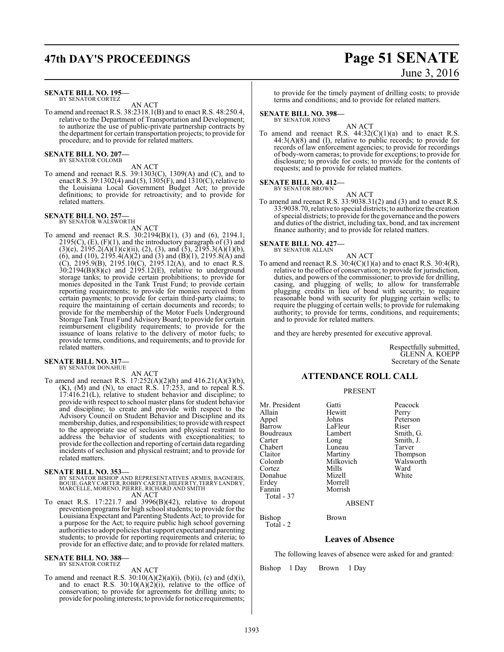#### **SENATE BILL NO. 195—** BY SENATOR CORTEZ

AN ACT

To amend and reenact R.S. 38:2318.1(B) and to enact R.S. 48:250.4, relative to the Department of Transportation and Development; to authorize the use of public-private partnership contracts by the department for certain transportation projects; to provide for procedure; and to provide for related matters.

**SENATE BILL NO. 207—** BY SENATOR COLOMB

AN ACT

To amend and reenact R.S. 39:1303(C), 1309(A) and (C), and to enact R.S. 39:1302(4) and (5), 1305(F), and 1310(C), relative to the Louisiana Local Government Budget Act; to provide definitions; to provide for retroactivity; and to provide for related matters.

#### **SENATE BILL NO. 257—** BY SENATOR WALSWORTH

AN ACT

To amend and reenact R.S. 30:2194(B)(1), (3) and (6), 2194.1, 2195(C),  $(E)$ ,  $(F)(1)$ , and the introductory paragraph of (3) and  $(3)(e)$ ,  $2195.2(A)(1)(c)(ii)$ ,  $(2)$ ,  $(3)$ , and  $(5)$ ,  $2195.3(A)(1)(b)$ , (6), and (10),  $2195.4(A)(2)$  and (3) and (B)(1),  $2195.8(A)$  and (C), 2195.9(B), 2195.10(C), 2195.12(A), and to enact R.S.  $30:2194(B)(8)(c)$  and  $2195.12(E)$ , relative to underground storage tanks; to provide certain prohibitions; to provide for monies deposited in the Tank Trust Fund; to provide certain reporting requirements; to provide for monies received from certain payments; to provide for certain third-party claims; to require the maintaining of certain documents and records; to provide for the membership of the Motor Fuels Underground Storage Tank Trust Fund Advisory Board; to provide for certain reimbursement eligibility requirements; to provide for the issuance of loans relative to the delivery of motor fuels; to provide terms, conditions, and requirements; and to provide for related matters.

# **SENATE BILL NO. 317—** BY SENATOR DONAHUE

AN ACT

To amend and reenact R.S. 17:252(A)(2)(h) and 416.21(A)(3)(b),  $(K)$ ,  $(M)$  and  $(N)$ , to enact R.S. 17:253, and to repeal R.S. 17:416.21(L), relative to student behavior and discipline; to provide with respect to school master plans for student behavior and discipline; to create and provide with respect to the Advisory Council on Student Behavior and Discipline and its membership, duties, and responsibilities; to provide with respect to the appropriate use of seclusion and physical restraint to address the behavior of students with exceptionalities; to provide forthe collection and reporting of certain data regarding incidents of seclusion and physical restraint; and to provide for related matters.

#### **SENATE BILL NO. 353—**

- BY SENATOR BISHOP AND REPRESENTATIVES ARMES, BAGNERIS,<br>BOUIE, GARY CARTER, ROBBY CARTER,HILFERTY, TERRY LANDRY,<br>MARCELLE, MORENO, PIERRE, RICHARD AND SMITH AN ACT
- To enact R.S. 17:221.7 and 3996(B)(42), relative to dropout prevention programs for high school students; to provide for the Louisiana Expectant and Parenting Students Act; to provide for a purpose for the Act; to require public high school governing authorities to adopt policies that support expectant and parenting students; to provide for reporting requirements and criteria; to provide for an effective date; and to provide for related matters.

#### **SENATE BILL NO. 388—** BY SENATOR CORTEZ

AN ACT

To amend and reenact R.S.  $30:10(A)(2)(a)(i)$ ,  $(b)(i)$ ,  $(c)$  and  $(d)(i)$ , and to enact R.S.  $30:10(A)(2)(i)$ , relative to the office of conservation; to provide for agreements for drilling units; to provide for pooling interests; to provide for notice requirements;

to provide for the timely payment of drilling costs; to provide terms and conditions; and to provide for related matters.

#### **SENATE BILL NO. 398—**

BY SENATOR JOHNS

AN ACT To amend and reenact R.S.  $44:32(C)(1)(a)$  and to enact R.S.  $44:3(A)(8)$  and (I), relative to public records; to provide for records of law enforcement agencies; to provide for recordings of body-worn cameras; to provide for exceptions; to provide for disclosure; to provide for costs; to provide for the contents of requests; and to provide for related matters.

#### **SENATE BILL NO. 412—** BY SENATOR BROWN

AN ACT

To amend and reenact R.S. 33:9038.31(2) and (3) and to enact R.S. 33:9038.70, relative to special districts; to authorize the creation ofspecial districts; to provide for the governance and the powers and duties of the district, including tax, bond, and tax increment finance authority; and to provide for related matters.

# **SENATE BILL NO. 427—** BY SENATOR ALLAIN

AN ACT

To amend and reenact R.S.  $30:4(C)(1)(a)$  and to enact R.S.  $30:4(R)$ , relative to the office of conservation; to provide for jurisdiction, duties, and powers of the commissioner; to provide for drilling, casing, and plugging of wells; to allow for transferrable plugging credits in lieu of bond with security; to require reasonable bond with security for plugging certain wells; to require the plugging of certain wells; to provide for rulemaking authority; to provide for terms, conditions, and requirements; and to provide for related matters.

and they are hereby presented for executive approval.

Respectfully submitted, GLENN A. KOEPP Secretary of the Senate

### **ATTENDANCE ROLL CALL**

#### PRESENT

Mr. President Gatti Peacock<br>Allain Hewitt Perry Allain Hewitt<br>
Appel Johns Appel Johns Peterson Boudreaux Lamb<br>Carter Long Chabert Luneau<br>Claitor Martiny Claitor Martiny Thompson<br>Colomb Milkovich Walsworth Cortez Mills Ward Donahue<br>Erdev Erdey Morrell Total - 37

Total - 2

LaFleur Riser<br>Lambert Smith, G. Long Smith, J.<br>Luneau Tarver Milkovich Walsworth<br>
Mills Ward

ABSENT

Morrish

#### Bishop Brown

## **Leaves of Absence**

The following leaves of absence were asked for and granted:

Bishop 1 Day Brown 1 Day

# **47th DAY'S PROCEEDINGS Page 51 SENATE** June 3, 2016